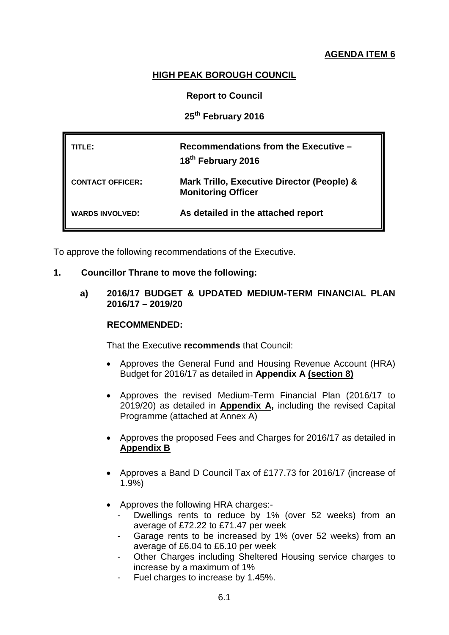# **AGENDA ITEM 6**

# **HIGH PEAK BOROUGH COUNCIL**

# **Report to Council**

# **25th February 2016**

| TITL F:                 | Recommendations from the Executive -<br>18 <sup>th</sup> February 2016  |
|-------------------------|-------------------------------------------------------------------------|
| <b>CONTACT OFFICER:</b> | Mark Trillo, Executive Director (People) &<br><b>Monitoring Officer</b> |
| <b>WARDS INVOLVED:</b>  | As detailed in the attached report                                      |

To approve the following recommendations of the Executive.

#### **1. Councillor Thrane to move the following:**

**a) 2016/17 BUDGET & UPDATED MEDIUM-TERM FINANCIAL PLAN 2016/17 – 2019/20**

#### **RECOMMENDED:**

That the Executive **recommends** that Council:

- Approves the General Fund and Housing Revenue Account (HRA) Budget for 2016/17 as detailed in **Appendix A (section 8)**
- Approves the revised Medium-Term Financial Plan (2016/17 to 2019/20) as detailed in **Appendix A,** including the revised Capital Programme (attached at Annex A)
- Approves the proposed Fees and Charges for 2016/17 as detailed in **Appendix B**
- Approves a Band D Council Tax of £177.73 for 2016/17 (increase of 1.9%)
- Approves the following HRA charges:-
	- Dwellings rents to reduce by 1% (over 52 weeks) from an average of £72.22 to £71.47 per week
	- Garage rents to be increased by 1% (over 52 weeks) from an average of £6.04 to £6.10 per week
	- Other Charges including Sheltered Housing service charges to increase by a maximum of 1%
	- Fuel charges to increase by 1.45%.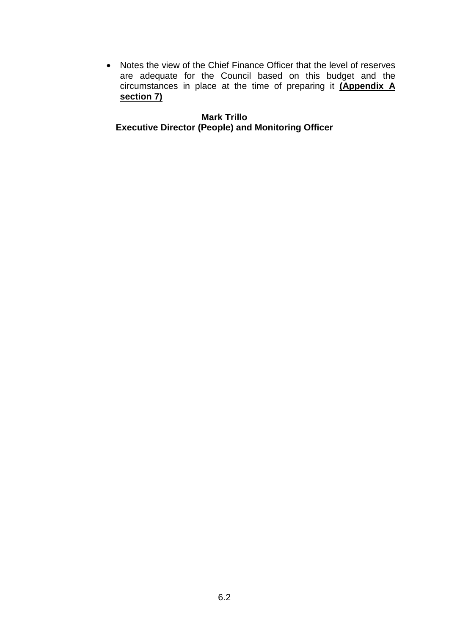• Notes the view of the Chief Finance Officer that the level of reserves are adequate for the Council based on this budget and the circumstances in place at the time of preparing it **(Appendix A section 7)**

**Mark Trillo Executive Director (People) and Monitoring Officer**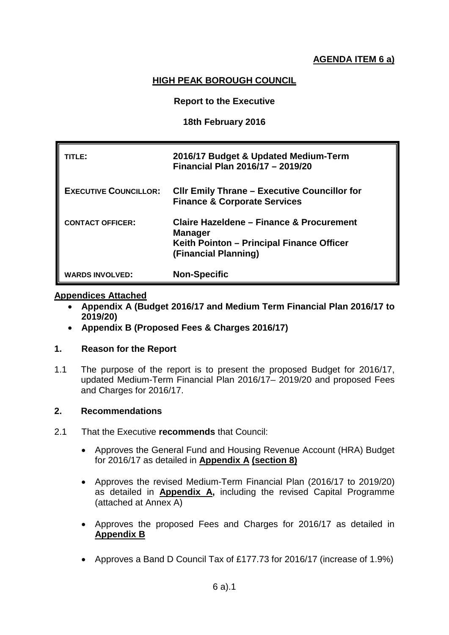# **AGENDA ITEM 6 a)**

# **HIGH PEAK BOROUGH COUNCIL**

### **Report to the Executive**

## **18th February 2016**

| TITLE:                       | 2016/17 Budget & Updated Medium-Term<br>Financial Plan 2016/17 - 2019/20                                                        |
|------------------------------|---------------------------------------------------------------------------------------------------------------------------------|
| <b>EXECUTIVE COUNCILLOR:</b> | <b>CIIr Emily Thrane - Executive Councillor for</b><br><b>Finance &amp; Corporate Services</b>                                  |
| <b>CONTACT OFFICER:</b>      | Claire Hazeldene - Finance & Procurement<br><b>Manager</b><br>Keith Pointon - Principal Finance Officer<br>(Financial Planning) |
| <b>WARDS INVOLVED:</b>       | <b>Non-Specific</b>                                                                                                             |

#### **Appendices Attached**

- **Appendix A (Budget 2016/17 and Medium Term Financial Plan 2016/17 to 2019/20)**
- **Appendix B (Proposed Fees & Charges 2016/17)**

## **1. Reason for the Report**

1.1 The purpose of the report is to present the proposed Budget for 2016/17, updated Medium-Term Financial Plan 2016/17– 2019/20 and proposed Fees and Charges for 2016/17.

# **2. Recommendations**

- 2.1 That the Executive **recommends** that Council:
	- Approves the General Fund and Housing Revenue Account (HRA) Budget for 2016/17 as detailed in **Appendix A (section 8)**
	- Approves the revised Medium-Term Financial Plan (2016/17 to 2019/20) as detailed in **Appendix A,** including the revised Capital Programme (attached at Annex A)
	- Approves the proposed Fees and Charges for 2016/17 as detailed in **Appendix B**
	- Approves a Band D Council Tax of £177.73 for 2016/17 (increase of 1.9%)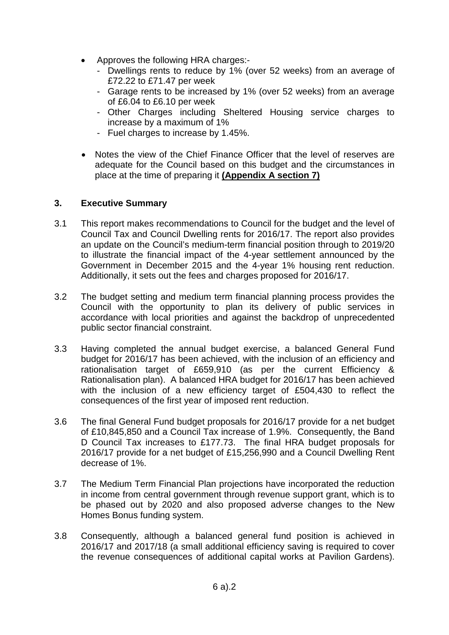- Approves the following HRA charges:-
	- Dwellings rents to reduce by 1% (over 52 weeks) from an average of £72.22 to £71.47 per week
	- Garage rents to be increased by 1% (over 52 weeks) from an average of £6.04 to £6.10 per week
	- Other Charges including Sheltered Housing service charges to increase by a maximum of 1%
	- Fuel charges to increase by 1.45%.
- Notes the view of the Chief Finance Officer that the level of reserves are adequate for the Council based on this budget and the circumstances in place at the time of preparing it **(Appendix A section 7)**

# **3. Executive Summary**

- 3.1 This report makes recommendations to Council for the budget and the level of Council Tax and Council Dwelling rents for 2016/17. The report also provides an update on the Council's medium-term financial position through to 2019/20 to illustrate the financial impact of the 4-year settlement announced by the Government in December 2015 and the 4-year 1% housing rent reduction. Additionally, it sets out the fees and charges proposed for 2016/17.
- 3.2 The budget setting and medium term financial planning process provides the Council with the opportunity to plan its delivery of public services in accordance with local priorities and against the backdrop of unprecedented public sector financial constraint.
- 3.3 Having completed the annual budget exercise, a balanced General Fund budget for 2016/17 has been achieved, with the inclusion of an efficiency and rationalisation target of £659,910 (as per the current Efficiency & Rationalisation plan). A balanced HRA budget for 2016/17 has been achieved with the inclusion of a new efficiency target of £504,430 to reflect the consequences of the first year of imposed rent reduction.
- 3.6 The final General Fund budget proposals for 2016/17 provide for a net budget of £10,845,850 and a Council Tax increase of 1.9%. Consequently, the Band D Council Tax increases to £177.73. The final HRA budget proposals for 2016/17 provide for a net budget of £15,256,990 and a Council Dwelling Rent decrease of 1%.
- 3.7 The Medium Term Financial Plan projections have incorporated the reduction in income from central government through revenue support grant, which is to be phased out by 2020 and also proposed adverse changes to the New Homes Bonus funding system.
- 3.8 Consequently, although a balanced general fund position is achieved in 2016/17 and 2017/18 (a small additional efficiency saving is required to cover the revenue consequences of additional capital works at Pavilion Gardens).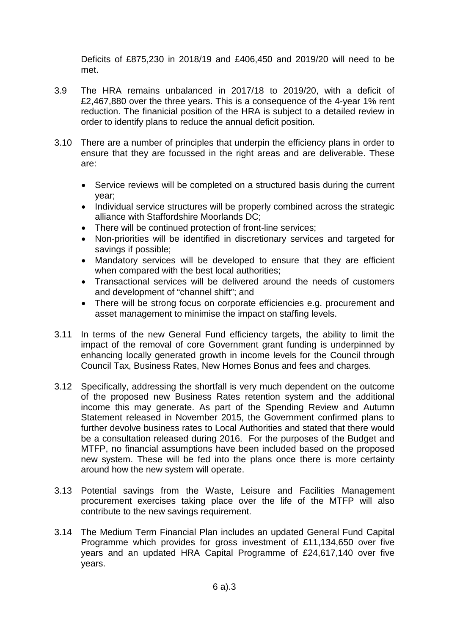Deficits of £875,230 in 2018/19 and £406,450 and 2019/20 will need to be met.

- 3.9 The HRA remains unbalanced in 2017/18 to 2019/20, with a deficit of £2,467,880 over the three years. This is a consequence of the 4-year 1% rent reduction. The finanicial position of the HRA is subject to a detailed review in order to identify plans to reduce the annual deficit position.
- 3.10 There are a number of principles that underpin the efficiency plans in order to ensure that they are focussed in the right areas and are deliverable. These are:
	- Service reviews will be completed on a structured basis during the current year;
	- Individual service structures will be properly combined across the strategic alliance with Staffordshire Moorlands DC;
	- There will be continued protection of front-line services;
	- Non-priorities will be identified in discretionary services and targeted for savings if possible;
	- Mandatory services will be developed to ensure that they are efficient when compared with the best local authorities;
	- Transactional services will be delivered around the needs of customers and development of "channel shift"; and
	- There will be strong focus on corporate efficiencies e.g. procurement and asset management to minimise the impact on staffing levels.
- 3.11 In terms of the new General Fund efficiency targets, the ability to limit the impact of the removal of core Government grant funding is underpinned by enhancing locally generated growth in income levels for the Council through Council Tax, Business Rates, New Homes Bonus and fees and charges.
- 3.12 Specifically, addressing the shortfall is very much dependent on the outcome of the proposed new Business Rates retention system and the additional income this may generate. As part of the Spending Review and Autumn Statement released in November 2015, the Government confirmed plans to further devolve business rates to Local Authorities and stated that there would be a consultation released during 2016. For the purposes of the Budget and MTFP, no financial assumptions have been included based on the proposed new system. These will be fed into the plans once there is more certainty around how the new system will operate.
- 3.13 Potential savings from the Waste, Leisure and Facilities Management procurement exercises taking place over the life of the MTFP will also contribute to the new savings requirement.
- 3.14 The Medium Term Financial Plan includes an updated General Fund Capital Programme which provides for gross investment of £11,134,650 over five years and an updated HRA Capital Programme of £24,617,140 over five years.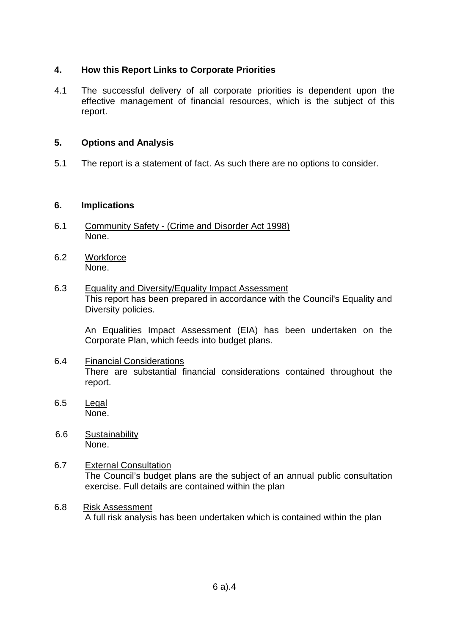# **4. How this Report Links to Corporate Priorities**

4.1 The successful delivery of all corporate priorities is dependent upon the effective management of financial resources, which is the subject of this report.

## **5. Options and Analysis**

5.1 The report is a statement of fact. As such there are no options to consider.

## **6. Implications**

- 6.1 Community Safety (Crime and Disorder Act 1998) None.
- 6.2 Workforce None.
- 6.3 Equality and Diversity/Equality Impact Assessment This report has been prepared in accordance with the Council's Equality and Diversity policies.

An Equalities Impact Assessment (EIA) has been undertaken on the Corporate Plan, which feeds into budget plans.

- 6.4 Financial Considerations There are substantial financial considerations contained throughout the report.
- 6.5 Legal None.
- 6.6 Sustainability None.
- 6.7 External Consultation The Council's budget plans are the subject of an annual public consultation exercise. Full details are contained within the plan
- 6.8 Risk Assessment A full risk analysis has been undertaken which is contained within the plan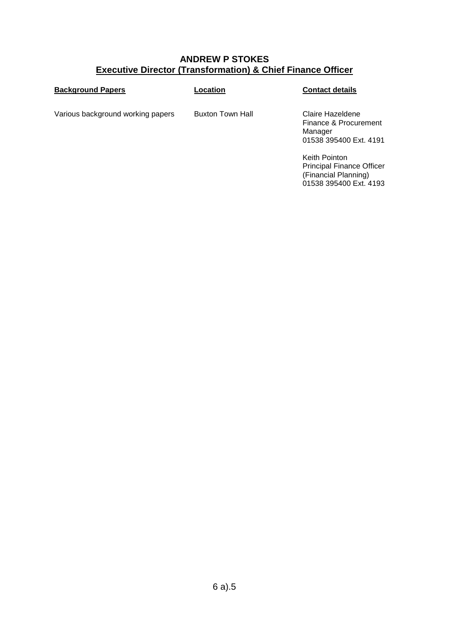# **ANDREW P STOKES Executive Director (Transformation) & Chief Finance Officer**

| <b>Background Papers</b>          | Location         | <b>Contact details</b>                                                                              |
|-----------------------------------|------------------|-----------------------------------------------------------------------------------------------------|
| Various background working papers | Buxton Town Hall | Claire Hazeldene<br>Finance & Procurement<br>Manager<br>01538 395400 Ext. 4191                      |
|                                   |                  | Keith Pointon<br><b>Principal Finance Officer</b><br>(Financial Planning)<br>01538 395400 Ext. 4193 |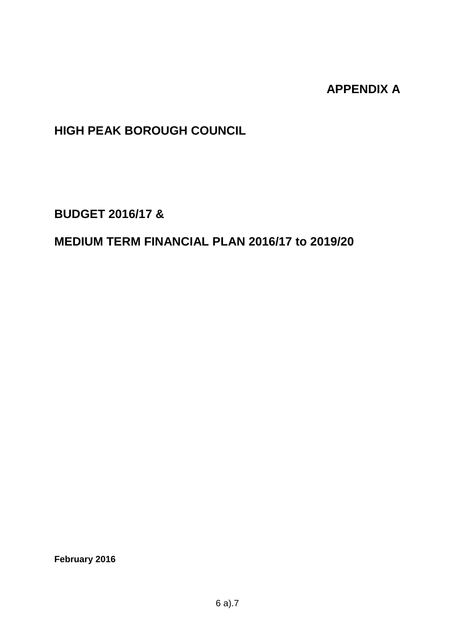# **APPENDIX A**

# **HIGH PEAK BOROUGH COUNCIL**

**BUDGET 2016/17 &**

# **MEDIUM TERM FINANCIAL PLAN 2016/17 to 2019/20**

**February 2016**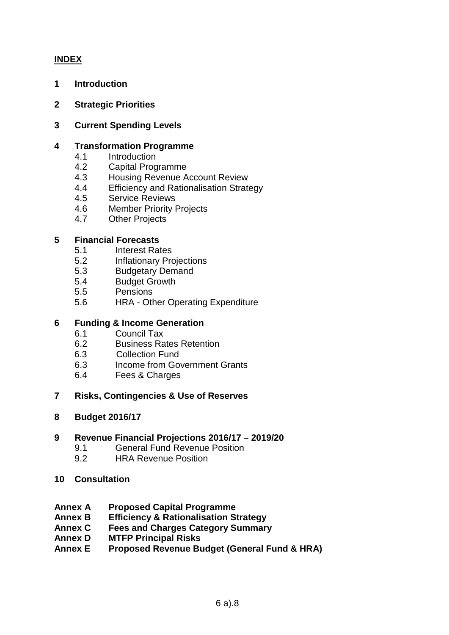# **INDEX**

- **1 Introduction**
- **2 Strategic Priorities**
- **3 Current Spending Levels**

### **4 Transformation Programme**

- 4.1 Introduction
- 4.2 Capital Programme
- 4.3 Housing Revenue Account Review
- 4.4 Efficiency and Rationalisation Strategy
- 4.5 Service Reviews
- 4.6 Member Priority Projects
- 4.7 Other Projects

#### **5 Financial Forecasts**

- 5.1 Interest Rates
- 5.2 Inflationary Projections
- 5.3 Budgetary Demand
- 5.4 Budget Growth
- 5.5 Pensions
- 5.6 HRA Other Operating Expenditure

## **6 Funding & Income Generation**

- 6.1 Council Tax
- 6.2 Business Rates Retention
- 6.3 Collection Fund
- 6.3 Income from Government Grants
- 6.4 Fees & Charges
- **7 Risks, Contingencies & Use of Reserves**
- **8 Budget 2016/17**

#### **9 Revenue Financial Projections 2016/17 – 2019/20**

- 9.1 General Fund Revenue Position<br>9.2 HRA Revenue Position
- **HRA Revenue Position**

#### **10 Consultation**

- **Annex A Proposed Capital Programme**
- **Annex B Efficiency & Rationalisation Strategy**
- **Annex C Fees and Charges Category Summary**
- **Annex D MTFP Principal Risks**
- **Annex E Proposed Revenue Budget (General Fund & HRA)**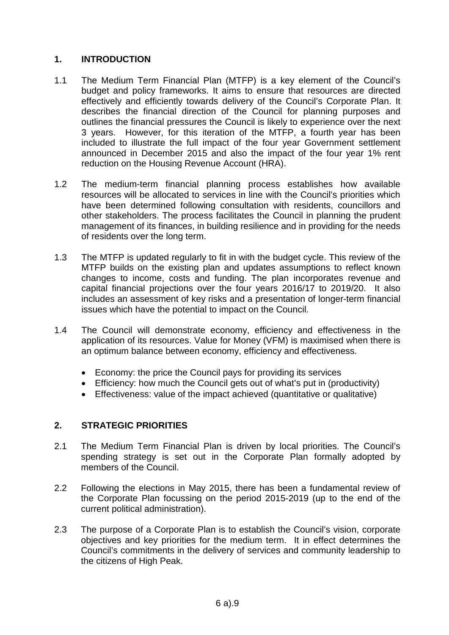# **1. INTRODUCTION**

- 1.1 The Medium Term Financial Plan (MTFP) is a key element of the Council's budget and policy frameworks. It aims to ensure that resources are directed effectively and efficiently towards delivery of the Council's Corporate Plan. It describes the financial direction of the Council for planning purposes and outlines the financial pressures the Council is likely to experience over the next 3 years. However, for this iteration of the MTFP, a fourth year has been included to illustrate the full impact of the four year Government settlement announced in December 2015 and also the impact of the four year 1% rent reduction on the Housing Revenue Account (HRA).
- 1.2 The medium-term financial planning process establishes how available resources will be allocated to services in line with the Council's priorities which have been determined following consultation with residents, councillors and other stakeholders. The process facilitates the Council in planning the prudent management of its finances, in building resilience and in providing for the needs of residents over the long term.
- 1.3 The MTFP is updated regularly to fit in with the budget cycle. This review of the MTFP builds on the existing plan and updates assumptions to reflect known changes to income, costs and funding. The plan incorporates revenue and capital financial projections over the four years 2016/17 to 2019/20. It also includes an assessment of key risks and a presentation of longer-term financial issues which have the potential to impact on the Council.
- 1.4 The Council will demonstrate economy, efficiency and effectiveness in the application of its resources. Value for Money (VFM) is maximised when there is an optimum balance between economy, efficiency and effectiveness.
	- Economy: the price the Council pays for providing its services
	- Efficiency: how much the Council gets out of what's put in (productivity)
	- Effectiveness: value of the impact achieved (quantitative or qualitative)

# **2. STRATEGIC PRIORITIES**

- 2.1 The Medium Term Financial Plan is driven by local priorities. The Council's spending strategy is set out in the Corporate Plan formally adopted by members of the Council.
- 2.2 Following the elections in May 2015, there has been a fundamental review of the Corporate Plan focussing on the period 2015-2019 (up to the end of the current political administration).
- 2.3 The purpose of a Corporate Plan is to establish the Council's vision, corporate objectives and key priorities for the medium term. It in effect determines the Council's commitments in the delivery of services and community leadership to the citizens of High Peak.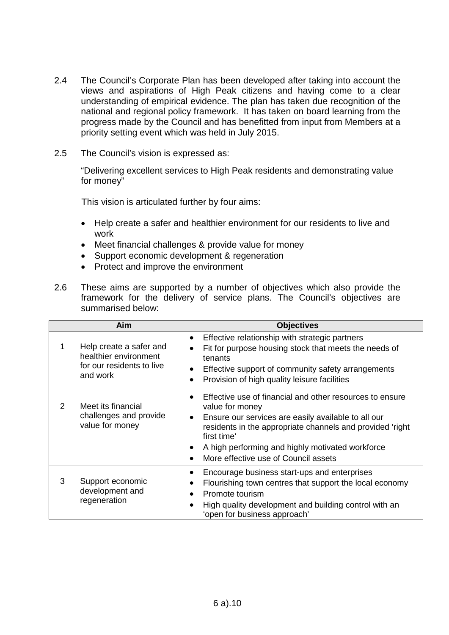- 2.4 The Council's Corporate Plan has been developed after taking into account the views and aspirations of High Peak citizens and having come to a clear understanding of empirical evidence. The plan has taken due recognition of the national and regional policy framework. It has taken on board learning from the progress made by the Council and has benefitted from input from Members at a priority setting event which was held in July 2015.
- 2.5 The Council's vision is expressed as:

"Delivering excellent services to High Peak residents and demonstrating value for money"

This vision is articulated further by four aims:

- Help create a safer and healthier environment for our residents to live and work
- Meet financial challenges & provide value for money
- Support economic development & regeneration
- Protect and improve the environment
- 2.6 These aims are supported by a number of objectives which also provide the framework for the delivery of service plans. The Council's objectives are summarised below:

|               | Aim                                                                                       | <b>Objectives</b>                                                                                                                                                                                                                                                                                                                                              |
|---------------|-------------------------------------------------------------------------------------------|----------------------------------------------------------------------------------------------------------------------------------------------------------------------------------------------------------------------------------------------------------------------------------------------------------------------------------------------------------------|
| 1             | Help create a safer and<br>healthier environment<br>for our residents to live<br>and work | Effective relationship with strategic partners<br>٠<br>Fit for purpose housing stock that meets the needs of<br>$\bullet$<br>tenants<br>Effective support of community safety arrangements<br>٠<br>Provision of high quality leisure facilities<br>$\bullet$                                                                                                   |
| $\mathcal{P}$ | Meet its financial<br>challenges and provide<br>value for money                           | Effective use of financial and other resources to ensure<br>$\bullet$<br>value for money<br>Ensure our services are easily available to all our<br>$\bullet$<br>residents in the appropriate channels and provided 'right<br>first time'<br>A high performing and highly motivated workforce<br>$\bullet$<br>More effective use of Council assets<br>$\bullet$ |
| 3             | Support economic<br>development and<br>regeneration                                       | Encourage business start-ups and enterprises<br>$\bullet$<br>Flourishing town centres that support the local economy<br>$\bullet$<br>Promote tourism<br>$\bullet$<br>High quality development and building control with an<br>$\bullet$<br>'open for business approach'                                                                                        |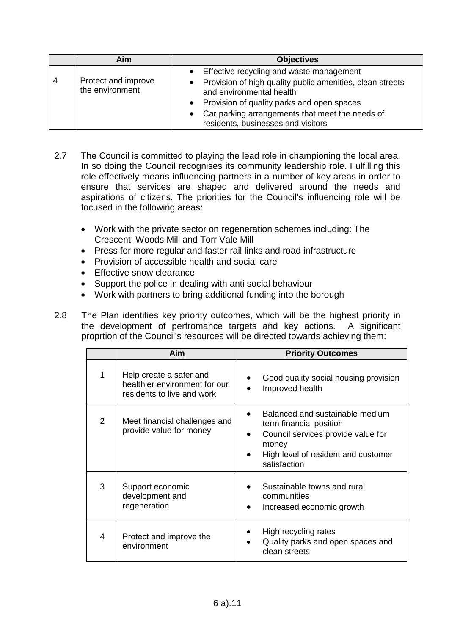|   | Aim                                    | <b>Objectives</b>                                                                                                                                                                                                                                                              |
|---|----------------------------------------|--------------------------------------------------------------------------------------------------------------------------------------------------------------------------------------------------------------------------------------------------------------------------------|
| 4 | Protect and improve<br>the environment | • Effective recycling and waste management<br>• Provision of high quality public amenities, clean streets<br>and environmental health<br>• Provision of quality parks and open spaces<br>Car parking arrangements that meet the needs of<br>residents, businesses and visitors |

- 2.7 The Council is committed to playing the lead role in championing the local area. In so doing the Council recognises its community leadership role. Fulfilling this role effectively means influencing partners in a number of key areas in order to ensure that services are shaped and delivered around the needs and aspirations of citizens. The priorities for the Council's influencing role will be focused in the following areas:
	- Work with the private sector on regeneration schemes including: The Crescent, Woods Mill and Torr Vale Mill
	- Press for more regular and faster rail links and road infrastructure
	- Provision of accessible health and social care
	- Effective snow clearance
	- Support the police in dealing with anti social behaviour
	- Work with partners to bring additional funding into the borough
- 2.8 The Plan identifies key priority outcomes, which will be the highest priority in the development of perfromance targets and key actions. A significant proprtion of the Council's resources will be directed towards achieving them:

|                | Aim                                                                                    | <b>Priority Outcomes</b>                                                                                                                                         |
|----------------|----------------------------------------------------------------------------------------|------------------------------------------------------------------------------------------------------------------------------------------------------------------|
|                | Help create a safer and<br>healthier environment for our<br>residents to live and work | Good quality social housing provision<br>Improved health                                                                                                         |
| $\overline{2}$ | Meet financial challenges and<br>provide value for money                               | Balanced and sustainable medium<br>term financial position<br>Council services provide value for<br>money<br>High level of resident and customer<br>satisfaction |
| 3              | Support economic<br>development and<br>regeneration                                    | Sustainable towns and rural<br>communities<br>Increased economic growth                                                                                          |
| 4              | Protect and improve the<br>environment                                                 | High recycling rates<br>Quality parks and open spaces and<br>clean streets                                                                                       |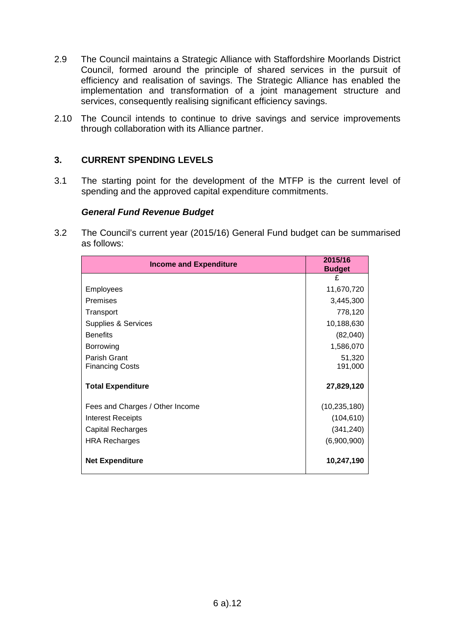- 2.9 The Council maintains a Strategic Alliance with Staffordshire Moorlands District Council, formed around the principle of shared services in the pursuit of efficiency and realisation of savings. The Strategic Alliance has enabled the implementation and transformation of a joint management structure and services, consequently realising significant efficiency savings.
- 2.10 The Council intends to continue to drive savings and service improvements through collaboration with its Alliance partner.

# **3. CURRENT SPENDING LEVELS**

3.1 The starting point for the development of the MTFP is the current level of spending and the approved capital expenditure commitments.

#### *General Fund Revenue Budget*

3.2 The Council's current year (2015/16) General Fund budget can be summarised as follows:

| <b>Income and Expenditure</b>   | 2015/16<br><b>Budget</b> |
|---------------------------------|--------------------------|
|                                 | £                        |
| <b>Employees</b>                | 11,670,720               |
| <b>Premises</b>                 | 3,445,300                |
| Transport                       | 778,120                  |
| <b>Supplies &amp; Services</b>  | 10,188,630               |
| <b>Benefits</b>                 | (82,040)                 |
| Borrowing                       | 1,586,070                |
| Parish Grant                    | 51,320                   |
| <b>Financing Costs</b>          | 191,000                  |
| <b>Total Expenditure</b>        | 27,829,120               |
| Fees and Charges / Other Income | (10, 235, 180)           |
| Interest Receipts               | (104, 610)               |
| <b>Capital Recharges</b>        | (341, 240)               |
| <b>HRA Recharges</b>            | (6,900,900)              |
| <b>Net Expenditure</b>          | 10,247,190               |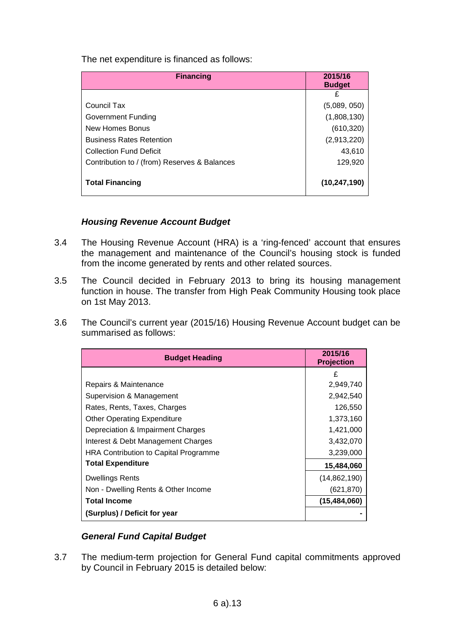The net expenditure is financed as follows:

| <b>Financing</b>                             | 2015/16<br><b>Budget</b> |  |
|----------------------------------------------|--------------------------|--|
|                                              | £                        |  |
| Council Tax                                  | (5,089, 050)             |  |
| Government Funding                           | (1,808,130)              |  |
| New Homes Bonus                              | (610, 320)               |  |
| <b>Business Rates Retention</b>              | (2,913,220)              |  |
| <b>Collection Fund Deficit</b>               | 43,610                   |  |
| Contribution to / (from) Reserves & Balances | 129,920                  |  |
| <b>Total Financing</b>                       | (10, 247, 190)           |  |

# *Housing Revenue Account Budget*

- 3.4 The Housing Revenue Account (HRA) is a 'ring-fenced' account that ensures the management and maintenance of the Council's housing stock is funded from the income generated by rents and other related sources.
- 3.5 The Council decided in February 2013 to bring its housing management function in house. The transfer from High Peak Community Housing took place on 1st May 2013.
- 3.6 The Council's current year (2015/16) Housing Revenue Account budget can be summarised as follows:

| <b>Budget Heading</b>                 | 2015/16<br><b>Projection</b> |
|---------------------------------------|------------------------------|
|                                       | £                            |
| Repairs & Maintenance                 | 2,949,740                    |
| Supervision & Management              | 2,942,540                    |
| Rates, Rents, Taxes, Charges          | 126,550                      |
| <b>Other Operating Expenditure</b>    | 1,373,160                    |
| Depreciation & Impairment Charges     | 1,421,000                    |
| Interest & Debt Management Charges    | 3,432,070                    |
| HRA Contribution to Capital Programme | 3,239,000                    |
| <b>Total Expenditure</b>              | 15,484,060                   |
| Dwellings Rents                       | (14,862,190)                 |
| Non - Dwelling Rents & Other Income   | (621, 870)                   |
| <b>Total Income</b>                   | (15, 484, 060)               |
| (Surplus) / Deficit for year          |                              |

# *General Fund Capital Budget*

3.7 The medium-term projection for General Fund capital commitments approved by Council in February 2015 is detailed below: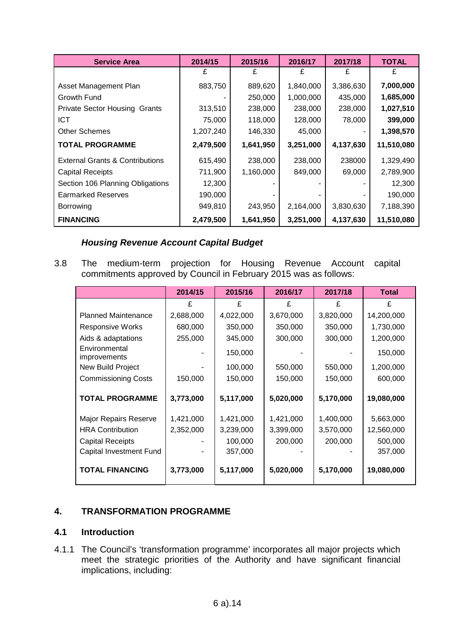| <b>Service Area</b>                        | 2014/15   | 2015/16   | 2016/17   | 2017/18   | <b>TOTAL</b> |
|--------------------------------------------|-----------|-----------|-----------|-----------|--------------|
|                                            |           |           | £         | £         | £            |
| Asset Management Plan                      | 883,750   | 889,620   | 1,840,000 | 3,386,630 | 7,000,000    |
| Growth Fund                                |           | 250,000   | 1,000,000 | 435,000   | 1,685,000    |
| <b>Private Sector Housing Grants</b>       | 313,510   | 238,000   | 238,000   | 238,000   | 1,027,510    |
| <b>ICT</b>                                 | 75,000    | 118,000   | 128,000   | 78,000    | 399,000      |
| <b>Other Schemes</b>                       | 1,207,240 | 146,330   | 45,000    |           | 1,398,570    |
| <b>TOTAL PROGRAMME</b>                     | 2,479,500 | 1,641,950 | 3,251,000 | 4,137,630 | 11,510,080   |
| <b>External Grants &amp; Contributions</b> | 615,490   | 238,000   | 238,000   | 238000    | 1,329,490    |
| <b>Capital Receipts</b>                    | 711,900   | 1,160,000 | 849,000   | 69,000    | 2,789,900    |
| Section 106 Planning Obligations           | 12,300    |           |           |           | 12,300       |
| <b>Earmarked Reserves</b>                  | 190,000   |           |           |           | 190,000      |
| Borrowing                                  | 949,810   | 243,950   | 2,164,000 | 3,830,630 | 7,188,390    |
| <b>FINANCING</b>                           | 2,479,500 | 1,641,950 | 3,251,000 | 4,137,630 | 11,510,080   |

# *Housing Revenue Account Capital Budget*

3.8 The medium-term projection for Housing Revenue Account capital commitments approved by Council in February 2015 was as follows:

|                                                                                                        | 2014/15                | 2015/16                                      | 2016/17                           | 2017/18                           | <b>Total</b>                                  |
|--------------------------------------------------------------------------------------------------------|------------------------|----------------------------------------------|-----------------------------------|-----------------------------------|-----------------------------------------------|
|                                                                                                        | £                      | £                                            | £                                 | £                                 | £                                             |
| <b>Planned Maintenance</b>                                                                             | 2,688,000              | 4,022,000                                    | 3,670,000                         | 3,820,000                         | 14,200,000                                    |
| <b>Responsive Works</b>                                                                                | 680,000                | 350,000                                      | 350,000                           | 350,000                           | 1,730,000                                     |
| Aids & adaptations                                                                                     | 255,000                | 345,000                                      | 300,000                           | 300,000                           | 1,200,000                                     |
| Environmental<br>improvements                                                                          |                        | 150,000                                      |                                   |                                   | 150,000                                       |
| New Build Project                                                                                      |                        | 100,000                                      | 550,000                           | 550,000                           | 1,200,000                                     |
| <b>Commissioning Costs</b>                                                                             | 150,000                | 150,000                                      | 150,000                           | 150,000                           | 600,000                                       |
|                                                                                                        |                        |                                              |                                   |                                   |                                               |
| <b>TOTAL PROGRAMME</b>                                                                                 | 3,773,000              | 5,117,000                                    | 5,020,000                         | 5,170,000                         | 19,080,000                                    |
| Major Repairs Reserve<br><b>HRA Contribution</b><br><b>Capital Receipts</b><br>Capital Investment Fund | 1,421,000<br>2,352,000 | 1,421,000<br>3,239,000<br>100,000<br>357,000 | 1,421,000<br>3,399,000<br>200,000 | 1,400,000<br>3,570,000<br>200,000 | 5,663,000<br>12,560,000<br>500,000<br>357,000 |
| <b>TOTAL FINANCING</b>                                                                                 | 3,773,000              | 5,117,000                                    | 5,020,000                         | 5,170,000                         | 19,080,000                                    |

# **4. TRANSFORMATION PROGRAMME**

## **4.1 Introduction**

4.1.1 The Council's 'transformation programme' incorporates all major projects which meet the strategic priorities of the Authority and have significant financial implications, including: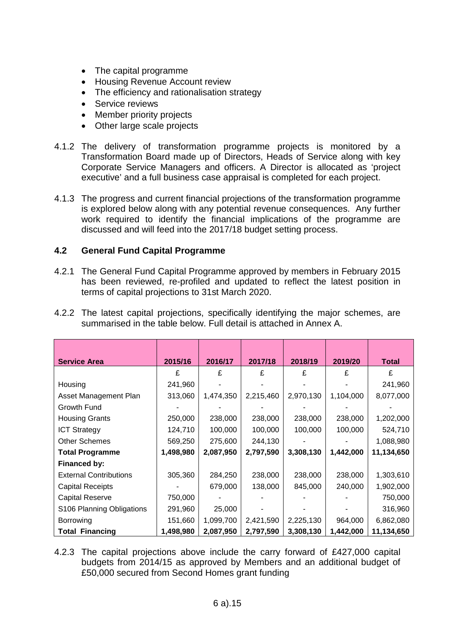- The capital programme
- Housing Revenue Account review
- The efficiency and rationalisation strategy
- Service reviews
- Member priority projects
- Other large scale projects
- 4.1.2 The delivery of transformation programme projects is monitored by a Transformation Board made up of Directors, Heads of Service along with key Corporate Service Managers and officers. A Director is allocated as 'project executive' and a full business case appraisal is completed for each project.
- 4.1.3 The progress and current financial projections of the transformation programme is explored below along with any potential revenue consequences. Any further work required to identify the financial implications of the programme are discussed and will feed into the 2017/18 budget setting process.

# **4.2 General Fund Capital Programme**

4.2.1 The General Fund Capital Programme approved by members in February 2015 has been reviewed, re-profiled and updated to reflect the latest position in terms of capital projections to 31st March 2020.

| <b>Service Area</b>           | 2015/16   | 2016/17   | 2017/18   | 2018/19   | 2019/20   | <b>Total</b> |
|-------------------------------|-----------|-----------|-----------|-----------|-----------|--------------|
|                               | £         | £         | £         | £         | £         | £            |
| Housing                       | 241,960   |           |           |           |           | 241,960      |
| Asset Management Plan         | 313,060   | 1,474,350 | 2,215,460 | 2,970,130 | 1,104,000 | 8,077,000    |
| Growth Fund                   |           |           |           |           |           |              |
| <b>Housing Grants</b>         | 250,000   | 238,000   | 238,000   | 238,000   | 238,000   | 1,202,000    |
| <b>ICT Strategy</b>           | 124,710   | 100,000   | 100,000   | 100,000   | 100,000   | 524,710      |
| <b>Other Schemes</b>          | 569,250   | 275,600   | 244,130   |           |           | 1,088,980    |
| <b>Total Programme</b>        | 1,498,980 | 2,087,950 | 2,797,590 | 3,308,130 | 1,442,000 | 11,134,650   |
| Financed by:                  |           |           |           |           |           |              |
| <b>External Contributions</b> | 305,360   | 284,250   | 238,000   | 238,000   | 238,000   | 1,303,610    |
| <b>Capital Receipts</b>       |           | 679,000   | 138,000   | 845,000   | 240,000   | 1,902,000    |
| <b>Capital Reserve</b>        | 750,000   |           |           |           |           | 750,000      |
| S106 Planning Obligations     | 291,960   | 25,000    |           |           |           | 316,960      |
| Borrowing                     | 151,660   | 1,099,700 | 2,421,590 | 2,225,130 | 964,000   | 6,862,080    |
| <b>Total Financing</b>        | 1,498,980 | 2,087,950 | 2,797,590 | 3,308,130 | 1,442,000 | 11,134,650   |

4.2.2 The latest capital projections, specifically identifying the major schemes, are summarised in the table below. Full detail is attached in Annex A.

4.2.3 The capital projections above include the carry forward of £427,000 capital budgets from 2014/15 as approved by Members and an additional budget of £50,000 secured from Second Homes grant funding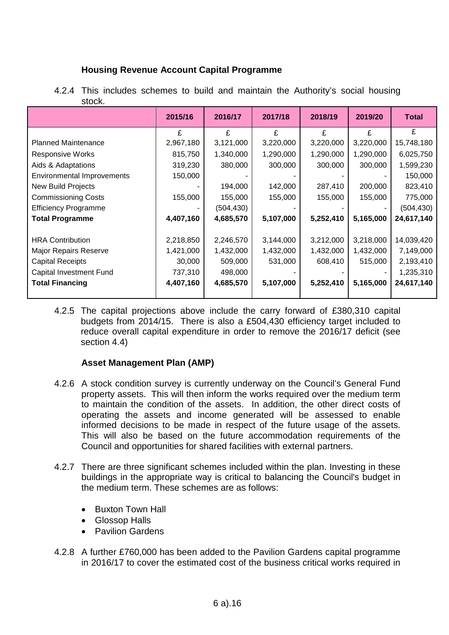# **Housing Revenue Account Capital Programme**

|                                   | 2015/16   | 2016/17    | 2017/18   | 2018/19   | 2019/20   | <b>Total</b> |
|-----------------------------------|-----------|------------|-----------|-----------|-----------|--------------|
|                                   | £         | £          | £         | £         | £         | £            |
| <b>Planned Maintenance</b>        | 2,967,180 | 3,121,000  | 3,220,000 | 3,220,000 | 3,220,000 | 15,748,180   |
| <b>Responsive Works</b>           | 815,750   | 1,340,000  | 1,290,000 | 1,290,000 | 1,290,000 | 6,025,750    |
| Aids & Adaptations                | 319,230   | 380,000    | 300,000   | 300,000   | 300,000   | 1,599,230    |
| <b>Environmental Improvements</b> | 150,000   |            |           |           |           | 150,000      |
| New Build Projects                |           | 194,000    | 142,000   | 287,410   | 200,000   | 823,410      |
| <b>Commissioning Costs</b>        | 155,000   | 155,000    | 155,000   | 155,000   | 155,000   | 775,000      |
| <b>Efficiency Programme</b>       |           | (504, 430) |           |           |           | (504, 430)   |
| <b>Total Programme</b>            | 4,407,160 | 4,685,570  | 5,107,000 | 5,252,410 | 5,165,000 | 24,617,140   |
|                                   |           |            |           |           |           |              |
| <b>HRA Contribution</b>           | 2,218,850 | 2,246,570  | 3,144,000 | 3,212,000 | 3,218,000 | 14,039,420   |
| Major Repairs Reserve             | 1,421,000 | 1,432,000  | 1,432,000 | 1,432,000 | 1,432,000 | 7,149,000    |
| <b>Capital Receipts</b>           | 30,000    | 509,000    | 531,000   | 608,410   | 515,000   | 2,193,410    |
| <b>Capital Investment Fund</b>    | 737,310   | 498,000    |           |           |           | 1,235,310    |
| <b>Total Financing</b>            | 4,407,160 | 4,685,570  | 5,107,000 | 5,252,410 | 5,165,000 | 24,617,140   |
|                                   |           |            |           |           |           |              |

4.2.4 This includes schemes to build and maintain the Authority's social housing stock.

4.2.5 The capital projections above include the carry forward of £380,310 capital budgets from 2014/15. There is also a £504,430 efficiency target included to reduce overall capital expenditure in order to remove the 2016/17 deficit (see section 4.4)

# **Asset Management Plan (AMP)**

- 4.2.6 A stock condition survey is currently underway on the Council's General Fund property assets. This will then inform the works required over the medium term to maintain the condition of the assets. In addition, the other direct costs of operating the assets and income generated will be assessed to enable informed decisions to be made in respect of the future usage of the assets. This will also be based on the future accommodation requirements of the Council and opportunities for shared facilities with external partners.
- 4.2.7 There are three significant schemes included within the plan. Investing in these buildings in the appropriate way is critical to balancing the Council's budget in the medium term. These schemes are as follows:
	- Buxton Town Hall
	- Glossop Halls
	- Pavilion Gardens
- 4.2.8 A further £760,000 has been added to the Pavilion Gardens capital programme in 2016/17 to cover the estimated cost of the business critical works required in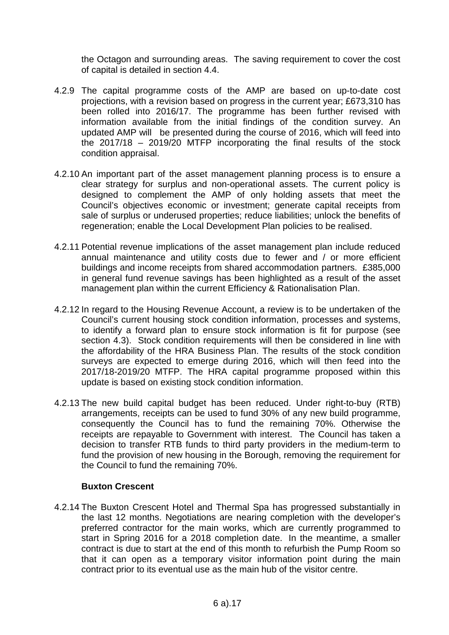the Octagon and surrounding areas. The saving requirement to cover the cost of capital is detailed in section 4.4.

- 4.2.9 The capital programme costs of the AMP are based on up-to-date cost projections, with a revision based on progress in the current year; £673,310 has been rolled into 2016/17. The programme has been further revised with information available from the initial findings of the condition survey. An updated AMP will be presented during the course of 2016, which will feed into the 2017/18 – 2019/20 MTFP incorporating the final results of the stock condition appraisal.
- 4.2.10 An important part of the asset management planning process is to ensure a clear strategy for surplus and non-operational assets. The current policy is designed to complement the AMP of only holding assets that meet the Council's objectives economic or investment; generate capital receipts from sale of surplus or underused properties; reduce liabilities; unlock the benefits of regeneration; enable the Local Development Plan policies to be realised.
- 4.2.11 Potential revenue implications of the asset management plan include reduced annual maintenance and utility costs due to fewer and / or more efficient buildings and income receipts from shared accommodation partners. £385,000 in general fund revenue savings has been highlighted as a result of the asset management plan within the current Efficiency & Rationalisation Plan.
- 4.2.12 In regard to the Housing Revenue Account, a review is to be undertaken of the Council's current housing stock condition information, processes and systems, to identify a forward plan to ensure stock information is fit for purpose (see section 4.3). Stock condition requirements will then be considered in line with the affordability of the HRA Business Plan. The results of the stock condition surveys are expected to emerge during 2016, which will then feed into the 2017/18-2019/20 MTFP. The HRA capital programme proposed within this update is based on existing stock condition information.
- 4.2.13 The new build capital budget has been reduced. Under right-to-buy (RTB) arrangements, receipts can be used to fund 30% of any new build programme, consequently the Council has to fund the remaining 70%. Otherwise the receipts are repayable to Government with interest. The Council has taken a decision to transfer RTB funds to third party providers in the medium-term to fund the provision of new housing in the Borough, removing the requirement for the Council to fund the remaining 70%.

## **Buxton Crescent**

4.2.14 The Buxton Crescent Hotel and Thermal Spa has progressed substantially in the last 12 months. Negotiations are nearing completion with the developer's preferred contractor for the main works, which are currently programmed to start in Spring 2016 for a 2018 completion date. In the meantime, a smaller contract is due to start at the end of this month to refurbish the Pump Room so that it can open as a temporary visitor information point during the main contract prior to its eventual use as the main hub of the visitor centre.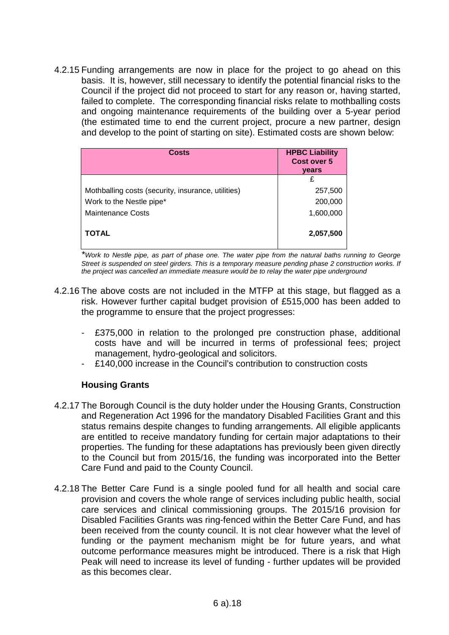4.2.15 Funding arrangements are now in place for the project to go ahead on this basis. It is, however, still necessary to identify the potential financial risks to the Council if the project did not proceed to start for any reason or, having started, failed to complete. The corresponding financial risks relate to mothballing costs and ongoing maintenance requirements of the building over a 5-year period (the estimated time to end the current project, procure a new partner, design and develop to the point of starting on site). Estimated costs are shown below:

| <b>Costs</b>                                       | <b>HPBC Liability</b><br>Cost over 5<br>years |
|----------------------------------------------------|-----------------------------------------------|
|                                                    | £                                             |
| Mothballing costs (security, insurance, utilities) | 257,500                                       |
| Work to the Nestle pipe*                           | 200,000                                       |
| Maintenance Costs                                  | 1,600,000                                     |
| <b>TOTAL</b>                                       | 2,057,500                                     |

*\*Work to Nestle pipe, as part of phase one. The water pipe from the natural baths running to George Street is suspended on steel girders. This is a temporary measure pending phase 2 construction works. If the project was cancelled an immediate measure would be to relay the water pipe underground*

- 4.2.16 The above costs are not included in the MTFP at this stage, but flagged as a risk. However further capital budget provision of £515,000 has been added to the programme to ensure that the project progresses:
	- £375,000 in relation to the prolonged pre construction phase, additional costs have and will be incurred in terms of professional fees; project management, hydro-geological and solicitors.
	- £140,000 increase in the Council's contribution to construction costs

## **Housing Grants**

- 4.2.17 The Borough Council is the duty holder under the Housing Grants, Construction and Regeneration Act 1996 for the mandatory Disabled Facilities Grant and this status remains despite changes to funding arrangements. All eligible applicants are entitled to receive mandatory funding for certain major adaptations to their properties. The funding for these adaptations has previously been given directly to the Council but from 2015/16, the funding was incorporated into the Better Care Fund and paid to the County Council.
- 4.2.18 The Better Care Fund is a single pooled fund for all health and social care provision and covers the whole range of services including public health, social care services and clinical commissioning groups. The 2015/16 provision for Disabled Facilities Grants was ring-fenced within the Better Care Fund, and has been received from the county council. It is not clear however what the level of funding or the payment mechanism might be for future years, and what outcome performance measures might be introduced. There is a risk that High Peak will need to increase its level of funding - further updates will be provided as this becomes clear.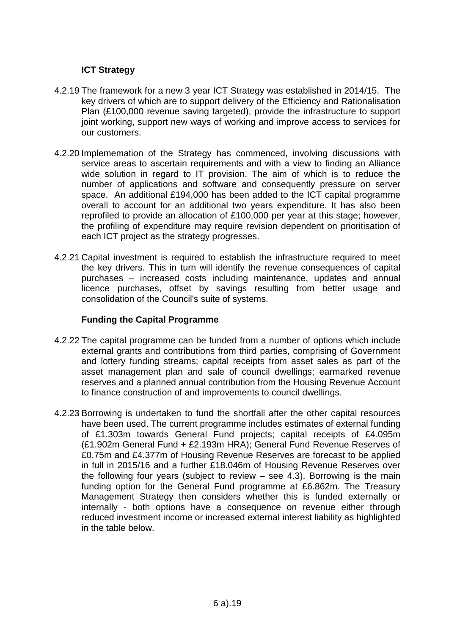# **ICT Strategy**

- 4.2.19 The framework for a new 3 year ICT Strategy was established in 2014/15. The key drivers of which are to support delivery of the Efficiency and Rationalisation Plan (£100,000 revenue saving targeted), provide the infrastructure to support joint working, support new ways of working and improve access to services for our customers.
- 4.2.20 Implememation of the Strategy has commenced, involving discussions with service areas to ascertain requirements and with a view to finding an Alliance wide solution in regard to IT provision. The aim of which is to reduce the number of applications and software and consequently pressure on server space. An additional £194,000 has been added to the ICT capital programme overall to account for an additional two years expenditure. It has also been reprofiled to provide an allocation of £100,000 per year at this stage; however, the profiling of expenditure may require revision dependent on prioritisation of each ICT project as the strategy progresses.
- 4.2.21 Capital investment is required to establish the infrastructure required to meet the key drivers. This in turn will identify the revenue consequences of capital purchases – increased costs including maintenance, updates and annual licence purchases, offset by savings resulting from better usage and consolidation of the Council's suite of systems.

## **Funding the Capital Programme**

- 4.2.22 The capital programme can be funded from a number of options which include external grants and contributions from third parties, comprising of Government and lottery funding streams; capital receipts from asset sales as part of the asset management plan and sale of council dwellings; earmarked revenue reserves and a planned annual contribution from the Housing Revenue Account to finance construction of and improvements to council dwellings.
- 4.2.23 Borrowing is undertaken to fund the shortfall after the other capital resources have been used. The current programme includes estimates of external funding of £1.303m towards General Fund projects; capital receipts of £4.095m (£1.902m General Fund + £2.193m HRA); General Fund Revenue Reserves of £0.75m and £4.377m of Housing Revenue Reserves are forecast to be applied in full in 2015/16 and a further £18.046m of Housing Revenue Reserves over the following four years (subject to review – see 4.3). Borrowing is the main funding option for the General Fund programme at £6.862m. The Treasury Management Strategy then considers whether this is funded externally or internally - both options have a consequence on revenue either through reduced investment income or increased external interest liability as highlighted in the table below.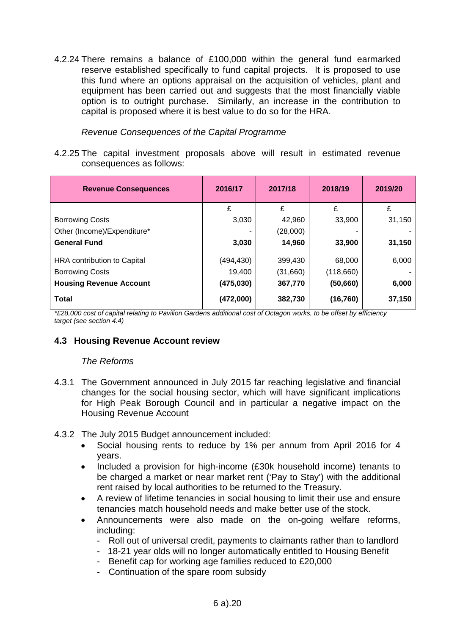4.2.24 There remains a balance of £100,000 within the general fund earmarked reserve established specifically to fund capital projects. It is proposed to use this fund where an options appraisal on the acquisition of vehicles, plant and equipment has been carried out and suggests that the most financially viable option is to outright purchase. Similarly, an increase in the contribution to capital is proposed where it is best value to do so for the HRA.

*Revenue Consequences of the Capital Programme*

4.2.25 The capital investment proposals above will result in estimated revenue consequences as follows:

| <b>Revenue Consequences</b>    | 2016/17    | 2017/18  | 2018/19   | 2019/20 |
|--------------------------------|------------|----------|-----------|---------|
|                                | £          | £        | £         | £       |
| <b>Borrowing Costs</b>         | 3,030      | 42,960   | 33,900    | 31,150  |
| Other (Income)/Expenditure*    |            | (28,000) |           |         |
| <b>General Fund</b>            | 3,030      | 14,960   | 33,900    | 31,150  |
| HRA contribution to Capital    | (494, 430) | 399,430  | 68,000    | 6,000   |
| <b>Borrowing Costs</b>         | 19,400     | (31,660) | (118,660) |         |
| <b>Housing Revenue Account</b> | (475,030)  | 367,770  | (50, 660) | 6,000   |
| <b>Total</b>                   | (472,000)  | 382,730  | (16, 760) | 37,150  |

*\*£28,000 cost of capital relating to Pavilion Gardens additional cost of Octagon works, to be offset by efficiency target (see section 4.4)*

# **4.3 Housing Revenue Account review**

## *The Reforms*

- 4.3.1 The Government announced in July 2015 far reaching legislative and financial changes for the social housing sector, which will have significant implications for High Peak Borough Council and in particular a negative impact on the Housing Revenue Account
- 4.3.2 The July 2015 Budget announcement included:
	- Social housing rents to reduce by 1% per annum from April 2016 for 4 years.
	- Included a provision for high-income (£30k household income) tenants to be charged a market or near market rent ('Pay to Stay') with the additional rent raised by local authorities to be returned to the Treasury.
	- A review of lifetime tenancies in social housing to limit their use and ensure tenancies match household needs and make better use of the stock.
	- Announcements were also made on the on-going welfare reforms, including:
		- Roll out of universal credit, payments to claimants rather than to landlord
		- 18-21 year olds will no longer automatically entitled to Housing Benefit
		- Benefit cap for working age families reduced to £20,000
		- Continuation of the spare room subsidy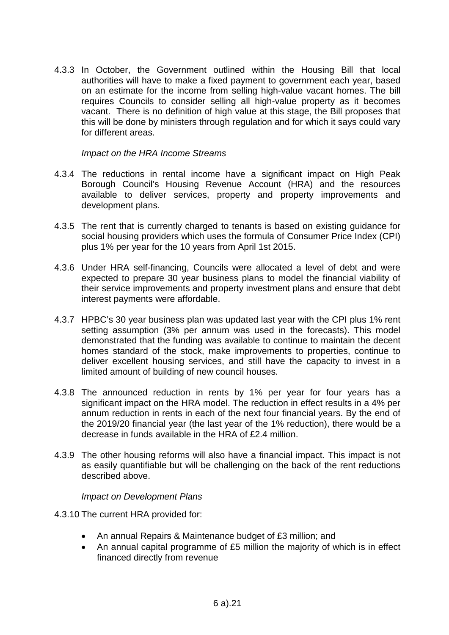4.3.3 In October, the Government outlined within the Housing Bill that local authorities will have to make a fixed payment to government each year, based on an estimate for the income from selling high-value vacant homes. The bill requires Councils to consider selling all high-value property as it becomes vacant. There is no definition of high value at this stage, the Bill proposes that this will be done by ministers through regulation and for which it says could vary for different areas.

### *Impact on the HRA Income Streams*

- 4.3.4 The reductions in rental income have a significant impact on High Peak Borough Council's Housing Revenue Account (HRA) and the resources available to deliver services, property and property improvements and development plans.
- 4.3.5 The rent that is currently charged to tenants is based on existing guidance for social housing providers which uses the formula of Consumer Price Index (CPI) plus 1% per year for the 10 years from April 1st 2015.
- 4.3.6 Under HRA self-financing, Councils were allocated a level of debt and were expected to prepare 30 year business plans to model the financial viability of their service improvements and property investment plans and ensure that debt interest payments were affordable.
- 4.3.7 HPBC's 30 year business plan was updated last year with the CPI plus 1% rent setting assumption (3% per annum was used in the forecasts). This model demonstrated that the funding was available to continue to maintain the decent homes standard of the stock, make improvements to properties, continue to deliver excellent housing services, and still have the capacity to invest in a limited amount of building of new council houses.
- 4.3.8 The announced reduction in rents by 1% per year for four years has a significant impact on the HRA model. The reduction in effect results in a 4% per annum reduction in rents in each of the next four financial years. By the end of the 2019/20 financial year (the last year of the 1% reduction), there would be a decrease in funds available in the HRA of £2.4 million.
- 4.3.9 The other housing reforms will also have a financial impact. This impact is not as easily quantifiable but will be challenging on the back of the rent reductions described above.

#### *Impact on Development Plans*

- 4.3.10 The current HRA provided for:
	- An annual Repairs & Maintenance budget of £3 million; and
	- An annual capital programme of £5 million the majority of which is in effect financed directly from revenue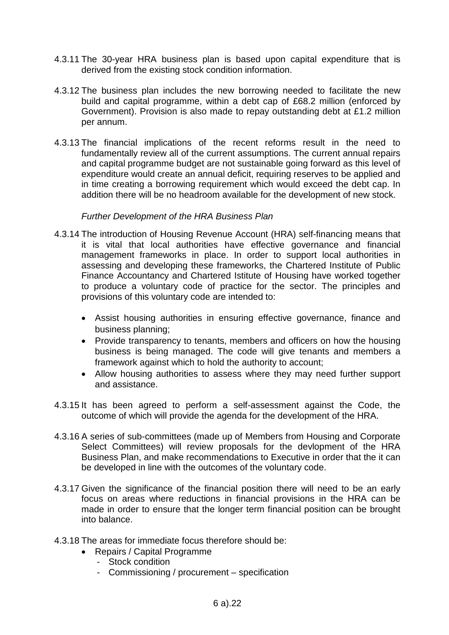- 4.3.11 The 30-year HRA business plan is based upon capital expenditure that is derived from the existing stock condition information.
- 4.3.12 The business plan includes the new borrowing needed to facilitate the new build and capital programme, within a debt cap of £68.2 million (enforced by Government). Provision is also made to repay outstanding debt at £1.2 million per annum.
- 4.3.13 The financial implications of the recent reforms result in the need to fundamentally review all of the current assumptions. The current annual repairs and capital programme budget are not sustainable going forward as this level of expenditure would create an annual deficit, requiring reserves to be applied and in time creating a borrowing requirement which would exceed the debt cap. In addition there will be no headroom available for the development of new stock.

#### *Further Development of the HRA Business Plan*

- 4.3.14 The introduction of Housing Revenue Account (HRA) self-financing means that it is vital that local authorities have effective governance and financial management frameworks in place. In order to support local authorities in assessing and developing these frameworks, the Chartered Institute of Public Finance Accountancy and Chartered Istitute of Housing have worked together to produce a voluntary code of practice for the sector. The principles and provisions of this voluntary code are intended to:
	- Assist housing authorities in ensuring effective governance, finance and business planning;
	- Provide transparency to tenants, members and officers on how the housing business is being managed. The code will give tenants and members a framework against which to hold the authority to account;
	- Allow housing authorities to assess where they may need further support and assistance.
- 4.3.15 It has been agreed to perform a self-assessment against the Code, the outcome of which will provide the agenda for the development of the HRA.
- 4.3.16 A series of sub-committees (made up of Members from Housing and Corporate Select Committees) will review proposals for the devlopment of the HRA Business Plan, and make recommendations to Executive in order that the it can be developed in line with the outcomes of the voluntary code.
- 4.3.17 Given the significance of the financial position there will need to be an early focus on areas where reductions in financial provisions in the HRA can be made in order to ensure that the longer term financial position can be brought into balance.
- 4.3.18 The areas for immediate focus therefore should be:
	- Repairs / Capital Programme
		- Stock condition
		- Commissioning / procurement specification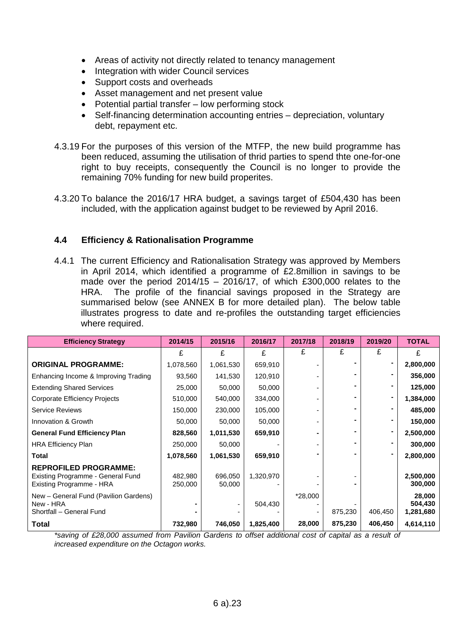- Areas of activity not directly related to tenancy management
- Integration with wider Council services
- Support costs and overheads
- Asset management and net present value
- Potential partial transfer low performing stock
- Self-financing determination accounting entries depreciation, voluntary debt, repayment etc.
- 4.3.19 For the purposes of this version of the MTFP, the new build programme has been reduced, assuming the utilisation of thrid parties to spend thte one-for-one right to buy receipts, consequently the Council is no longer to provide the remaining 70% funding for new build properites.
- 4.3.20 To balance the 2016/17 HRA budget, a savings target of £504,430 has been included, with the application against budget to be reviewed by April 2016.

# **4.4 Efficiency & Rationalisation Programme**

4.4.1 The current Efficiency and Rationalisation Strategy was approved by Members in April 2014, which identified a programme of £2.8million in savings to be made over the period  $2014/15 - 2016/17$ , of which £300,000 relates to the HRA. The profile of the financial savings proposed in the Strategy are summarised below (see ANNEX B for more detailed plan). The below table illustrates progress to date and re-profiles the outstanding target efficiencies where required.

| <b>Efficiency Strategy</b>                                                                    | 2014/15            | 2015/16           | 2016/17   | 2017/18 | 2018/19 | 2019/20        | <b>TOTAL</b>                   |
|-----------------------------------------------------------------------------------------------|--------------------|-------------------|-----------|---------|---------|----------------|--------------------------------|
|                                                                                               | £                  | £                 | £         | £       | £       | £              | £                              |
| <b>ORIGINAL PROGRAMME:</b>                                                                    | 1,078,560          | 1,061,530         | 659,910   |         |         |                | 2,800,000                      |
| Enhancing Income & Improving Trading                                                          | 93,560             | 141,530           | 120,910   |         |         |                | 356,000                        |
| <b>Extending Shared Services</b>                                                              | 25,000             | 50,000            | 50,000    |         |         |                | 125,000                        |
| Corporate Efficiency Projects                                                                 | 510,000            | 540,000           | 334,000   |         |         | $\blacksquare$ | 1,384,000                      |
| Service Reviews                                                                               | 150,000            | 230,000           | 105,000   |         |         |                | 485,000                        |
| Innovation & Growth                                                                           | 50,000             | 50,000            | 50,000    |         |         |                | 150,000                        |
| <b>General Fund Efficiency Plan</b>                                                           | 828,560            | 1,011,530         | 659,910   |         |         | $\blacksquare$ | 2,500,000                      |
| <b>HRA Efficiency Plan</b>                                                                    | 250,000            | 50,000            |           |         |         |                | 300,000                        |
| Total                                                                                         | 1,078,560          | 1,061,530         | 659,910   |         |         |                | 2,800,000                      |
| <b>REPROFILED PROGRAMME:</b><br>Existing Programme - General Fund<br>Existing Programme - HRA | 482,980<br>250,000 | 696,050<br>50,000 | 1,320,970 |         |         |                | 2,500,000<br>300,000           |
| New - General Fund (Pavilion Gardens)<br>New - HRA<br>Shortfall - General Fund                |                    |                   | 504,430   | *28,000 | 875,230 | 406,450        | 28,000<br>504,430<br>1,281,680 |
| Total                                                                                         | 732,980            | 746,050           | 1,825,400 | 28,000  | 875,230 | 406,450        | 4,614,110                      |

*\*saving of £28,000 assumed from Pavilion Gardens to offset additional cost of capital as a result of increased expenditure on the Octagon works.*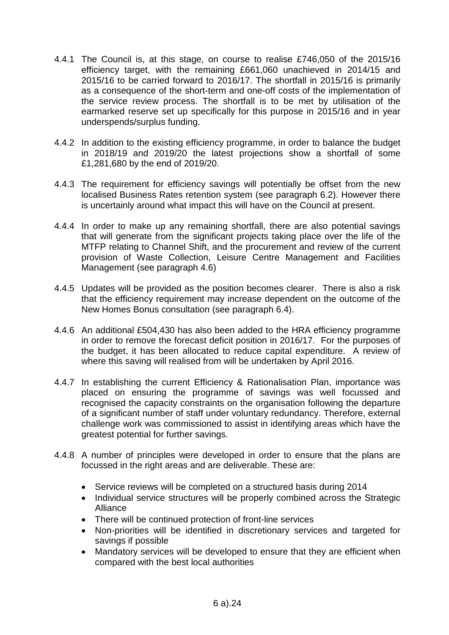- 4.4.1 The Council is, at this stage, on course to realise £746,050 of the 2015/16 efficiency target, with the remaining £661,060 unachieved in 2014/15 and 2015/16 to be carried forward to 2016/17. The shortfall in 2015/16 is primarily as a consequence of the short-term and one-off costs of the implementation of the service review process. The shortfall is to be met by utilisation of the earmarked reserve set up specifically for this purpose in 2015/16 and in year underspends/surplus funding.
- 4.4.2 In addition to the existing efficiency programme, in order to balance the budget in 2018/19 and 2019/20 the latest projections show a shortfall of some £1,281,680 by the end of 2019/20.
- 4.4.3 The requirement for efficiency savings will potentially be offset from the new localised Business Rates retention system (see paragraph 6.2). However there is uncertainly around what impact this will have on the Council at present.
- 4.4.4 In order to make up any remaining shortfall, there are also potential savings that will generate from the significant projects taking place over the life of the MTFP relating to Channel Shift, and the procurement and review of the current provision of Waste Collection, Leisure Centre Management and Facilities Management (see paragraph 4.6)
- 4.4.5 Updates will be provided as the position becomes clearer. There is also a risk that the efficiency requirement may increase dependent on the outcome of the New Homes Bonus consultation (see paragraph 6.4).
- 4.4.6 An additional £504,430 has also been added to the HRA efficiency programme in order to remove the forecast deficit position in 2016/17. For the purposes of the budget, it has been allocated to reduce capital expenditure. A review of where this saving will realised from will be undertaken by April 2016.
- 4.4.7 In establishing the current Efficiency & Rationalisation Plan, importance was placed on ensuring the programme of savings was well focussed and recognised the capacity constraints on the organisation following the departure of a significant number of staff under voluntary redundancy. Therefore, external challenge work was commissioned to assist in identifying areas which have the greatest potential for further savings.
- 4.4.8 A number of principles were developed in order to ensure that the plans are focussed in the right areas and are deliverable. These are:
	- Service reviews will be completed on a structured basis during 2014
	- Individual service structures will be properly combined across the Strategic Alliance
	- There will be continued protection of front-line services
	- Non-priorities will be identified in discretionary services and targeted for savings if possible
	- Mandatory services will be developed to ensure that they are efficient when compared with the best local authorities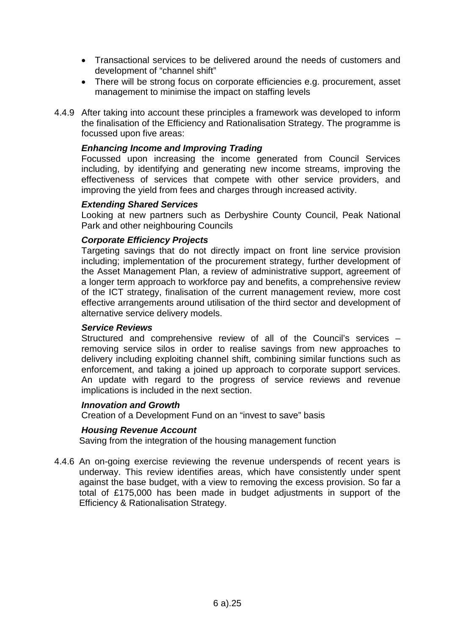- Transactional services to be delivered around the needs of customers and development of "channel shift"
- There will be strong focus on corporate efficiencies e.g. procurement, asset management to minimise the impact on staffing levels
- 4.4.9 After taking into account these principles a framework was developed to inform the finalisation of the Efficiency and Rationalisation Strategy. The programme is focussed upon five areas:

#### *Enhancing Income and Improving Trading*

Focussed upon increasing the income generated from Council Services including, by identifying and generating new income streams, improving the effectiveness of services that compete with other service providers, and improving the yield from fees and charges through increased activity.

#### *Extending Shared Services*

Looking at new partners such as Derbyshire County Council, Peak National Park and other neighbouring Councils

#### *Corporate Efficiency Projects*

Targeting savings that do not directly impact on front line service provision including; implementation of the procurement strategy, further development of the Asset Management Plan, a review of administrative support, agreement of a longer term approach to workforce pay and benefits, a comprehensive review of the ICT strategy, finalisation of the current management review, more cost effective arrangements around utilisation of the third sector and development of alternative service delivery models.

#### *Service Reviews*

Structured and comprehensive review of all of the Council's services – removing service silos in order to realise savings from new approaches to delivery including exploiting channel shift, combining similar functions such as enforcement, and taking a joined up approach to corporate support services. An update with regard to the progress of service reviews and revenue implications is included in the next section.

#### *Innovation and Growth*

Creation of a Development Fund on an "invest to save" basis

#### *Housing Revenue Account*

Saving from the integration of the housing management function

4.4.6 An on-going exercise reviewing the revenue underspends of recent years is underway. This review identifies areas, which have consistently under spent against the base budget, with a view to removing the excess provision. So far a total of £175,000 has been made in budget adjustments in support of the Efficiency & Rationalisation Strategy.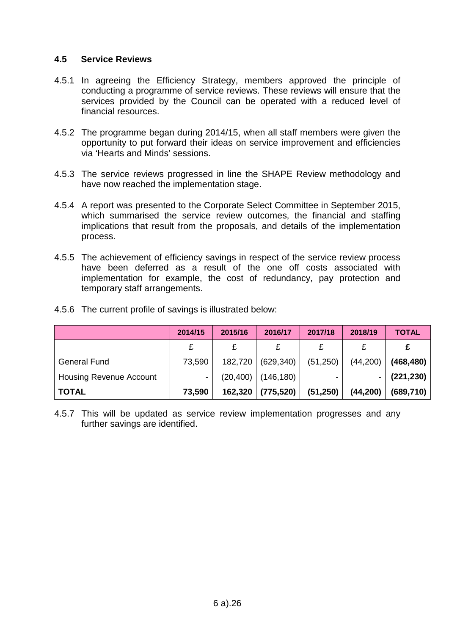# **4.5 Service Reviews**

- 4.5.1 In agreeing the Efficiency Strategy, members approved the principle of conducting a programme of service reviews. These reviews will ensure that the services provided by the Council can be operated with a reduced level of financial resources.
- 4.5.2 The programme began during 2014/15, when all staff members were given the opportunity to put forward their ideas on service improvement and efficiencies via 'Hearts and Minds' sessions.
- 4.5.3 The service reviews progressed in line the SHAPE Review methodology and have now reached the implementation stage.
- 4.5.4 A report was presented to the Corporate Select Committee in September 2015, which summarised the service review outcomes, the financial and staffing implications that result from the proposals, and details of the implementation process.
- 4.5.5 The achievement of efficiency savings in respect of the service review process have been deferred as a result of the one off costs associated with implementation for example, the cost of redundancy, pay protection and temporary staff arrangements.

|                                | 2014/15 | 2015/16   | 2016/17    | 2017/18   | 2018/19   | <b>TOTAL</b> |
|--------------------------------|---------|-----------|------------|-----------|-----------|--------------|
|                                |         | £         | £          |           |           |              |
| <b>General Fund</b>            | 73,590  | 182,720   | (629, 340) | (51,250)  | (44, 200) | (468, 480)   |
| <b>Housing Revenue Account</b> | ٠       | (20, 400) | (146, 180) | ۰         |           | (221, 230)   |
| <b>TOTAL</b>                   | 73,590  | 162,320   | (775, 520) | (51, 250) | (44, 200) | (689, 710)   |

4.5.6 The current profile of savings is illustrated below:

4.5.7 This will be updated as service review implementation progresses and any further savings are identified.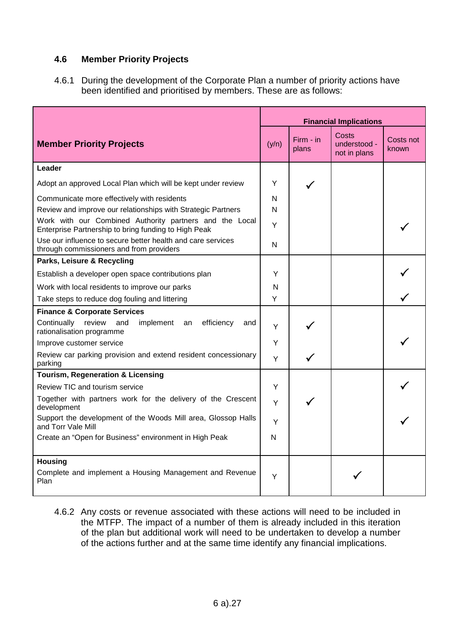# **4.6 Member Priority Projects**

4.6.1 During the development of the Corporate Plan a number of priority actions have been identified and prioritised by members. These are as follows:

|                                                                                                                 | <b>Financial Implications</b> |                    |                                       |                    |
|-----------------------------------------------------------------------------------------------------------------|-------------------------------|--------------------|---------------------------------------|--------------------|
| <b>Member Priority Projects</b>                                                                                 | (y/n)                         | Firm - in<br>plans | Costs<br>understood -<br>not in plans | Costs not<br>known |
| Leader                                                                                                          |                               |                    |                                       |                    |
| Adopt an approved Local Plan which will be kept under review                                                    | Y                             |                    |                                       |                    |
| Communicate more effectively with residents                                                                     | N                             |                    |                                       |                    |
| Review and improve our relationships with Strategic Partners                                                    | N                             |                    |                                       |                    |
| Work with our Combined Authority partners and the Local<br>Enterprise Partnership to bring funding to High Peak | Υ                             |                    |                                       |                    |
| Use our influence to secure better health and care services<br>through commissioners and from providers         | N                             |                    |                                       |                    |
| Parks, Leisure & Recycling                                                                                      |                               |                    |                                       |                    |
| Establish a developer open space contributions plan                                                             | Y                             |                    |                                       |                    |
| Work with local residents to improve our parks                                                                  | N                             |                    |                                       |                    |
| Take steps to reduce dog fouling and littering                                                                  | Y                             |                    |                                       |                    |
| <b>Finance &amp; Corporate Services</b>                                                                         |                               |                    |                                       |                    |
| Continually<br>review<br>and<br>implement<br>efficiency<br>an<br>and<br>rationalisation programme               | Y                             |                    |                                       |                    |
| Improve customer service                                                                                        | Y                             |                    |                                       |                    |
| Review car parking provision and extend resident concessionary<br>parking                                       | Y                             |                    |                                       |                    |
| <b>Tourism, Regeneration &amp; Licensing</b>                                                                    |                               |                    |                                       |                    |
| Review TIC and tourism service                                                                                  | Y                             |                    |                                       |                    |
| Together with partners work for the delivery of the Crescent<br>development                                     | Y                             |                    |                                       |                    |
| Support the development of the Woods Mill area, Glossop Halls<br>and Torr Vale Mill                             | Y                             |                    |                                       |                    |
| Create an "Open for Business" environment in High Peak                                                          | N                             |                    |                                       |                    |
| <b>Housing</b><br>Complete and implement a Housing Management and Revenue<br>Plan                               | Y                             |                    |                                       |                    |

4.6.2 Any costs or revenue associated with these actions will need to be included in the MTFP. The impact of a number of them is already included in this iteration of the plan but additional work will need to be undertaken to develop a number of the actions further and at the same time identify any financial implications.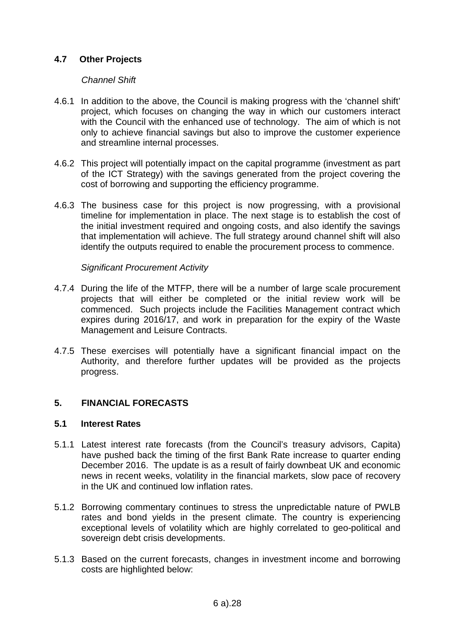# **4.7 Other Projects**

## *Channel Shift*

- 4.6.1 In addition to the above, the Council is making progress with the 'channel shift' project, which focuses on changing the way in which our customers interact with the Council with the enhanced use of technology. The aim of which is not only to achieve financial savings but also to improve the customer experience and streamline internal processes.
- 4.6.2 This project will potentially impact on the capital programme (investment as part of the ICT Strategy) with the savings generated from the project covering the cost of borrowing and supporting the efficiency programme.
- 4.6.3 The business case for this project is now progressing, with a provisional timeline for implementation in place. The next stage is to establish the cost of the initial investment required and ongoing costs, and also identify the savings that implementation will achieve. The full strategy around channel shift will also identify the outputs required to enable the procurement process to commence.

#### *Significant Procurement Activity*

- 4.7.4 During the life of the MTFP, there will be a number of large scale procurement projects that will either be completed or the initial review work will be commenced. Such projects include the Facilities Management contract which expires during 2016/17, and work in preparation for the expiry of the Waste Management and Leisure Contracts.
- 4.7.5 These exercises will potentially have a significant financial impact on the Authority, and therefore further updates will be provided as the projects progress.

## **5. FINANCIAL FORECASTS**

#### **5.1 Interest Rates**

- 5.1.1 Latest interest rate forecasts (from the Council's treasury advisors, Capita) have pushed back the timing of the first Bank Rate increase to quarter ending December 2016. The update is as a result of fairly downbeat UK and economic news in recent weeks, volatility in the financial markets, slow pace of recovery in the UK and continued low inflation rates.
- 5.1.2 Borrowing commentary continues to stress the unpredictable nature of PWLB rates and bond yields in the present climate. The country is experiencing exceptional levels of volatility which are highly correlated to geo-political and sovereign debt crisis developments.
- 5.1.3 Based on the current forecasts, changes in investment income and borrowing costs are highlighted below: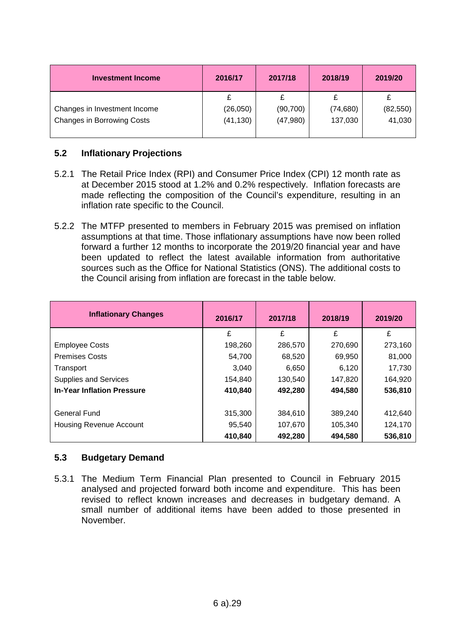| <b>Investment Income</b>          | 2016/17   | 2017/18  | 2018/19   | 2019/20   |
|-----------------------------------|-----------|----------|-----------|-----------|
|                                   |           |          |           |           |
| Changes in Investment Income      | (26, 050) | (90,700) | (74, 680) | (82, 550) |
| <b>Changes in Borrowing Costs</b> | (41,130)  | (47,980) | 137,030   | 41,030    |

# **5.2 Inflationary Projections**

- 5.2.1 The Retail Price Index (RPI) and Consumer Price Index (CPI) 12 month rate as at December 2015 stood at 1.2% and 0.2% respectively. Inflation forecasts are made reflecting the composition of the Council's expenditure, resulting in an inflation rate specific to the Council.
- 5.2.2 The MTFP presented to members in February 2015 was premised on inflation assumptions at that time. Those inflationary assumptions have now been rolled forward a further 12 months to incorporate the 2019/20 financial year and have been updated to reflect the latest available information from authoritative sources such as the Office for National Statistics (ONS). The additional costs to the Council arising from inflation are forecast in the table below.

| <b>Inflationary Changes</b>       | 2016/17 | 2017/18 | 2018/19 | 2019/20 |
|-----------------------------------|---------|---------|---------|---------|
|                                   | £       | £       | £       | £       |
| <b>Employee Costs</b>             | 198,260 | 286,570 | 270,690 | 273,160 |
| <b>Premises Costs</b>             | 54,700  | 68,520  | 69,950  | 81,000  |
| Transport                         | 3,040   | 6,650   | 6,120   | 17,730  |
| <b>Supplies and Services</b>      | 154,840 | 130,540 | 147,820 | 164,920 |
| <b>In-Year Inflation Pressure</b> | 410,840 | 492,280 | 494,580 | 536,810 |
|                                   |         |         |         |         |
| General Fund                      | 315,300 | 384,610 | 389,240 | 412,640 |
| <b>Housing Revenue Account</b>    | 95,540  | 107,670 | 105,340 | 124,170 |
|                                   | 410,840 | 492,280 | 494,580 | 536,810 |

## **5.3 Budgetary Demand**

5.3.1 The Medium Term Financial Plan presented to Council in February 2015 analysed and projected forward both income and expenditure. This has been revised to reflect known increases and decreases in budgetary demand. A small number of additional items have been added to those presented in November.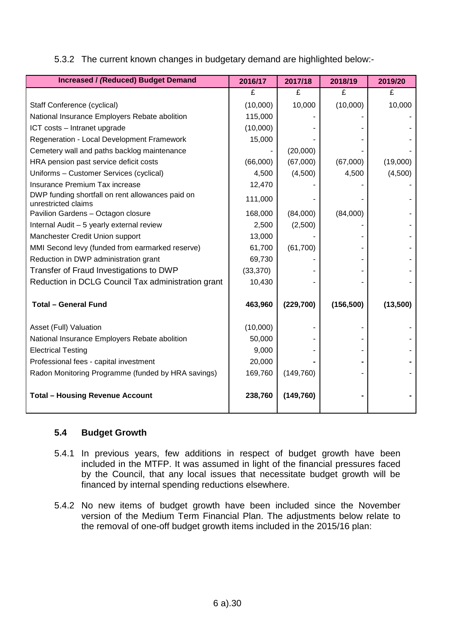| <b>Increased / (Reduced) Budget Demand</b>                              | 2016/17   | 2017/18    | 2018/19    | 2019/20  |
|-------------------------------------------------------------------------|-----------|------------|------------|----------|
|                                                                         | £         | £          | £          | £        |
| Staff Conference (cyclical)                                             | (10,000)  | 10,000     | (10,000)   | 10,000   |
| National Insurance Employers Rebate abolition                           | 115,000   |            |            |          |
| ICT costs - Intranet upgrade                                            | (10,000)  |            |            |          |
| Regeneration - Local Development Framework                              | 15,000    |            |            |          |
| Cemetery wall and paths backlog maintenance                             |           | (20,000)   |            |          |
| HRA pension past service deficit costs                                  | (66,000)  | (67,000)   | (67,000)   | (19,000) |
| Uniforms - Customer Services (cyclical)                                 | 4,500     | (4,500)    | 4,500      | (4,500)  |
| Insurance Premium Tax increase                                          | 12,470    |            |            |          |
| DWP funding shortfall on rent allowances paid on<br>unrestricted claims | 111,000   |            |            |          |
| Pavilion Gardens - Octagon closure                                      | 168,000   | (84,000)   | (84,000)   |          |
| Internal Audit - 5 yearly external review                               | 2,500     | (2,500)    |            |          |
| Manchester Credit Union support                                         | 13,000    |            |            |          |
| MMI Second levy (funded from earmarked reserve)                         | 61,700    | (61, 700)  |            |          |
| Reduction in DWP administration grant                                   | 69,730    |            |            |          |
| Transfer of Fraud Investigations to DWP                                 | (33, 370) |            |            |          |
| Reduction in DCLG Council Tax administration grant                      | 10,430    |            |            |          |
| <b>Total - General Fund</b>                                             | 463,960   | (229, 700) | (156, 500) | (13,500) |
| Asset (Full) Valuation                                                  | (10,000)  |            |            |          |
| National Insurance Employers Rebate abolition                           | 50,000    |            |            |          |
| <b>Electrical Testing</b>                                               | 9,000     |            |            |          |
| Professional fees - capital investment                                  | 20,000    |            |            |          |
| Radon Monitoring Programme (funded by HRA savings)                      | 169,760   | (149, 760) |            |          |
| <b>Total - Housing Revenue Account</b>                                  | 238,760   | (149, 760) |            |          |

# **5.4 Budget Growth**

- 5.4.1 In previous years, few additions in respect of budget growth have been included in the MTFP. It was assumed in light of the financial pressures faced by the Council, that any local issues that necessitate budget growth will be financed by internal spending reductions elsewhere.
- 5.4.2 No new items of budget growth have been included since the November version of the Medium Term Financial Plan. The adjustments below relate to the removal of one-off budget growth items included in the 2015/16 plan: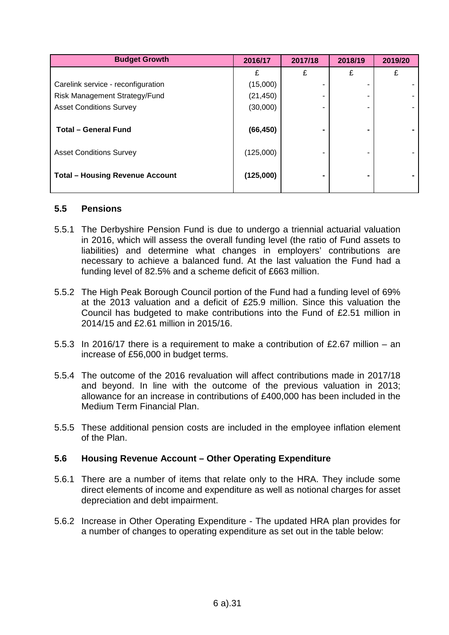| <b>Budget Growth</b>                   | 2016/17   | 2017/18 | 2018/19 | 2019/20 |
|----------------------------------------|-----------|---------|---------|---------|
|                                        | £         | £       | £       | £       |
| Carelink service - reconfiguration     | (15,000)  |         |         |         |
| Risk Management Strategy/Fund          | (21, 450) |         |         |         |
| <b>Asset Conditions Survey</b>         | (30,000)  |         |         |         |
|                                        |           |         |         |         |
| <b>Total - General Fund</b>            | (66, 450) |         | -       |         |
| <b>Asset Conditions Survey</b>         | (125,000) |         | -       |         |
| <b>Total - Housing Revenue Account</b> | (125,000) |         |         |         |

#### **5.5 Pensions**

- 5.5.1 The Derbyshire Pension Fund is due to undergo a triennial actuarial valuation in 2016, which will assess the overall funding level (the ratio of Fund assets to liabilities) and determine what changes in employers' contributions are necessary to achieve a balanced fund. At the last valuation the Fund had a funding level of 82.5% and a scheme deficit of £663 million.
- 5.5.2 The High Peak Borough Council portion of the Fund had a funding level of 69% at the 2013 valuation and a deficit of £25.9 million. Since this valuation the Council has budgeted to make contributions into the Fund of £2.51 million in 2014/15 and £2.61 million in 2015/16.
- 5.5.3 In 2016/17 there is a requirement to make a contribution of £2.67 million an increase of £56,000 in budget terms.
- 5.5.4 The outcome of the 2016 revaluation will affect contributions made in 2017/18 and beyond. In line with the outcome of the previous valuation in 2013; allowance for an increase in contributions of £400,000 has been included in the Medium Term Financial Plan.
- 5.5.5 These additional pension costs are included in the employee inflation element of the Plan.

## **5.6 Housing Revenue Account – Other Operating Expenditure**

- 5.6.1 There are a number of items that relate only to the HRA. They include some direct elements of income and expenditure as well as notional charges for asset depreciation and debt impairment.
- 5.6.2 Increase in Other Operating Expenditure The updated HRA plan provides for a number of changes to operating expenditure as set out in the table below: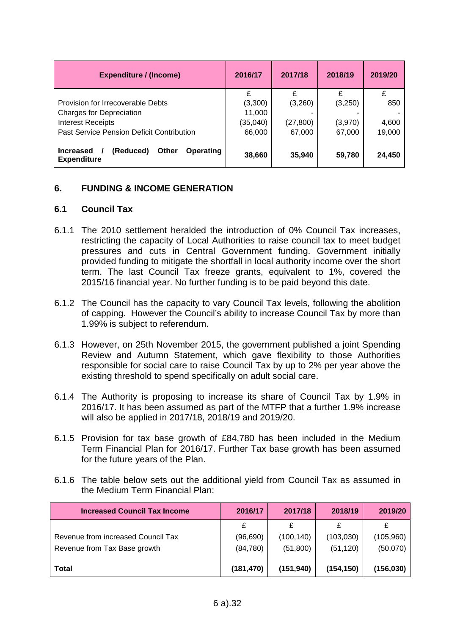| <b>Expenditure / (Income)</b>                                                    | 2016/17  | 2017/18   | 2018/19 | 2019/20 |
|----------------------------------------------------------------------------------|----------|-----------|---------|---------|
|                                                                                  |          |           |         |         |
| Provision for Irrecoverable Debts                                                | (3,300)  | (3,260)   | (3,250) | 850     |
| <b>Charges for Depreciation</b>                                                  | 11,000   |           |         |         |
| <b>Interest Receipts</b>                                                         | (35,040) | (27, 800) | (3,970) | 4,600   |
| Past Service Pension Deficit Contribution                                        | 66,000   | 67,000    | 67,000  | 19,000  |
| (Reduced)<br><b>Operating</b><br>Other<br><b>Increased</b><br><b>Expenditure</b> | 38,660   | 35,940    | 59,780  | 24,450  |

## **6. FUNDING & INCOME GENERATION**

#### **6.1 Council Tax**

- 6.1.1 The 2010 settlement heralded the introduction of 0% Council Tax increases, restricting the capacity of Local Authorities to raise council tax to meet budget pressures and cuts in Central Government funding. Government initially provided funding to mitigate the shortfall in local authority income over the short term. The last Council Tax freeze grants, equivalent to 1%, covered the 2015/16 financial year. No further funding is to be paid beyond this date.
- 6.1.2 The Council has the capacity to vary Council Tax levels, following the abolition of capping. However the Council's ability to increase Council Tax by more than 1.99% is subject to referendum.
- 6.1.3 However, on 25th November 2015, the government published a joint Spending Review and Autumn Statement, which gave flexibility to those Authorities responsible for social care to raise Council Tax by up to 2% per year above the existing threshold to spend specifically on adult social care.
- 6.1.4 The Authority is proposing to increase its share of Council Tax by 1.9% in 2016/17. It has been assumed as part of the MTFP that a further 1.9% increase will also be applied in 2017/18, 2018/19 and 2019/20.
- 6.1.5 Provision for tax base growth of £84,780 has been included in the Medium Term Financial Plan for 2016/17. Further Tax base growth has been assumed for the future years of the Plan.
- 6.1.6 The table below sets out the additional yield from Council Tax as assumed in the Medium Term Financial Plan:

| <b>Increased Council Tax Income</b> | 2016/17    | 2017/18    | 2018/19    | 2019/20    |
|-------------------------------------|------------|------------|------------|------------|
|                                     | £          |            |            |            |
| Revenue from increased Council Tax  | (96, 690)  | (100, 140) | (103, 030) | (105, 960) |
| Revenue from Tax Base growth        | (84, 780)  | (51, 800)  | (51, 120)  | (50,070)   |
| <b>Total</b>                        | (181, 470) | (151, 940) | (154,150)  | (156, 030) |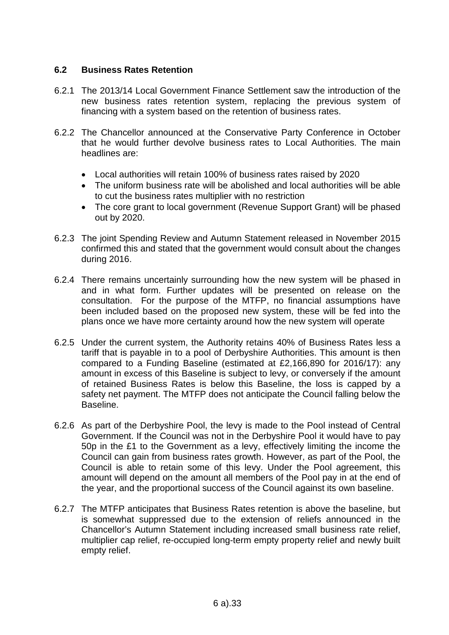# **6.2 Business Rates Retention**

- 6.2.1 The 2013/14 Local Government Finance Settlement saw the introduction of the new business rates retention system, replacing the previous system of financing with a system based on the retention of business rates.
- 6.2.2 The Chancellor announced at the Conservative Party Conference in October that he would further devolve business rates to Local Authorities. The main headlines are:
	- Local authorities will retain 100% of business rates raised by 2020
	- The uniform business rate will be abolished and local authorities will be able to cut the business rates multiplier with no restriction
	- The core grant to local government (Revenue Support Grant) will be phased out by 2020.
- 6.2.3 The joint Spending Review and Autumn Statement released in November 2015 confirmed this and stated that the government would consult about the changes during 2016.
- 6.2.4 There remains uncertainly surrounding how the new system will be phased in and in what form. Further updates will be presented on release on the consultation. For the purpose of the MTFP, no financial assumptions have been included based on the proposed new system, these will be fed into the plans once we have more certainty around how the new system will operate
- 6.2.5 Under the current system, the Authority retains 40% of Business Rates less a tariff that is payable in to a pool of Derbyshire Authorities. This amount is then compared to a Funding Baseline (estimated at £2,166,890 for 2016/17): any amount in excess of this Baseline is subject to levy, or conversely if the amount of retained Business Rates is below this Baseline, the loss is capped by a safety net payment. The MTFP does not anticipate the Council falling below the Baseline.
- 6.2.6 As part of the Derbyshire Pool, the levy is made to the Pool instead of Central Government. If the Council was not in the Derbyshire Pool it would have to pay 50p in the £1 to the Government as a levy, effectively limiting the income the Council can gain from business rates growth. However, as part of the Pool, the Council is able to retain some of this levy. Under the Pool agreement, this amount will depend on the amount all members of the Pool pay in at the end of the year, and the proportional success of the Council against its own baseline.
- 6.2.7 The MTFP anticipates that Business Rates retention is above the baseline, but is somewhat suppressed due to the extension of reliefs announced in the Chancellor's Autumn Statement including increased small business rate relief, multiplier cap relief, re-occupied long-term empty property relief and newly built empty relief.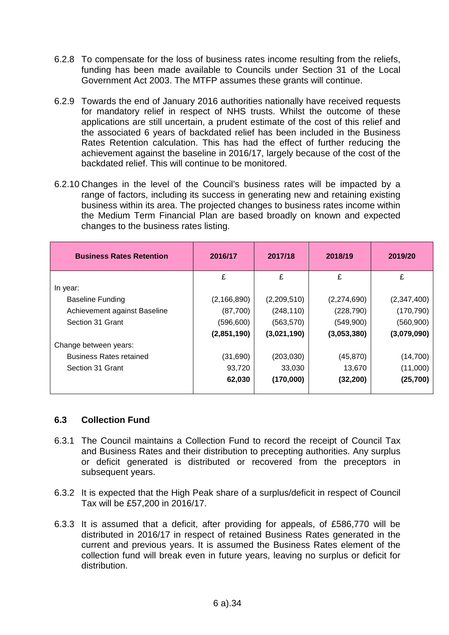- 6.2.8 To compensate for the loss of business rates income resulting from the reliefs, funding has been made available to Councils under Section 31 of the Local Government Act 2003. The MTFP assumes these grants will continue.
- 6.2.9 Towards the end of January 2016 authorities nationally have received requests for mandatory relief in respect of NHS trusts. Whilst the outcome of these applications are still uncertain, a prudent estimate of the cost of this relief and the associated 6 years of backdated relief has been included in the Business Rates Retention calculation. This has had the effect of further reducing the achievement against the baseline in 2016/17, largely because of the cost of the backdated relief. This will continue to be monitored.
- 6.2.10 Changes in the level of the Council's business rates will be impacted by a range of factors, including its success in generating new and retaining existing business within its area. The projected changes to business rates income within the Medium Term Financial Plan are based broadly on known and expected changes to the business rates listing.

| <b>Business Rates Retention</b> | 2016/17       | 2017/18     | 2018/19     | 2019/20     |
|---------------------------------|---------------|-------------|-------------|-------------|
|                                 | £             | £           | £           | £           |
| In year:                        |               |             |             |             |
| <b>Baseline Funding</b>         | (2, 166, 890) | (2,209,510) | (2,274,690) | (2,347,400) |
| Achievement against Baseline    | (87,700)      | (248, 110)  | (228, 790)  | (170, 790)  |
| Section 31 Grant                | (596, 600)    | (563, 570)  | (549,900)   | (560, 900)  |
|                                 | (2,851,190)   | (3,021,190) | (3,053,380) | (3,079,090) |
| Change between years:           |               |             |             |             |
| <b>Business Rates retained</b>  | (31,690)      | (203, 030)  | (45, 870)   | (14,700)    |
| Section 31 Grant                | 93,720        | 33,030      | 13,670      | (11,000)    |
|                                 | 62,030        | (170,000)   | (32, 200)   | (25,700)    |
|                                 |               |             |             |             |

## **6.3 Collection Fund**

- 6.3.1 The Council maintains a Collection Fund to record the receipt of Council Tax and Business Rates and their distribution to precepting authorities. Any surplus or deficit generated is distributed or recovered from the preceptors in subsequent years.
- 6.3.2 It is expected that the High Peak share of a surplus/deficit in respect of Council Tax will be £57,200 in 2016/17.
- 6.3.3 It is assumed that a deficit, after providing for appeals, of £586,770 will be distributed in 2016/17 in respect of retained Business Rates generated in the current and previous years. It is assumed the Business Rates element of the collection fund will break even in future years, leaving no surplus or deficit for distribution.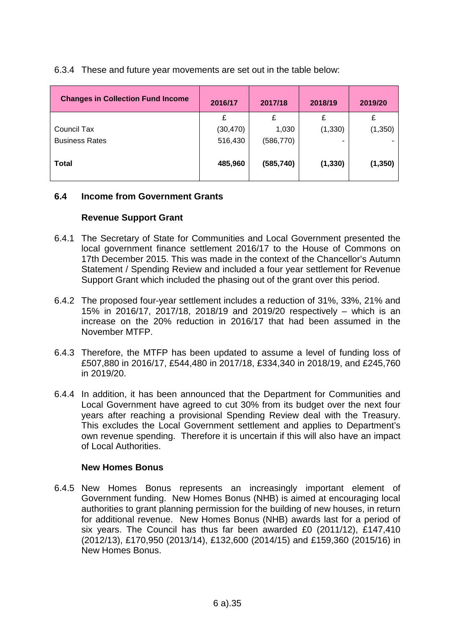## 6.3.4 These and future year movements are set out in the table below:

| <b>Changes in Collection Fund Income</b> | 2016/17   | 2017/18    | 2018/19  | 2019/20  |
|------------------------------------------|-----------|------------|----------|----------|
|                                          | £         | £          | £        | £        |
| Council Tax                              | (30, 470) | 1,030      | (1, 330) | (1,350)  |
| <b>Business Rates</b>                    | 516,430   | (586, 770) |          |          |
| <b>Total</b>                             | 485,960   | (585, 740) | (1, 330) | (1, 350) |

## **6.4 Income from Government Grants**

## **Revenue Support Grant**

- 6.4.1 The Secretary of State for Communities and Local Government presented the local government finance settlement 2016/17 to the House of Commons on 17th December 2015. This was made in the context of the Chancellor's Autumn Statement / Spending Review and included a four year settlement for Revenue Support Grant which included the phasing out of the grant over this period.
- 6.4.2 The proposed four-year settlement includes a reduction of 31%, 33%, 21% and 15% in 2016/17, 2017/18, 2018/19 and 2019/20 respectively – which is an increase on the 20% reduction in 2016/17 that had been assumed in the November MTFP.
- 6.4.3 Therefore, the MTFP has been updated to assume a level of funding loss of £507,880 in 2016/17, £544,480 in 2017/18, £334,340 in 2018/19, and £245,760 in 2019/20.
- 6.4.4 In addition, it has been announced that the Department for Communities and Local Government have agreed to cut 30% from its budget over the next four years after reaching a provisional Spending Review deal with the Treasury. This excludes the Local Government settlement and applies to Department's own revenue spending. Therefore it is uncertain if this will also have an impact of Local Authorities.

#### **New Homes Bonus**

6.4.5 New Homes Bonus represents an increasingly important element of Government funding. New Homes Bonus (NHB) is aimed at encouraging local authorities to grant planning permission for the building of new houses, in return for additional revenue. New Homes Bonus (NHB) awards last for a period of six years. The Council has thus far been awarded £0 (2011/12), £147,410 (2012/13), £170,950 (2013/14), £132,600 (2014/15) and £159,360 (2015/16) in New Homes Bonus.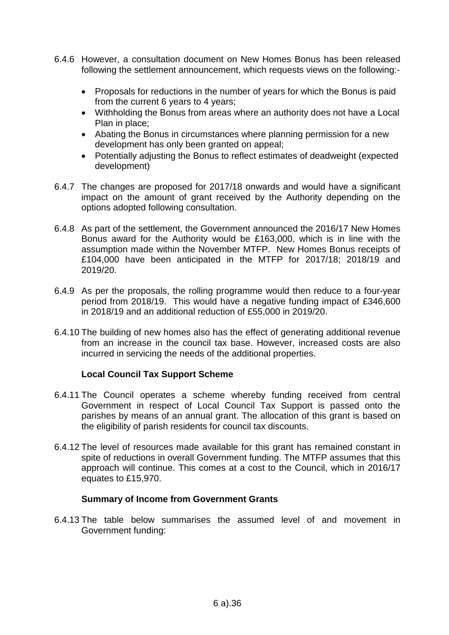- 6.4.6 However, a consultation document on New Homes Bonus has been released following the settlement announcement, which requests views on the following:-
	- Proposals for reductions in the number of years for which the Bonus is paid from the current 6 years to 4 years;
	- Withholding the Bonus from areas where an authority does not have a Local Plan in place;
	- Abating the Bonus in circumstances where planning permission for a new development has only been granted on appeal;
	- Potentially adjusting the Bonus to reflect estimates of deadweight (expected development)
- 6.4.7 The changes are proposed for 2017/18 onwards and would have a significant impact on the amount of grant received by the Authority depending on the options adopted following consultation.
- 6.4.8 As part of the settlement, the Government announced the 2016/17 New Homes Bonus award for the Authority would be £163,000, which is in line with the assumption made within the November MTFP. New Homes Bonus receipts of £104,000 have been anticipated in the MTFP for 2017/18; 2018/19 and 2019/20.
- 6.4.9 As per the proposals, the rolling programme would then reduce to a four-year period from 2018/19. This would have a negative funding impact of £346,600 in 2018/19 and an additional reduction of £55,000 in 2019/20.
- 6.4.10 The building of new homes also has the effect of generating additional revenue from an increase in the council tax base. However, increased costs are also incurred in servicing the needs of the additional properties.

#### **Local Council Tax Support Scheme**

- 6.4.11 The Council operates a scheme whereby funding received from central Government in respect of Local Council Tax Support is passed onto the parishes by means of an annual grant. The allocation of this grant is based on the eligibility of parish residents for council tax discounts.
- 6.4.12 The level of resources made available for this grant has remained constant in spite of reductions in overall Government funding. The MTFP assumes that this approach will continue. This comes at a cost to the Council, which in 2016/17 equates to £15,970.

#### **Summary of Income from Government Grants**

6.4.13 The table below summarises the assumed level of and movement in Government funding: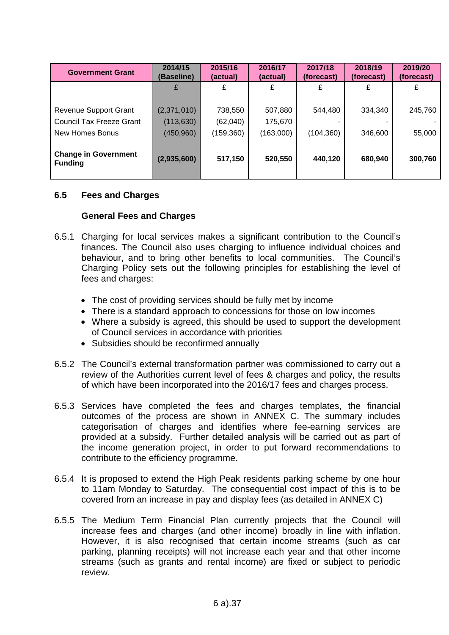| <b>Government Grant</b>                                                            | 2014/15<br>(Baseline)                   | 2015/16<br>(actual)               | 2016/17<br>(actual)             | 2017/18<br>(forecast) | 2018/19<br>(forecast) | 2019/20<br>(forecast) |
|------------------------------------------------------------------------------------|-----------------------------------------|-----------------------------------|---------------------------------|-----------------------|-----------------------|-----------------------|
|                                                                                    | £                                       | £                                 | £                               | £                     | £                     | £                     |
| <b>Revenue Support Grant</b><br><b>Council Tax Freeze Grant</b><br>New Homes Bonus | (2,371,010)<br>(113, 630)<br>(450, 960) | 738,550<br>(62,040)<br>(159, 360) | 507,880<br>175,670<br>(163,000) | 544,480<br>(104, 360) | 334,340<br>346,600    | 245,760<br>55,000     |
| <b>Change in Government</b><br><b>Funding</b>                                      | (2,935,600)                             | 517,150                           | 520,550                         | 440,120               | 680,940               | 300,760               |

#### **6.5 Fees and Charges**

#### **General Fees and Charges**

- 6.5.1 Charging for local services makes a significant contribution to the Council's finances. The Council also uses charging to influence individual choices and behaviour, and to bring other benefits to local communities. The Council's Charging Policy sets out the following principles for establishing the level of fees and charges:
	- The cost of providing services should be fully met by income
	- There is a standard approach to concessions for those on low incomes
	- Where a subsidy is agreed, this should be used to support the development of Council services in accordance with priorities
	- Subsidies should be reconfirmed annually
- 6.5.2 The Council's external transformation partner was commissioned to carry out a review of the Authorities current level of fees & charges and policy, the results of which have been incorporated into the 2016/17 fees and charges process.
- 6.5.3 Services have completed the fees and charges templates, the financial outcomes of the process are shown in ANNEX C. The summary includes categorisation of charges and identifies where fee-earning services are provided at a subsidy. Further detailed analysis will be carried out as part of the income generation project, in order to put forward recommendations to contribute to the efficiency programme.
- 6.5.4 It is proposed to extend the High Peak residents parking scheme by one hour to 11am Monday to Saturday. The consequential cost impact of this is to be covered from an increase in pay and display fees (as detailed in ANNEX C)
- 6.5.5 The Medium Term Financial Plan currently projects that the Council will increase fees and charges (and other income) broadly in line with inflation. However, it is also recognised that certain income streams (such as car parking, planning receipts) will not increase each year and that other income streams (such as grants and rental income) are fixed or subject to periodic review.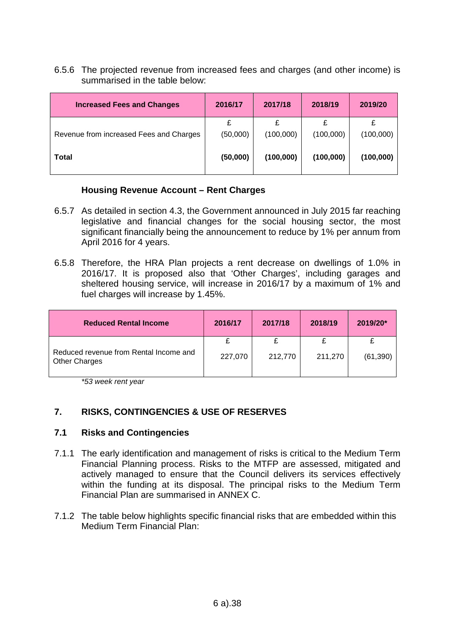6.5.6 The projected revenue from increased fees and charges (and other income) is summarised in the table below:

| <b>Increased Fees and Changes</b>       | 2016/17  | 2017/18   | 2018/19   | 2019/20   |
|-----------------------------------------|----------|-----------|-----------|-----------|
|                                         | £        |           |           |           |
| Revenue from increased Fees and Charges | (50,000) | (100,000) | (100,000) | (100,000) |
| Total                                   | (50,000) | (100,000) | (100,000) | (100,000) |

## **Housing Revenue Account – Rent Charges**

- 6.5.7 As detailed in section 4.3, the Government announced in July 2015 far reaching legislative and financial changes for the social housing sector, the most significant financially being the announcement to reduce by 1% per annum from April 2016 for 4 years.
- 6.5.8 Therefore, the HRA Plan projects a rent decrease on dwellings of 1.0% in 2016/17. It is proposed also that 'Other Charges', including garages and sheltered housing service, will increase in 2016/17 by a maximum of 1% and fuel charges will increase by 1.45%.

| <b>Reduced Rental Income</b>                                   | 2016/17 | 2017/18 | 2018/19 | 2019/20*  |
|----------------------------------------------------------------|---------|---------|---------|-----------|
|                                                                |         |         |         |           |
| Reduced revenue from Rental Income and<br><b>Other Charges</b> | 227,070 | 212,770 | 211,270 | (61, 390) |

*\*53 week rent year*

## **7. RISKS, CONTINGENCIES & USE OF RESERVES**

#### **7.1 Risks and Contingencies**

- 7.1.1 The early identification and management of risks is critical to the Medium Term Financial Planning process. Risks to the MTFP are assessed, mitigated and actively managed to ensure that the Council delivers its services effectively within the funding at its disposal. The principal risks to the Medium Term Financial Plan are summarised in ANNEX C.
- 7.1.2 The table below highlights specific financial risks that are embedded within this Medium Term Financial Plan: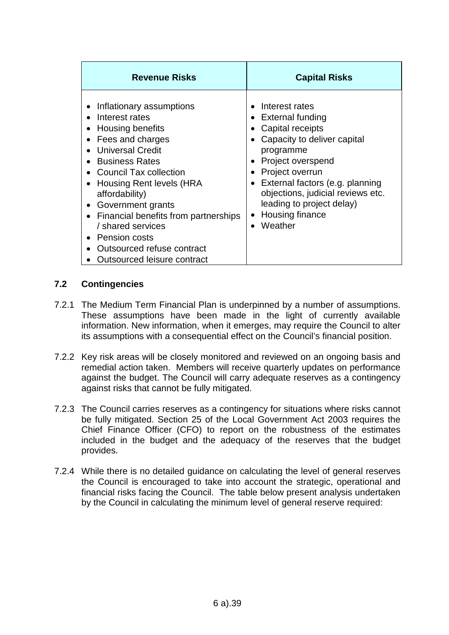| <b>Revenue Risks</b>                                                                                                                                                                                                                                                                                                                                                                          | <b>Capital Risks</b>                                                                                                                                                                                                                                                                                 |
|-----------------------------------------------------------------------------------------------------------------------------------------------------------------------------------------------------------------------------------------------------------------------------------------------------------------------------------------------------------------------------------------------|------------------------------------------------------------------------------------------------------------------------------------------------------------------------------------------------------------------------------------------------------------------------------------------------------|
| Inflationary assumptions<br>Interest rates<br>Housing benefits<br>Fees and charges<br><b>Universal Credit</b><br><b>Business Rates</b><br>Council Tax collection<br>Housing Rent levels (HRA<br>affordability)<br>Government grants<br>$\bullet$<br>Financial benefits from partnerships<br>/ shared services<br>• Pension costs<br>Outsourced refuse contract<br>Outsourced leisure contract | Interest rates<br>$\bullet$ External funding<br>Capital receipts<br>Capacity to deliver capital<br>programme<br>Project overspend<br>Project overrun<br>External factors (e.g. planning<br>objections, judicial reviews etc.<br>leading to project delay)<br>Housing finance<br>$\bullet$<br>Weather |

## **7.2 Contingencies**

- 7.2.1 The Medium Term Financial Plan is underpinned by a number of assumptions. These assumptions have been made in the light of currently available information. New information, when it emerges, may require the Council to alter its assumptions with a consequential effect on the Council's financial position.
- 7.2.2 Key risk areas will be closely monitored and reviewed on an ongoing basis and remedial action taken. Members will receive quarterly updates on performance against the budget. The Council will carry adequate reserves as a contingency against risks that cannot be fully mitigated.
- 7.2.3 The Council carries reserves as a contingency for situations where risks cannot be fully mitigated. Section 25 of the Local Government Act 2003 requires the Chief Finance Officer (CFO) to report on the robustness of the estimates included in the budget and the adequacy of the reserves that the budget provides.
- 7.2.4 While there is no detailed guidance on calculating the level of general reserves the Council is encouraged to take into account the strategic, operational and financial risks facing the Council. The table below present analysis undertaken by the Council in calculating the minimum level of general reserve required: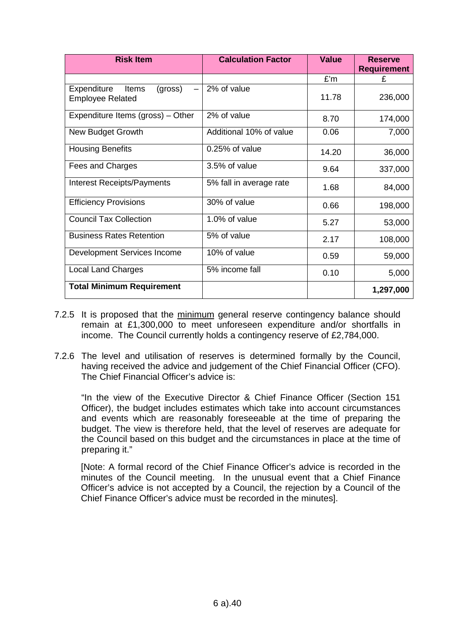| <b>Risk Item</b>                                           | <b>Calculation Factor</b> | <b>Value</b> | <b>Reserve</b><br><b>Requirement</b> |
|------------------------------------------------------------|---------------------------|--------------|--------------------------------------|
|                                                            |                           | £'m          | £                                    |
| (gross)<br>Expenditure<br>Items<br><b>Employee Related</b> | 2% of value               | 11.78        | 236,000                              |
| Expenditure Items (gross) - Other                          | 2% of value               | 8.70         | 174,000                              |
| <b>New Budget Growth</b>                                   | Additional 10% of value   | 0.06         | 7,000                                |
| <b>Housing Benefits</b>                                    | $0.25%$ of value          | 14.20        | 36,000                               |
| Fees and Charges                                           | 3.5% of value             | 9.64         | 337,000                              |
| <b>Interest Receipts/Payments</b>                          | 5% fall in average rate   | 1.68         | 84,000                               |
| <b>Efficiency Provisions</b>                               | 30% of value              | 0.66         | 198,000                              |
| <b>Council Tax Collection</b>                              | 1.0% of value             | 5.27         | 53,000                               |
| <b>Business Rates Retention</b>                            | 5% of value               | 2.17         | 108,000                              |
| Development Services Income                                | 10% of value              | 0.59         | 59,000                               |
| <b>Local Land Charges</b>                                  | 5% income fall            | 0.10         | 5,000                                |
| <b>Total Minimum Requirement</b>                           |                           |              | 1,297,000                            |

- 7.2.5 It is proposed that the minimum general reserve contingency balance should remain at £1,300,000 to meet unforeseen expenditure and/or shortfalls in income. The Council currently holds a contingency reserve of £2,784,000.
- 7.2.6 The level and utilisation of reserves is determined formally by the Council, having received the advice and judgement of the Chief Financial Officer (CFO). The Chief Financial Officer's advice is:

"In the view of the Executive Director & Chief Finance Officer (Section 151 Officer), the budget includes estimates which take into account circumstances and events which are reasonably foreseeable at the time of preparing the budget. The view is therefore held, that the level of reserves are adequate for the Council based on this budget and the circumstances in place at the time of preparing it."

[Note: A formal record of the Chief Finance Officer's advice is recorded in the minutes of the Council meeting. In the unusual event that a Chief Finance Officer's advice is not accepted by a Council, the rejection by a Council of the Chief Finance Officer's advice must be recorded in the minutes].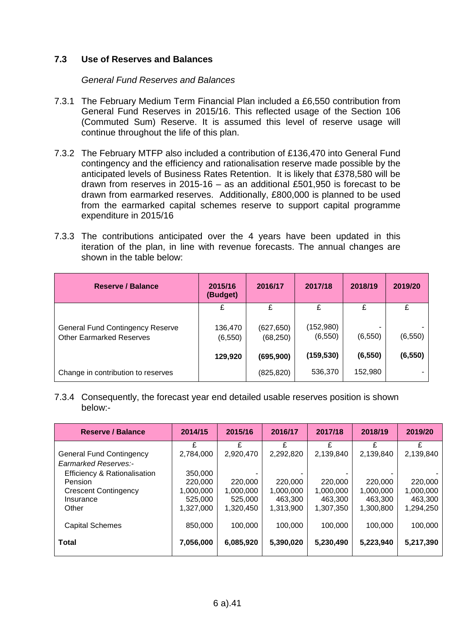## **7.3 Use of Reserves and Balances**

#### *General Fund Reserves and Balances*

- 7.3.1 The February Medium Term Financial Plan included a £6,550 contribution from General Fund Reserves in 2015/16. This reflected usage of the Section 106 (Commuted Sum) Reserve. It is assumed this level of reserve usage will continue throughout the life of this plan.
- 7.3.2 The February MTFP also included a contribution of £136,470 into General Fund contingency and the efficiency and rationalisation reserve made possible by the anticipated levels of Business Rates Retention. It is likely that £378,580 will be drawn from reserves in 2015-16 – as an additional £501,950 is forecast to be drawn from earmarked reserves. Additionally, £800,000 is planned to be used from the earmarked capital schemes reserve to support capital programme expenditure in 2015/16
- 7.3.3 The contributions anticipated over the 4 years have been updated in this iteration of the plan, in line with revenue forecasts. The annual changes are shown in the table below:

| Reserve / Balance                                                          | 2015/16<br>(Budget) | 2016/17                 | 2017/18               | 2018/19  | 2019/20  |
|----------------------------------------------------------------------------|---------------------|-------------------------|-----------------------|----------|----------|
|                                                                            | £                   | £                       |                       | £        | £        |
| <b>General Fund Contingency Reserve</b><br><b>Other Earmarked Reserves</b> | 136,470<br>(6, 550) | (627, 650)<br>(68, 250) | (152,980)<br>(6, 550) | (6, 550) | (6, 550) |
|                                                                            | 129,920             | (695, 900)              | (159, 530)            | (6, 550) | (6, 550) |
| Change in contribution to reserves                                         |                     | (825, 820)              | 536,370               | 152,980  |          |

7.3.4 Consequently, the forecast year end detailed usable reserves position is shown below:-

| <b>Reserve / Balance</b>        | 2014/15   | 2015/16   | 2016/17   | 2017/18   | 2018/19   | 2019/20   |
|---------------------------------|-----------|-----------|-----------|-----------|-----------|-----------|
|                                 | £         | £         | £         | £         | £         | £         |
| <b>General Fund Contingency</b> | 2,784,000 | 2,920,470 | 2,292,820 | 2,139,840 | 2,139,840 | 2,139,840 |
| <b>Earmarked Reserves:-</b>     |           |           |           |           |           |           |
| Efficiency & Rationalisation    | 350,000   |           |           |           |           |           |
| <b>Pension</b>                  | 220,000   | 220,000   | 220,000   | 220,000   | 220,000   | 220,000   |
| <b>Crescent Contingency</b>     | 1,000,000 | 1,000,000 | 1,000,000 | 1,000,000 | 1,000,000 | 1,000,000 |
| Insurance                       | 525,000   | 525,000   | 463,300   | 463,300   | 463.300   | 463,300   |
| Other                           | 1,327,000 | 1,320,450 | 1,313,900 | 1,307,350 | 1,300,800 | 1,294,250 |
|                                 |           |           |           |           |           |           |
| <b>Capital Schemes</b>          | 850,000   | 100,000   | 100,000   | 100,000   | 100,000   | 100,000   |
|                                 |           |           |           |           |           |           |
| <b>Total</b>                    | 7,056,000 | 6,085,920 | 5,390,020 | 5,230,490 | 5,223,940 | 5,217,390 |
|                                 |           |           |           |           |           |           |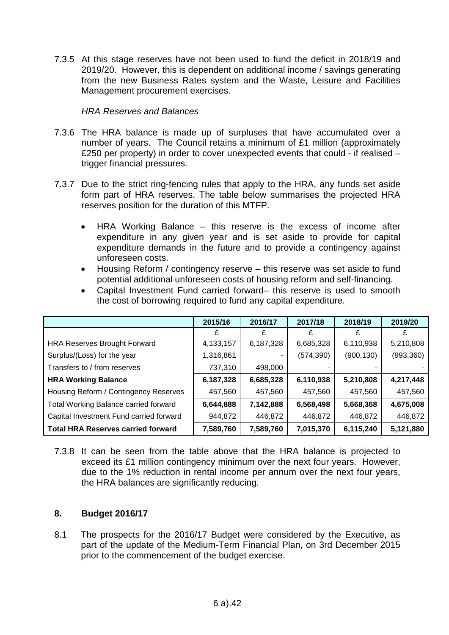7.3.5 At this stage reserves have not been used to fund the deficit in 2018/19 and 2019/20. However, this is dependent on additional income / savings generating from the new Business Rates system and the Waste, Leisure and Facilities Management procurement exercises.

#### *HRA Reserves and Balances*

- 7.3.6 The HRA balance is made up of surpluses that have accumulated over a number of years. The Council retains a minimum of £1 million (approximately £250 per property) in order to cover unexpected events that could - if realised – trigger financial pressures.
- 7.3.7 Due to the strict ring-fencing rules that apply to the HRA, any funds set aside form part of HRA reserves. The table below summarises the projected HRA reserves position for the duration of this MTFP.
	- HRA Working Balance this reserve is the excess of income after expenditure in any given year and is set aside to provide for capital expenditure demands in the future and to provide a contingency against unforeseen costs.
	- Housing Reform / contingency reserve this reserve was set aside to fund potential additional unforeseen costs of housing reform and self-financing.
	- Capital Investment Fund carried forward– this reserve is used to smooth the cost of borrowing required to fund any capital expenditure.

|                                              | 2015/16     | 2016/17   | 2017/18    | 2018/19    | 2019/20    |
|----------------------------------------------|-------------|-----------|------------|------------|------------|
|                                              |             | £         |            |            |            |
| <b>HRA Reserves Brought Forward</b>          | 4, 133, 157 | 6,187,328 | 6,685,328  | 6,110,938  | 5,210,808  |
| Surplus/(Loss) for the year                  | 1,316,861   |           | (574, 390) | (900, 130) | (993, 360) |
| Transfers to / from reserves                 | 737,310     | 498,000   |            |            |            |
| <b>HRA Working Balance</b>                   | 6,187,328   | 6,685,328 | 6,110,938  | 5,210,808  | 4,217,448  |
| Housing Reform / Contingency Reserves        | 457,560     | 457,560   | 457,560    | 457,560    | 457,560    |
| <b>Total Working Balance carried forward</b> | 6,644,888   | 7,142,888 | 6,568,498  | 5,668,368  | 4,675,008  |
| Capital Investment Fund carried forward      | 944,872     | 446,872   | 446,872    | 446,872    | 446,872    |
| <b>Total HRA Reserves carried forward</b>    | 7,589,760   | 7,589,760 | 7,015,370  | 6,115,240  | 5,121,880  |

7.3.8 It can be seen from the table above that the HRA balance is projected to exceed its £1 million contingency minimum over the next four years. However, due to the 1% reduction in rental income per annum over the next four years, the HRA balances are significantly reducing.

#### **8. Budget 2016/17**

8.1 The prospects for the 2016/17 Budget were considered by the Executive, as part of the update of the Medium-Term Financial Plan, on 3rd December 2015 prior to the commencement of the budget exercise.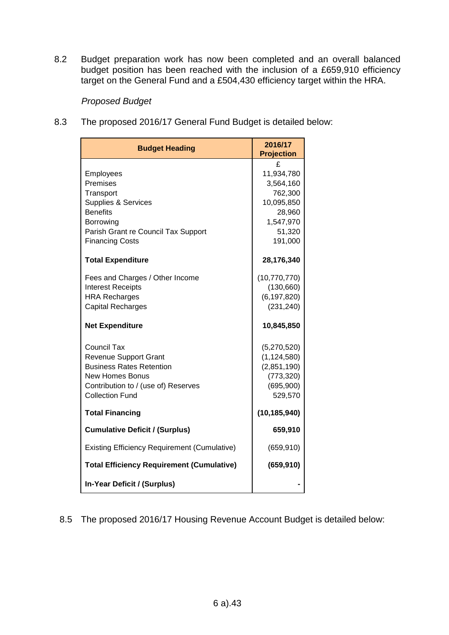8.2 Budget preparation work has now been completed and an overall balanced budget position has been reached with the inclusion of a £659,910 efficiency target on the General Fund and a £504,430 efficiency target within the HRA.

## *Proposed Budget*

8.3 The proposed 2016/17 General Fund Budget is detailed below:

| <b>Budget Heading</b>                               | 2016/17<br><b>Projection</b> |
|-----------------------------------------------------|------------------------------|
|                                                     | £                            |
| Employees                                           | 11,934,780                   |
| Premises                                            | 3,564,160                    |
| Transport                                           | 762,300                      |
| Supplies & Services                                 | 10,095,850                   |
| <b>Benefits</b>                                     | 28,960                       |
| Borrowing                                           | 1,547,970                    |
| Parish Grant re Council Tax Support                 | 51,320                       |
| <b>Financing Costs</b>                              | 191,000                      |
| <b>Total Expenditure</b>                            | 28,176,340                   |
| Fees and Charges / Other Income                     | (10, 770, 770)               |
| <b>Interest Receipts</b>                            | (130, 660)                   |
| <b>HRA Recharges</b>                                | (6, 197, 820)                |
| <b>Capital Recharges</b>                            | (231, 240)                   |
|                                                     |                              |
| <b>Net Expenditure</b>                              | 10,845,850                   |
| Council Tax                                         | (5,270,520)                  |
| <b>Revenue Support Grant</b>                        | (1, 124, 580)                |
| <b>Business Rates Retention</b>                     | (2,851,190)                  |
| New Homes Bonus                                     | (773, 320)                   |
| Contribution to / (use of) Reserves                 | (695,900)                    |
| <b>Collection Fund</b>                              | 529,570                      |
| <b>Total Financing</b>                              | (10, 185, 940)               |
| <b>Cumulative Deficit / (Surplus)</b>               | 659,910                      |
| <b>Existing Efficiency Requirement (Cumulative)</b> | (659, 910)                   |
| <b>Total Efficiency Requirement (Cumulative)</b>    | (659, 910)                   |
| In-Year Deficit / (Surplus)                         |                              |

8.5 The proposed 2016/17 Housing Revenue Account Budget is detailed below: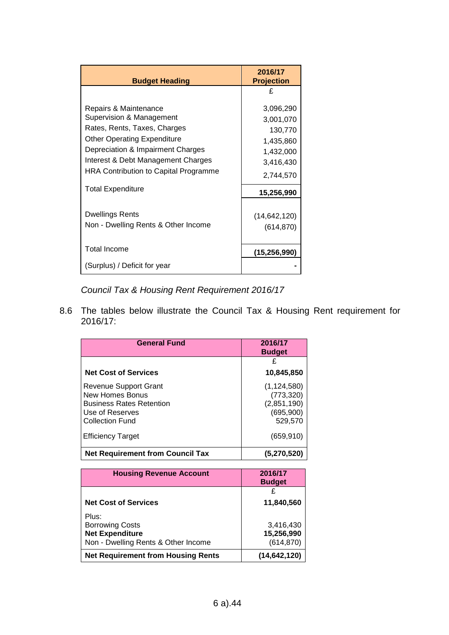| <b>Budget Heading</b>                                                                                                                                                                                                                       | 2016/17<br><b>Projection</b>                                                          |
|---------------------------------------------------------------------------------------------------------------------------------------------------------------------------------------------------------------------------------------------|---------------------------------------------------------------------------------------|
|                                                                                                                                                                                                                                             | £                                                                                     |
| Repairs & Maintenance<br>Supervision & Management<br>Rates, Rents, Taxes, Charges<br><b>Other Operating Expenditure</b><br>Depreciation & Impairment Charges<br>Interest & Debt Management Charges<br>HRA Contribution to Capital Programme | 3,096,290<br>3,001,070<br>130,770<br>1,435,860<br>1,432,000<br>3,416,430<br>2,744,570 |
| <b>Total Expenditure</b>                                                                                                                                                                                                                    | 15,256,990                                                                            |
| <b>Dwellings Rents</b><br>Non - Dwelling Rents & Other Income                                                                                                                                                                               | (14, 642, 120)<br>(614, 870)                                                          |
| <b>Total Income</b>                                                                                                                                                                                                                         | (15, 256, 990)                                                                        |
| (Surplus) / Deficit for year                                                                                                                                                                                                                |                                                                                       |

*Council Tax & Housing Rent Requirement 2016/17*

8.6 The tables below illustrate the Council Tax & Housing Rent requirement for 2016/17:

| <b>General Fund</b>                     | 2016/17<br><b>Budget</b> |
|-----------------------------------------|--------------------------|
|                                         | £                        |
| <b>Net Cost of Services</b>             | 10,845,850               |
| Revenue Support Grant                   | (1, 124, 580)            |
| New Homes Bonus                         | (773, 320)               |
| <b>Business Rates Retention</b>         | (2,851,190)              |
| Use of Reserves                         | (695,900)                |
| <b>Collection Fund</b>                  | 529,570                  |
| <b>Efficiency Target</b>                | (659, 910)               |
| <b>Net Requirement from Council Tax</b> | (5,270,520)              |

| <b>Housing Revenue Account</b>            | 2016/17        |
|-------------------------------------------|----------------|
|                                           | <b>Budget</b>  |
|                                           | £              |
| <b>Net Cost of Services</b>               | 11,840,560     |
| Plus:                                     |                |
| <b>Borrowing Costs</b>                    | 3,416,430      |
| <b>Net Expenditure</b>                    | 15,256,990     |
| Non - Dwelling Rents & Other Income       | (614, 870)     |
| <b>Net Requirement from Housing Rents</b> | (14, 642, 120) |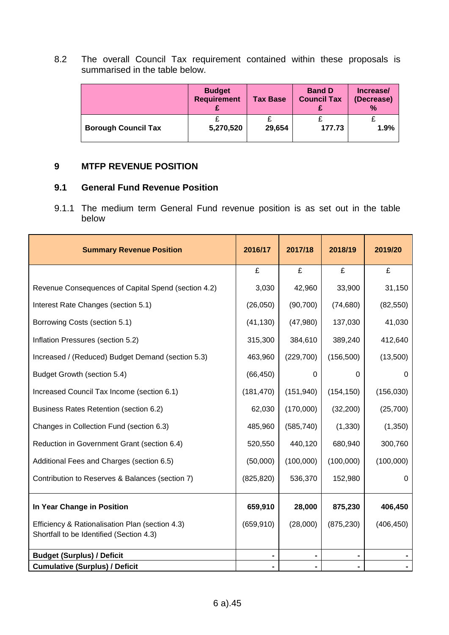8.2 The overall Council Tax requirement contained within these proposals is summarised in the table below.

|                            | <b>Budget</b><br><b>Requirement</b> | <b>Tax Base</b> | <b>Band D</b><br><b>Council Tax</b> | Increase/<br>(Decrease)<br>$\%$ |
|----------------------------|-------------------------------------|-----------------|-------------------------------------|---------------------------------|
| <b>Borough Council Tax</b> | 5,270,520                           | 29,654          | 177.73                              | 1.9%                            |

#### **9 MTFP REVENUE POSITION**

## **9.1 General Fund Revenue Position**

9.1.1 The medium term General Fund revenue position is as set out in the table below

| <b>Summary Revenue Position</b>                     | 2016/17    | 2017/18    | 2018/19    | 2019/20    |
|-----------------------------------------------------|------------|------------|------------|------------|
|                                                     | £          | £          | £          | £          |
| Revenue Consequences of Capital Spend (section 4.2) | 3,030      | 42,960     | 33,900     | 31,150     |
| Interest Rate Changes (section 5.1)                 | (26,050)   | (90, 700)  | (74, 680)  | (82, 550)  |
| Borrowing Costs (section 5.1)                       | (41, 130)  | (47,980)   | 137,030    | 41,030     |
| Inflation Pressures (section 5.2)                   | 315,300    | 384,610    | 389,240    | 412,640    |
| Increased / (Reduced) Budget Demand (section 5.3)   | 463,960    | (229, 700) | (156, 500) | (13,500)   |
| Budget Growth (section 5.4)                         | (66, 450)  | $\Omega$   | 0          | 0          |
| Increased Council Tax Income (section 6.1)          | (181, 470) | (151, 940) | (154, 150) | (156, 030) |
| Business Rates Retention (section 6.2)              | 62,030     | (170,000)  | (32, 200)  | (25, 700)  |
| Changes in Collection Fund (section 6.3)            | 485,960    | (585, 740) | (1, 330)   | (1,350)    |
| Reduction in Government Grant (section 6.4)         | 520,550    | 440,120    | 680,940    | 300,760    |
| Additional Fees and Charges (section 6.5)           | (50,000)   | (100,000)  | (100,000)  | (100,000)  |
| Contribution to Reserves & Balances (section 7)     | (825, 820) | 536,370    | 152,980    | 0          |
| In Year Change in Position                          | 659,910    | 28,000     | 875,230    | 406,450    |
| Efficiency & Rationalisation Plan (section 4.3)     | (659, 910) | (28,000)   | (875, 230) | (406, 450) |
| Shortfall to be Identified (Section 4.3)            |            |            |            |            |
| <b>Budget (Surplus) / Deficit</b>                   |            |            |            |            |
| <b>Cumulative (Surplus) / Deficit</b>               |            |            |            |            |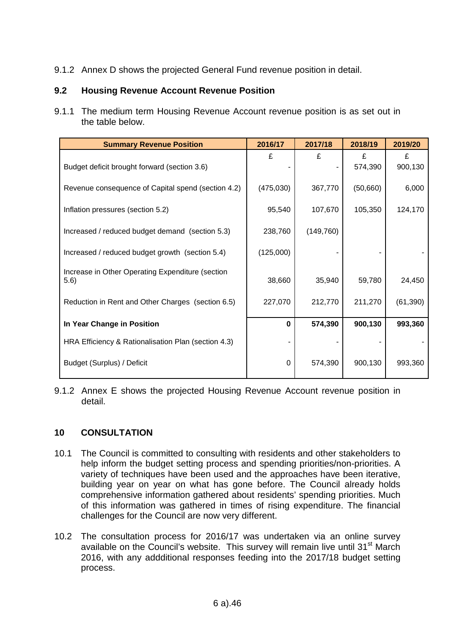9.1.2 Annex D shows the projected General Fund revenue position in detail.

## **9.2 Housing Revenue Account Revenue Position**

9.1.1 The medium term Housing Revenue Account revenue position is as set out in the table below.

| <b>Summary Revenue Position</b>                     | 2016/17    | 2017/18    | 2018/19   | 2019/20   |
|-----------------------------------------------------|------------|------------|-----------|-----------|
|                                                     | £          | £          | £         | £         |
| Budget deficit brought forward (section 3.6)        |            |            | 574,390   | 900,130   |
| Revenue consequence of Capital spend (section 4.2)  | (475, 030) | 367,770    | (50, 660) | 6,000     |
| Inflation pressures (section 5.2)                   | 95,540     | 107,670    | 105,350   | 124,170   |
| Increased / reduced budget demand (section 5.3)     | 238,760    | (149, 760) |           |           |
| Increased / reduced budget growth (section 5.4)     | (125,000)  |            |           |           |
| Increase in Other Operating Expenditure (section    |            |            |           |           |
| 5.6)                                                | 38,660     | 35,940     | 59,780    | 24,450    |
| Reduction in Rent and Other Charges (section 6.5)   | 227,070    | 212,770    | 211,270   | (61, 390) |
|                                                     |            |            |           |           |
| In Year Change in Position                          | $\bf{0}$   | 574,390    | 900,130   | 993,360   |
| HRA Efficiency & Rationalisation Plan (section 4.3) |            |            |           |           |
| Budget (Surplus) / Deficit                          | 0          | 574,390    | 900,130   | 993,360   |

9.1.2 Annex E shows the projected Housing Revenue Account revenue position in detail.

## **10 CONSULTATION**

- 10.1 The Council is committed to consulting with residents and other stakeholders to help inform the budget setting process and spending priorities/non-priorities. A variety of techniques have been used and the approaches have been iterative, building year on year on what has gone before. The Council already holds comprehensive information gathered about residents' spending priorities. Much of this information was gathered in times of rising expenditure. The financial challenges for the Council are now very different.
- 10.2 The consultation process for 2016/17 was undertaken via an online survey available on the Council's website. This survey will remain live until 31<sup>st</sup> March 2016, with any addditional responses feeding into the 2017/18 budget setting process.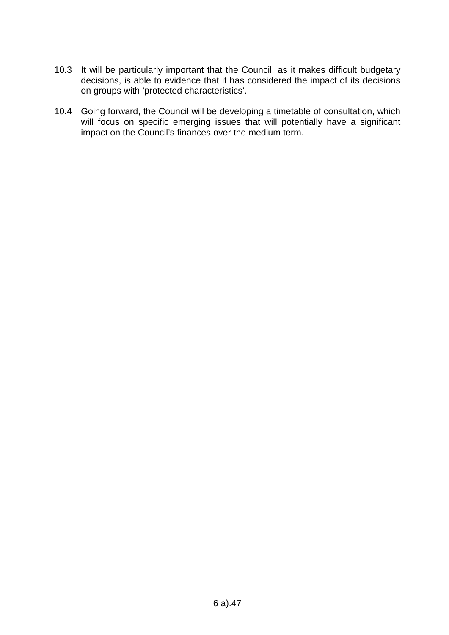- 10.3 It will be particularly important that the Council, as it makes difficult budgetary decisions, is able to evidence that it has considered the impact of its decisions on groups with 'protected characteristics'.
- 10.4 Going forward, the Council will be developing a timetable of consultation, which will focus on specific emerging issues that will potentially have a significant impact on the Council's finances over the medium term.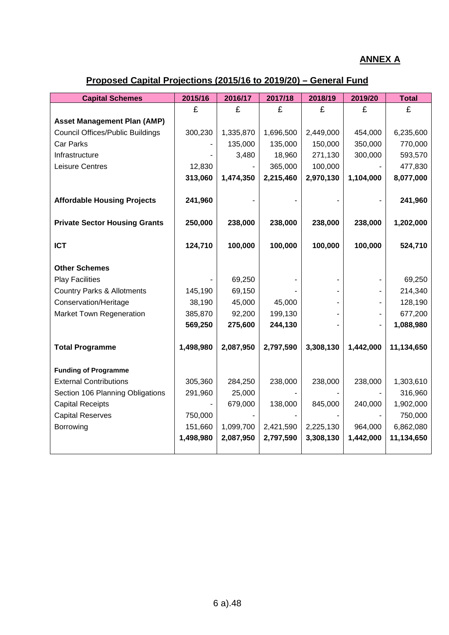## **ANNEX A**

# **Proposed Capital Projections (2015/16 to 2019/20) – General Fund**

| <b>Capital Schemes</b>                  | 2015/16   | 2016/17   | 2017/18   | 2018/19   | 2019/20   | <b>Total</b> |
|-----------------------------------------|-----------|-----------|-----------|-----------|-----------|--------------|
|                                         | £         | £         | £         | £         | £         | £            |
| <b>Asset Management Plan (AMP)</b>      |           |           |           |           |           |              |
| <b>Council Offices/Public Buildings</b> | 300,230   | 1,335,870 | 1,696,500 | 2,449,000 | 454,000   | 6,235,600    |
| Car Parks                               |           | 135,000   | 135,000   | 150,000   | 350,000   | 770,000      |
| Infrastructure                          |           | 3,480     | 18,960    | 271,130   | 300,000   | 593,570      |
| Leisure Centres                         | 12,830    |           | 365,000   | 100,000   |           | 477,830      |
|                                         | 313,060   | 1,474,350 | 2,215,460 | 2,970,130 | 1,104,000 | 8,077,000    |
|                                         |           |           |           |           |           |              |
| <b>Affordable Housing Projects</b>      | 241,960   |           |           |           |           | 241,960      |
| <b>Private Sector Housing Grants</b>    | 250,000   | 238,000   | 238,000   | 238,000   | 238,000   | 1,202,000    |
|                                         |           |           |           |           |           |              |
| <b>ICT</b>                              | 124,710   | 100,000   | 100,000   | 100,000   | 100,000   | 524,710      |
| <b>Other Schemes</b>                    |           |           |           |           |           |              |
| <b>Play Facilities</b>                  |           | 69,250    |           |           |           | 69,250       |
| <b>Country Parks &amp; Allotments</b>   | 145,190   | 69,150    |           |           |           | 214,340      |
| Conservation/Heritage                   | 38,190    | 45,000    | 45,000    |           |           | 128,190      |
| <b>Market Town Regeneration</b>         | 385,870   | 92,200    | 199,130   |           |           | 677,200      |
|                                         | 569,250   | 275,600   | 244,130   |           |           | 1,088,980    |
| <b>Total Programme</b>                  | 1,498,980 | 2,087,950 | 2,797,590 | 3,308,130 | 1,442,000 | 11,134,650   |
|                                         |           |           |           |           |           |              |
| <b>Funding of Programme</b>             |           |           |           |           |           |              |
| <b>External Contributions</b>           | 305,360   | 284,250   | 238,000   | 238,000   | 238,000   | 1,303,610    |
| Section 106 Planning Obligations        | 291,960   | 25,000    |           |           |           | 316,960      |
| <b>Capital Receipts</b>                 |           | 679,000   | 138,000   | 845,000   | 240,000   | 1,902,000    |
| <b>Capital Reserves</b>                 | 750,000   |           |           |           |           | 750,000      |
| Borrowing                               | 151,660   | 1,099,700 | 2,421,590 | 2,225,130 | 964,000   | 6,862,080    |
|                                         | 1,498,980 | 2,087,950 | 2,797,590 | 3,308,130 | 1,442,000 | 11,134,650   |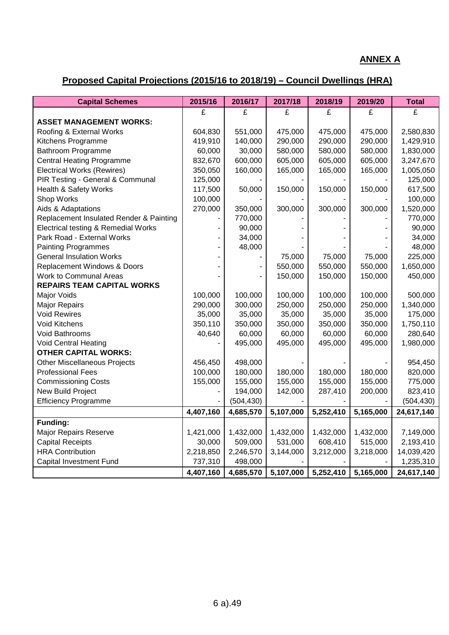## **ANNEX A**

# **Proposed Capital Projections (2015/16 to 2018/19) – Council Dwellings (HRA)**

| <b>Capital Schemes</b>                  | 2015/16   | 2016/17    | 2017/18   | 2018/19   | 2019/20   | <b>Total</b> |
|-----------------------------------------|-----------|------------|-----------|-----------|-----------|--------------|
|                                         | £         | £          | £         | £         | £         | £            |
| <b>ASSET MANAGEMENT WORKS:</b>          |           |            |           |           |           |              |
| Roofing & External Works                | 604,830   | 551,000    | 475,000   | 475,000   | 475,000   | 2,580,830    |
| Kitchens Programme                      | 419,910   | 140,000    | 290,000   | 290,000   | 290,000   | 1,429,910    |
| Bathroom Programme                      | 60,000    | 30,000     | 580,000   | 580,000   | 580,000   | 1,830,000    |
| <b>Central Heating Programme</b>        | 832,670   | 600,000    | 605,000   | 605,000   | 605,000   | 3,247,670    |
| <b>Electrical Works (Rewires)</b>       | 350,050   | 160,000    | 165,000   | 165,000   | 165,000   | 1,005,050    |
| PIR Testing - General & Communal        | 125,000   |            |           |           |           | 125,000      |
| Health & Safety Works                   | 117,500   | 50,000     | 150,000   | 150,000   | 150,000   | 617,500      |
| Shop Works                              | 100,000   |            |           |           |           | 100,000      |
| Aids & Adaptations                      | 270,000   | 350,000    | 300,000   | 300,000   | 300,000   | 1,520,000    |
| Replacement Insulated Render & Painting |           | 770,000    |           |           |           | 770,000      |
| Electrical testing & Remedial Works     |           | 90,000     |           |           |           | 90,000       |
| Park Road - External Works              |           | 34,000     |           |           |           | 34,000       |
| <b>Painting Programmes</b>              |           | 48,000     |           |           |           | 48,000       |
| <b>General Insulation Works</b>         |           |            | 75,000    | 75,000    | 75,000    | 225,000      |
| Replacement Windows & Doors             |           |            | 550,000   | 550,000   | 550,000   | 1,650,000    |
| <b>Work to Communal Areas</b>           |           |            | 150,000   | 150,000   | 150,000   | 450,000      |
| <b>REPAIRS TEAM CAPITAL WORKS</b>       |           |            |           |           |           |              |
| <b>Major Voids</b>                      | 100,000   | 100,000    | 100,000   | 100,000   | 100,000   | 500,000      |
| <b>Major Repairs</b>                    | 290,000   | 300,000    | 250,000   | 250,000   | 250,000   | 1,340,000    |
| <b>Void Rewires</b>                     | 35,000    | 35,000     | 35,000    | 35,000    | 35,000    | 175,000      |
| Void Kitchens                           | 350,110   | 350,000    | 350,000   | 350,000   | 350,000   | 1,750,110    |
| Void Bathrooms                          | 40,640    | 60,000     | 60,000    | 60,000    | 60,000    | 280,640      |
| <b>Void Central Heating</b>             |           | 495,000    | 495,000   | 495,000   | 495,000   | 1,980,000    |
| <b>OTHER CAPITAL WORKS:</b>             |           |            |           |           |           |              |
| <b>Other Miscellaneous Projects</b>     | 456,450   | 498,000    |           |           |           | 954,450      |
| <b>Professional Fees</b>                | 100,000   | 180,000    | 180,000   | 180,000   | 180,000   | 820,000      |
| <b>Commissioning Costs</b>              | 155,000   | 155,000    | 155,000   | 155,000   | 155,000   | 775,000      |
| <b>New Build Project</b>                |           | 194,000    | 142,000   | 287,410   | 200,000   | 823,410      |
| <b>Efficiency Programme</b>             |           | (504, 430) |           |           |           | (504, 430)   |
|                                         | 4,407,160 | 4,685,570  | 5,107,000 | 5,252,410 | 5,165,000 | 24,617,140   |
| <b>Funding:</b>                         |           |            |           |           |           |              |
| Major Repairs Reserve                   | 1,421,000 | 1,432,000  | 1,432,000 | 1,432,000 | 1,432,000 | 7,149,000    |
| <b>Capital Receipts</b>                 | 30,000    | 509,000    | 531,000   | 608,410   | 515,000   | 2,193,410    |
| <b>HRA Contribution</b>                 | 2,218,850 | 2,246,570  | 3,144,000 | 3,212,000 | 3,218,000 | 14,039,420   |
| <b>Capital Investment Fund</b>          | 737,310   | 498,000    |           |           |           | 1,235,310    |
|                                         | 4,407,160 | 4,685,570  | 5,107,000 | 5,252,410 | 5,165,000 | 24,617,140   |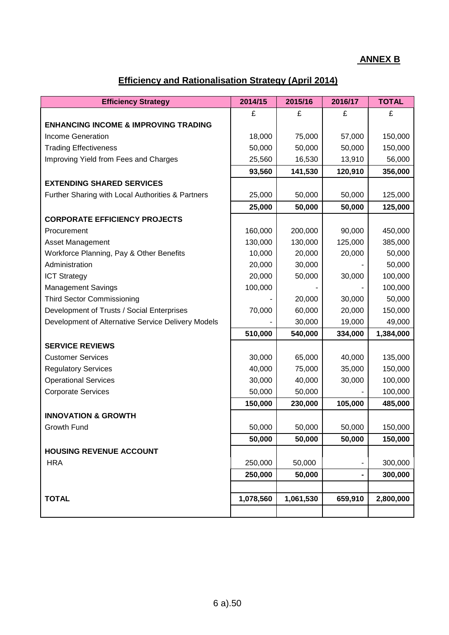## **ANNEX B**

# **Efficiency and Rationalisation Strategy (April 2014)**

| <b>Efficiency Strategy</b>                         | 2014/15   | 2015/16   | 2016/17 | <b>TOTAL</b> |
|----------------------------------------------------|-----------|-----------|---------|--------------|
|                                                    | £         | £         | £       | £            |
| <b>ENHANCING INCOME &amp; IMPROVING TRADING</b>    |           |           |         |              |
| <b>Income Generation</b>                           | 18,000    | 75,000    | 57,000  | 150,000      |
| <b>Trading Effectiveness</b>                       | 50,000    | 50,000    | 50,000  | 150,000      |
| Improving Yield from Fees and Charges              | 25,560    | 16,530    | 13,910  | 56,000       |
|                                                    | 93,560    | 141,530   | 120,910 | 356,000      |
| <b>EXTENDING SHARED SERVICES</b>                   |           |           |         |              |
| Further Sharing with Local Authorities & Partners  | 25,000    | 50,000    | 50,000  | 125,000      |
|                                                    | 25,000    | 50,000    | 50,000  | 125,000      |
| <b>CORPORATE EFFICIENCY PROJECTS</b>               |           |           |         |              |
| Procurement                                        | 160,000   | 200,000   | 90,000  | 450,000      |
| <b>Asset Management</b>                            | 130,000   | 130,000   | 125,000 | 385,000      |
| Workforce Planning, Pay & Other Benefits           | 10,000    | 20,000    | 20,000  | 50,000       |
| Administration                                     | 20,000    | 30,000    |         | 50,000       |
| <b>ICT Strategy</b>                                | 20,000    | 50,000    | 30,000  | 100,000      |
| <b>Management Savings</b>                          | 100,000   |           |         | 100,000      |
| <b>Third Sector Commissioning</b>                  |           | 20,000    | 30,000  | 50,000       |
| Development of Trusts / Social Enterprises         | 70,000    | 60,000    | 20,000  | 150,000      |
| Development of Alternative Service Delivery Models |           | 30,000    | 19,000  | 49,000       |
|                                                    | 510,000   | 540,000   | 334,000 | 1,384,000    |
| <b>SERVICE REVIEWS</b>                             |           |           |         |              |
| <b>Customer Services</b>                           | 30,000    | 65,000    | 40,000  | 135,000      |
| <b>Regulatory Services</b>                         | 40,000    | 75,000    | 35,000  | 150,000      |
| <b>Operational Services</b>                        | 30,000    | 40,000    | 30,000  | 100,000      |
| <b>Corporate Services</b>                          | 50,000    | 50,000    |         | 100,000      |
|                                                    | 150,000   | 230,000   | 105,000 | 485,000      |
| <b>INNOVATION &amp; GROWTH</b>                     |           |           |         |              |
| Growth Fund                                        | 50,000    | 50,000    | 50,000  | 150,000      |
|                                                    | 50,000    | 50,000    | 50,000  | 150,000      |
| <b>HOUSING REVENUE ACCOUNT</b>                     |           |           |         |              |
| <b>HRA</b>                                         | 250,000   | 50,000    | ۰       | 300,000      |
|                                                    | 250,000   | 50,000    | -       | 300,000      |
|                                                    |           |           |         |              |
| <b>TOTAL</b>                                       | 1,078,560 | 1,061,530 | 659,910 | 2,800,000    |
|                                                    |           |           |         |              |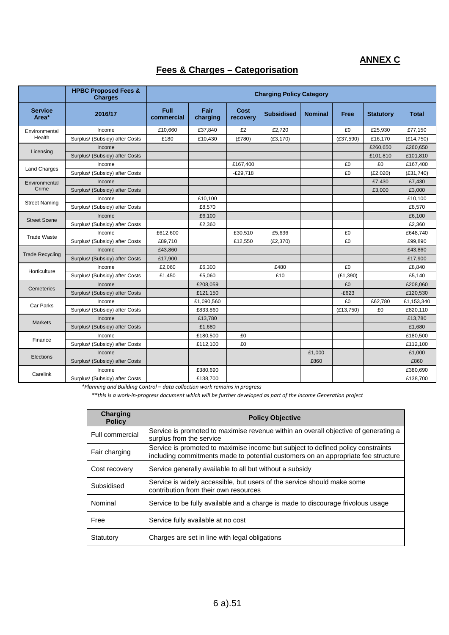## **ANNEX C**

## **Fees & Charges – Categorisation**

|                         | <b>HPBC Proposed Fees &amp;</b><br><b>Charges</b> | <b>Charging Policy Category</b> |                  |                         |                   |                |           |                  |              |
|-------------------------|---------------------------------------------------|---------------------------------|------------------|-------------------------|-------------------|----------------|-----------|------------------|--------------|
| <b>Service</b><br>Area* | 2016/17                                           | <b>Full</b><br>commercial       | Fair<br>charging | <b>Cost</b><br>recovery | <b>Subsidised</b> | <b>Nominal</b> | Free      | <b>Statutory</b> | <b>Total</b> |
| Environmental           | Income                                            | £10,660                         | £37,840          | £2                      | £2,720            |                | £0        | £25,930          | £77,150      |
| Health                  | Surplus/ (Subsidy) after Costs                    | £180                            | £10,430          | (E780)                  | (E3, 170)         |                | (E37,590) | £16,170          | (E14, 750)   |
| Licensing               | Income                                            |                                 |                  |                         |                   |                |           | £260,650         | £260,650     |
|                         | Surplus/ (Subsidy) after Costs                    |                                 |                  |                         |                   |                |           | £101,810         | £101,810     |
| <b>Land Charges</b>     | Income                                            |                                 |                  | £167,400                |                   |                | £0        | £0               | £167,400     |
|                         | Surplus/ (Subsidy) after Costs                    |                                 |                  | $-E29.718$              |                   |                | £0        | (E2,020)         | (E31,740)    |
| Environmental           | Income                                            |                                 |                  |                         |                   |                |           | £7,430           | £7,430       |
| Crime                   | Surplus/ (Subsidy) after Costs                    |                                 |                  |                         |                   |                |           | £3,000           | £3,000       |
| <b>Street Naming</b>    | Income                                            |                                 | £10,100          |                         |                   |                |           |                  | £10,100      |
|                         | Surplus/ (Subsidy) after Costs                    |                                 | £8,570           |                         |                   |                |           |                  | £8,570       |
| <b>Street Scene</b>     | Income                                            |                                 | £6,100           |                         |                   |                |           |                  | £6,100       |
|                         | Surplus/ (Subsidy) after Costs                    |                                 | £2,360           |                         |                   |                |           |                  | £2,360       |
| <b>Trade Waste</b>      | Income                                            | £612,600                        |                  | £30,510                 | £5,636            |                | £0        |                  | £648,740     |
|                         | Surplus/ (Subsidy) after Costs                    | £89,710                         |                  | £12,550                 | (E2, 370)         |                | £0        |                  | £99,890      |
| <b>Trade Recycling</b>  | Income                                            | £43,860                         |                  |                         |                   |                |           |                  | £43,860      |
|                         | Surplus/ (Subsidy) after Costs                    | £17,900                         |                  |                         |                   |                |           |                  | £17,900      |
| Horticulture            | Income                                            | £2,060                          | £6,300           |                         | £480              |                | £0        |                  | £8,840       |
|                         | Surplus/ (Subsidy) after Costs                    | £1,450                          | £5.060           |                         | £10               |                | (E1, 390) |                  | £5,140       |
| Cemeteries              | Income                                            |                                 | £208,059         |                         |                   |                | £0        |                  | £208,060     |
|                         | Surplus/ (Subsidy) after Costs                    |                                 | £121,150         |                         |                   |                | $-E623$   |                  | £120,530     |
| Car Parks               | Income                                            |                                 | £1,090,560       |                         |                   |                | £0        | £62,780          | £1,153,340   |
|                         | Surplus/ (Subsidy) after Costs                    |                                 | £833.860         |                         |                   |                | (E13,750) | £0               | £820,110     |
| <b>Markets</b>          | Income                                            |                                 | £13,780          |                         |                   |                |           |                  | £13,780      |
|                         | Surplus/ (Subsidy) after Costs                    |                                 | £1,680           |                         |                   |                |           |                  | £1,680       |
| Finance                 | Income                                            |                                 | £180,500         | £0                      |                   |                |           |                  | £180,500     |
|                         | Surplus/ (Subsidy) after Costs                    |                                 | £112,100         | £0                      |                   |                |           |                  | £112,100     |
| Elections               | Income                                            |                                 |                  |                         |                   | £1,000         |           |                  | £1,000       |
|                         | Surplus/ (Subsidy) after Costs                    |                                 |                  |                         |                   | £860           |           |                  | £860         |
| Carelink                | Income                                            |                                 | £380,690         |                         |                   |                |           |                  | £380,690     |
|                         | Surplus/ (Subsidy) after Costs                    |                                 | £138,700         |                         |                   |                |           |                  | £138,700     |

*\*Planning and Building Control – data collection work remains in progress* 

*\*\*this is a work-in-progress document which will be further developed as part of the income Generation project*

| Charging<br><b>Policy</b> | <b>Policy Objective</b>                                                                                                                                               |
|---------------------------|-----------------------------------------------------------------------------------------------------------------------------------------------------------------------|
| Full commercial           | Service is promoted to maximise revenue within an overall objective of generating a<br>surplus from the service                                                       |
| Fair charging             | Service is promoted to maximise income but subject to defined policy constraints<br>including commitments made to potential customers on an appropriate fee structure |
| Cost recovery             | Service generally available to all but without a subsidy                                                                                                              |
| Subsidised                | Service is widely accessible, but users of the service should make some<br>contribution from their own resources                                                      |
| Nominal                   | Service to be fully available and a charge is made to discourage frivolous usage                                                                                      |
| Free                      | Service fully available at no cost                                                                                                                                    |
| Statutory                 | Charges are set in line with legal obligations                                                                                                                        |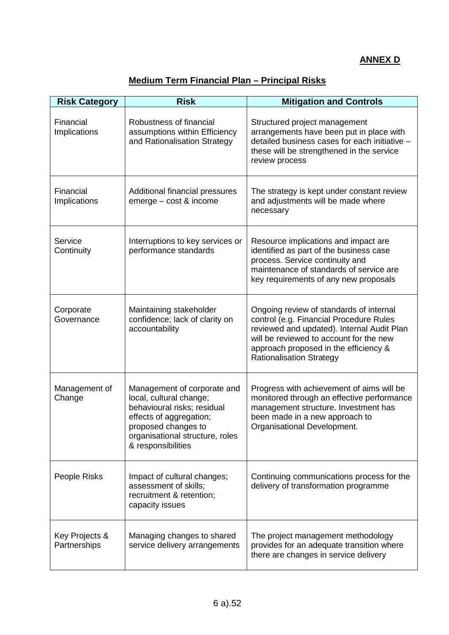# **ANNEX D**

# **Medium Term Financial Plan – Principal Risks**

| <b>Risk Category</b>           | <b>Risk</b>                                                                                                                                                                                      | <b>Mitigation and Controls</b>                                                                                                                                                                                                                          |
|--------------------------------|--------------------------------------------------------------------------------------------------------------------------------------------------------------------------------------------------|---------------------------------------------------------------------------------------------------------------------------------------------------------------------------------------------------------------------------------------------------------|
| Financial<br>Implications      | Robustness of financial<br>assumptions within Efficiency<br>and Rationalisation Strategy                                                                                                         | Structured project management<br>arrangements have been put in place with<br>detailed business cases for each initiative -<br>these will be strengthened in the service<br>review process                                                               |
| Financial<br>Implications      | Additional financial pressures<br>emerge - cost & income                                                                                                                                         | The strategy is kept under constant review<br>and adjustments will be made where<br>necessary                                                                                                                                                           |
| Service<br>Continuity          | Interruptions to key services or<br>performance standards                                                                                                                                        | Resource implications and impact are<br>identified as part of the business case<br>process. Service continuity and<br>maintenance of standards of service are<br>key requirements of any new proposals                                                  |
| Corporate<br>Governance        | Maintaining stakeholder<br>confidence; lack of clarity on<br>accountability                                                                                                                      | Ongoing review of standards of internal<br>control (e.g. Financial Procedure Rules<br>reviewed and updated). Internal Audit Plan<br>will be reviewed to account for the new<br>approach proposed in the efficiency &<br><b>Rationalisation Strategy</b> |
| Management of<br>Change        | Management of corporate and<br>local, cultural change;<br>behavioural risks; residual<br>effects of aggregation;<br>proposed changes to<br>organisational structure, roles<br>& responsibilities | Progress with achievement of aims will be<br>monitored through an effective performance<br>management structure. Investment has<br>been made in a new approach to<br>Organisational Development.                                                        |
| People Risks                   | Impact of cultural changes;<br>assessment of skills;<br>recruitment & retention;<br>capacity issues                                                                                              | Continuing communications process for the<br>delivery of transformation programme                                                                                                                                                                       |
| Key Projects &<br>Partnerships | Managing changes to shared<br>service delivery arrangements                                                                                                                                      | The project management methodology<br>provides for an adequate transition where<br>there are changes in service delivery                                                                                                                                |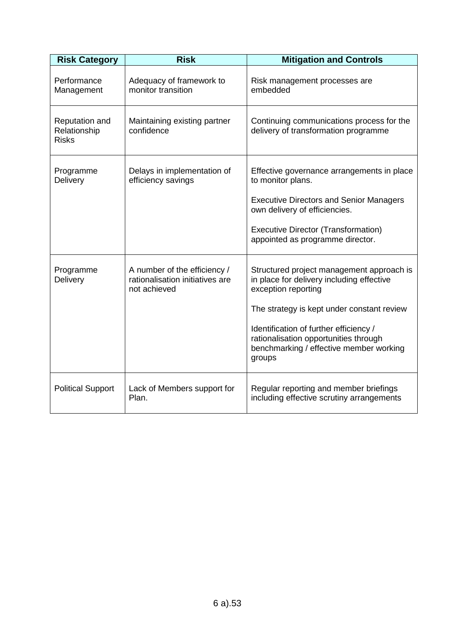| <b>Risk Category</b>                           | <b>Risk</b>                                                                     | <b>Mitigation and Controls</b>                                                                                                       |
|------------------------------------------------|---------------------------------------------------------------------------------|--------------------------------------------------------------------------------------------------------------------------------------|
| Performance<br>Management                      | Adequacy of framework to<br>monitor transition                                  | Risk management processes are<br>embedded                                                                                            |
| Reputation and<br>Relationship<br><b>Risks</b> | Maintaining existing partner<br>confidence                                      | Continuing communications process for the<br>delivery of transformation programme                                                    |
| Programme<br>Delivery                          | Delays in implementation of<br>efficiency savings                               | Effective governance arrangements in place<br>to monitor plans.                                                                      |
|                                                |                                                                                 | <b>Executive Directors and Senior Managers</b><br>own delivery of efficiencies.                                                      |
|                                                |                                                                                 | <b>Executive Director (Transformation)</b><br>appointed as programme director.                                                       |
| Programme<br>Delivery                          | A number of the efficiency /<br>rationalisation initiatives are<br>not achieved | Structured project management approach is<br>in place for delivery including effective<br>exception reporting                        |
|                                                |                                                                                 | The strategy is kept under constant review                                                                                           |
|                                                |                                                                                 | Identification of further efficiency /<br>rationalisation opportunities through<br>benchmarking / effective member working<br>groups |
| <b>Political Support</b>                       | Lack of Members support for<br>Plan.                                            | Regular reporting and member briefings<br>including effective scrutiny arrangements                                                  |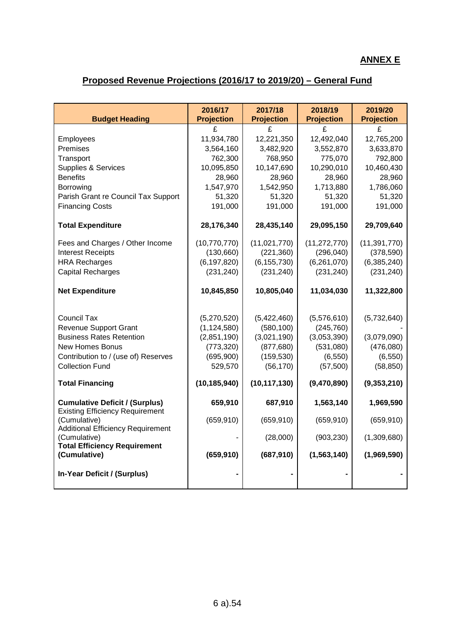# **ANNEX E**

# **Proposed Revenue Projections (2016/17 to 2019/20) – General Fund**

| <b>Budget Heading</b>                                                           | 2016/17<br><b>Projection</b> | 2017/18<br><b>Projection</b> | 2018/19<br><b>Projection</b> | 2019/20<br><b>Projection</b> |
|---------------------------------------------------------------------------------|------------------------------|------------------------------|------------------------------|------------------------------|
|                                                                                 | £                            | £                            | £                            | £                            |
| Employees                                                                       | 11,934,780                   | 12,221,350                   | 12,492,040                   | 12,765,200                   |
| Premises                                                                        | 3,564,160                    | 3,482,920                    | 3,552,870                    | 3,633,870                    |
| Transport                                                                       | 762,300                      | 768,950                      | 775,070                      | 792,800                      |
| <b>Supplies &amp; Services</b>                                                  | 10,095,850                   | 10,147,690                   | 10,290,010                   | 10,460,430                   |
| <b>Benefits</b>                                                                 | 28,960                       | 28,960                       | 28,960                       | 28,960                       |
| Borrowing                                                                       | 1,547,970                    | 1,542,950                    | 1,713,880                    | 1,786,060                    |
| Parish Grant re Council Tax Support                                             | 51,320                       | 51,320                       | 51,320                       | 51,320                       |
| <b>Financing Costs</b>                                                          | 191,000                      | 191,000                      | 191,000                      | 191,000                      |
| <b>Total Expenditure</b>                                                        | 28,176,340                   | 28,435,140                   | 29,095,150                   | 29,709,640                   |
| Fees and Charges / Other Income                                                 | (10, 770, 770)               | (11,021,770)                 | (11, 272, 770)               | (11, 391, 770)               |
| <b>Interest Receipts</b>                                                        | (130, 660)                   | (221, 360)                   | (296, 040)                   | (378, 590)                   |
| <b>HRA Recharges</b>                                                            | (6, 197, 820)                | (6, 155, 730)                | (6,261,070)                  | (6,385,240)                  |
| <b>Capital Recharges</b>                                                        | (231, 240)                   | (231, 240)                   | (231, 240)                   | (231, 240)                   |
| <b>Net Expenditure</b>                                                          | 10,845,850                   | 10,805,040                   | 11,034,030                   | 11,322,800                   |
| <b>Council Tax</b>                                                              | (5,270,520)                  | (5,422,460)                  | (5,576,610)                  | (5,732,640)                  |
| <b>Revenue Support Grant</b>                                                    | (1, 124, 580)                | (580, 100)                   | (245, 760)                   |                              |
| <b>Business Rates Retention</b>                                                 | (2,851,190)                  | (3,021,190)                  | (3,053,390)                  | (3,079,090)                  |
| New Homes Bonus                                                                 | (773, 320)                   | (877, 680)                   | (531,080)                    | (476,080)                    |
| Contribution to / (use of) Reserves                                             | (695,900)                    | (159, 530)                   | (6, 550)                     | (6, 550)                     |
| <b>Collection Fund</b>                                                          | 529,570                      | (56, 170)                    | (57, 500)                    | (58, 850)                    |
| <b>Total Financing</b>                                                          | (10, 185, 940)               | (10, 117, 130)               | (9,470,890)                  | (9,353,210)                  |
| <b>Cumulative Deficit / (Surplus)</b><br><b>Existing Efficiency Requirement</b> | 659,910                      | 687,910                      | 1,563,140                    | 1,969,590                    |
| (Cumulative)<br><b>Additional Efficiency Requirement</b>                        | (659, 910)                   | (659, 910)                   | (659, 910)                   | (659, 910)                   |
| (Cumulative)<br><b>Total Efficiency Requirement</b>                             |                              | (28,000)                     | (903, 230)                   | (1,309,680)                  |
| (Cumulative)                                                                    | (659, 910)                   | (687, 910)                   | (1, 563, 140)                | (1,969,590)                  |
| In-Year Deficit / (Surplus)                                                     |                              |                              |                              |                              |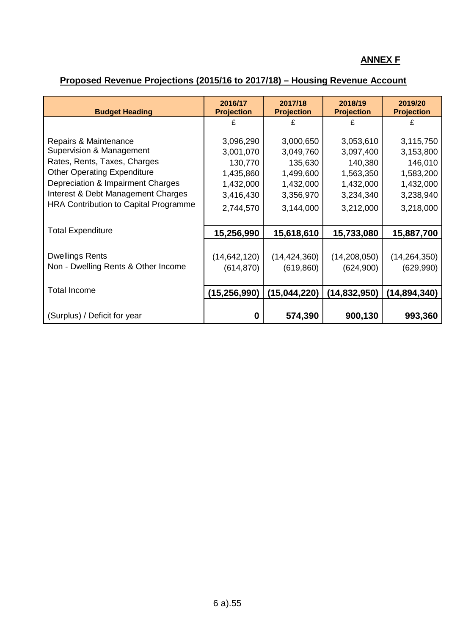## **ANNEX F**

# **Proposed Revenue Projections (2015/16 to 2017/18) – Housing Revenue Account**

| <b>Budget Heading</b>                                                                                                                                                                                                                       | 2016/17<br><b>Projection</b>                                                          | 2017/18<br><b>Projection</b>                                                          | 2018/19<br><b>Projection</b>                                                          | 2019/20<br><b>Projection</b>                                                          |
|---------------------------------------------------------------------------------------------------------------------------------------------------------------------------------------------------------------------------------------------|---------------------------------------------------------------------------------------|---------------------------------------------------------------------------------------|---------------------------------------------------------------------------------------|---------------------------------------------------------------------------------------|
|                                                                                                                                                                                                                                             |                                                                                       |                                                                                       |                                                                                       |                                                                                       |
| Repairs & Maintenance<br>Supervision & Management<br>Rates, Rents, Taxes, Charges<br><b>Other Operating Expenditure</b><br>Depreciation & Impairment Charges<br>Interest & Debt Management Charges<br>HRA Contribution to Capital Programme | 3,096,290<br>3,001,070<br>130,770<br>1,435,860<br>1,432,000<br>3,416,430<br>2,744,570 | 3,000,650<br>3,049,760<br>135,630<br>1,499,600<br>1,432,000<br>3,356,970<br>3,144,000 | 3,053,610<br>3,097,400<br>140,380<br>1,563,350<br>1,432,000<br>3,234,340<br>3,212,000 | 3,115,750<br>3,153,800<br>146,010<br>1,583,200<br>1,432,000<br>3,238,940<br>3,218,000 |
| <b>Total Expenditure</b>                                                                                                                                                                                                                    | 15,256,990                                                                            | 15,618,610                                                                            | 15,733,080                                                                            | 15,887,700                                                                            |
| <b>Dwellings Rents</b><br>Non - Dwelling Rents & Other Income                                                                                                                                                                               | (14, 642, 120)<br>(614, 870)                                                          | (14, 424, 360)<br>(619, 860)                                                          | (14, 208, 050)<br>(624, 900)                                                          | (14, 264, 350)<br>(629,990)                                                           |
| <b>Total Income</b>                                                                                                                                                                                                                         | (15, 256, 990)                                                                        | (15,044,220)                                                                          | (14, 832, 950)                                                                        | (14, 894, 340)                                                                        |
| (Surplus) / Deficit for year                                                                                                                                                                                                                | 0                                                                                     | 574,390                                                                               | 900,130                                                                               | 993,360                                                                               |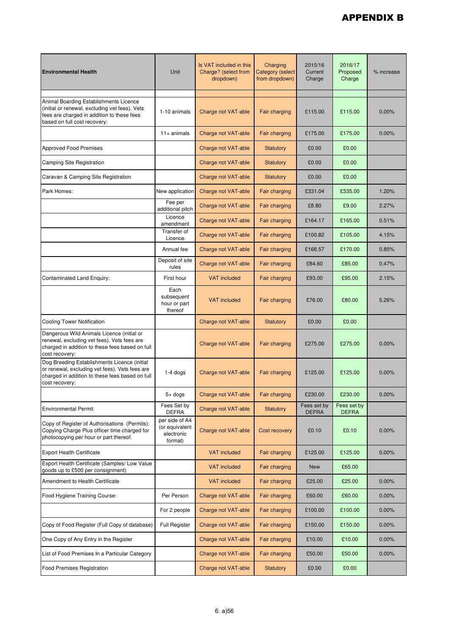| <b>Environmental Health</b>                                                                                                                                            | <b>Unit</b>                                               | Is VAT included in this<br>Charge? (select from<br>dropdown) | Charging<br><b>Category (select</b><br>from dropdown) | 2015/16<br>Current<br>Charge | 2016/17<br>Proposed<br>Charge | % increase |
|------------------------------------------------------------------------------------------------------------------------------------------------------------------------|-----------------------------------------------------------|--------------------------------------------------------------|-------------------------------------------------------|------------------------------|-------------------------------|------------|
| Animal Boarding Establishments Licence<br>(initial or renewal, excluding vet fees). Vets<br>fees are charged in addition to these fees<br>based on full cost recovery: | 1-10 animals                                              | Charge not VAT-able                                          | Fair charging                                         | £115.00                      | £115.00                       | 0.00%      |
|                                                                                                                                                                        | $11+$ animals                                             | <b>Charge not VAT-able</b>                                   | Fair charging                                         | £175.00                      | £175.00                       | 0.00%      |
| <b>Approved Food Premises</b>                                                                                                                                          |                                                           | Charge not VAT-able                                          | <b>Statutory</b>                                      | £0.00                        | £0.00                         |            |
| <b>Camping Site Registration</b>                                                                                                                                       |                                                           | Charge not VAT-able                                          | Statutory                                             | £0.00                        | £0.00                         |            |
| Caravan & Camping Site Registration                                                                                                                                    |                                                           | Charge not VAT-able                                          | Statutory                                             | £0.00                        | £0.00                         |            |
| Park Homes:                                                                                                                                                            | New application                                           | Charge not VAT-able                                          | Fair charging                                         | £331.04                      | £335.00                       | 1.20%      |
|                                                                                                                                                                        | Fee per<br>additional pitch                               | <b>Charge not VAT-able</b>                                   | Fair charging                                         | £8.80                        | £9.00                         | 2.27%      |
|                                                                                                                                                                        | Licence<br>amendment                                      | Charge not VAT-able                                          | Fair charging                                         | £164.17                      | £165.00                       | 0.51%      |
|                                                                                                                                                                        | Transfer of<br>Licence                                    | <b>Charge not VAT-able</b>                                   | Fair charging                                         | £100.82                      | £105.00                       | 4.15%      |
|                                                                                                                                                                        | Annual fee                                                | Charge not VAT-able                                          | Fair charging                                         | £168.57                      | £170.00                       | 0.85%      |
|                                                                                                                                                                        | Deposit of site<br>rules                                  | Charge not VAT-able                                          | Fair charging                                         | £84.60                       | £85.00                        | 0.47%      |
| Contaminated Land Enquiry:                                                                                                                                             | First hour                                                | <b>VAT included</b>                                          | Fair charging                                         | £93.00                       | £95.00                        | 2.15%      |
|                                                                                                                                                                        | Each<br>subsequent<br>hour or part<br>thereof             | <b>VAT included</b>                                          | Fair charging                                         | £76.00                       | £80.00                        | 5.26%      |
| <b>Cooling Tower Notification</b>                                                                                                                                      |                                                           | Charge not VAT-able                                          | Statutory                                             | £0.00                        | £0.00                         |            |
| Dangerous Wild Animals Licence (initial or<br>renewal, excluding vet fees). Vets fees are<br>charged in addition to these fees based on full<br>cost recovery:         |                                                           | Charge not VAT-able                                          | Fair charging                                         | £275.00                      | £275.00                       | 0.00%      |
| Dog Breeding Establishments Licence (initial<br>or renewal, excluding vet fees). Vets fees are<br>charged in addition to these fees based on full<br>cost recovery:    | $1-4$ dogs                                                | Charge not VAT-able                                          | Fair charging                                         | £125.00                      | £125.00                       | $0.00\%$   |
|                                                                                                                                                                        | $5+$ dogs                                                 | Charge not VAT-able                                          | <b>Fair charging</b>                                  | £230.00                      | £230.00                       | $0.00\%$   |
| <b>Environmental Permit</b>                                                                                                                                            | Fees Set by<br><b>DEFRA</b>                               | <b>Charge not VAT-able</b>                                   | <b>Statutory</b>                                      | Fees set by<br><b>DEFRA</b>  | Fees set by<br><b>DEFRA</b>   |            |
| Copy of Register of Authorisations (Permits):<br>Copying Charge Plus officer time charged for<br>photocopying per hour or part thereof.                                | per side of A4<br>(or equivalent<br>electronic<br>format) | Charge not VAT-able                                          | <b>Cost recovery</b>                                  | £0.10                        | £0.10                         | 0.00%      |
| <b>Export Health Certificate</b>                                                                                                                                       |                                                           | <b>VAT included</b>                                          | Fair charging                                         | £125.00                      | £125.00                       | $0.00\%$   |
| Export Health Certificate (Samples/ Low Value<br>goods up to £500 per consignment)                                                                                     |                                                           | <b>VAT included</b>                                          | Fair charging                                         | <b>New</b>                   | £65.00                        |            |
| Amendment to Health Certificate                                                                                                                                        |                                                           | <b>VAT included</b>                                          | Fair charging                                         | £25.00                       | £25.00                        | $0.00\%$   |
| Food Hygiene Training Course:                                                                                                                                          | Per Person                                                | Charge not VAT-able                                          | Fair charging                                         | £60.00                       | £60.00                        | $0.00\%$   |
|                                                                                                                                                                        | For 2 people                                              | Charge not VAT-able                                          | Fair charging                                         | £100.00                      | £100.00                       | 0.00%      |
| Copy of Food Register (Full Copy of database)                                                                                                                          | <b>Full Register</b>                                      | Charge not VAT-able                                          | Fair charging                                         | £150.00                      | £150.00                       | $0.00\%$   |
| One Copy of Any Entry in the Register                                                                                                                                  |                                                           | Charge not VAT-able                                          | Fair charging                                         | £10.00                       | £10.00                        | $0.00\%$   |
| List of Food Premises In a Particular Category                                                                                                                         |                                                           | Charge not VAT-able                                          | Fair charging                                         | £50.00                       | £50.00                        | $0.00\%$   |
| <b>Food Premises Registration</b>                                                                                                                                      |                                                           | Charge not VAT-able                                          | <b>Statutory</b>                                      | £0.00                        | £0.00                         |            |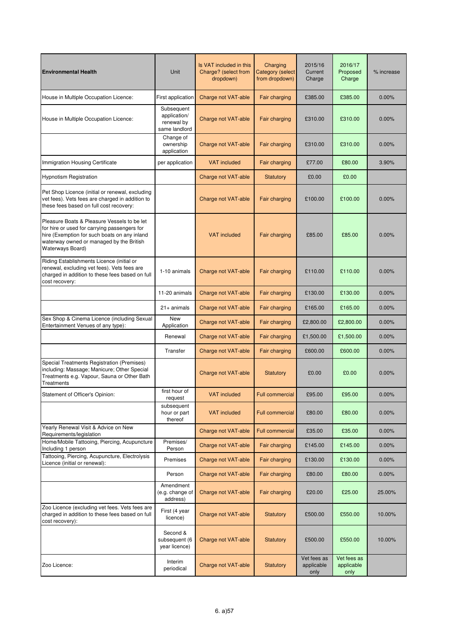| <b>Environmental Health</b>                                                                                                                                                                                 | Unit                                                      | Is VAT included in this<br>Charge? (select from<br>dropdown) | Charging<br>Category (select<br>from dropdown) | 2015/16<br>Current<br>Charge      | 2016/17<br>Proposed<br>Charge     | % increase |
|-------------------------------------------------------------------------------------------------------------------------------------------------------------------------------------------------------------|-----------------------------------------------------------|--------------------------------------------------------------|------------------------------------------------|-----------------------------------|-----------------------------------|------------|
| House in Multiple Occupation Licence:                                                                                                                                                                       | First application                                         | Charge not VAT-able                                          | Fair charging                                  | £385.00                           | £385.00                           | 0.00%      |
| House in Multiple Occupation Licence:                                                                                                                                                                       | Subsequent<br>application/<br>renewal by<br>same landlord | Charge not VAT-able                                          | Fair charging                                  | £310.00                           | £310.00                           | 0.00%      |
|                                                                                                                                                                                                             | Change of<br>ownership<br>application                     | Charge not VAT-able                                          | Fair charging                                  | £310.00                           | £310.00                           | 0.00%      |
| Immigration Housing Certificate                                                                                                                                                                             | per application                                           | <b>VAT included</b>                                          | <b>Fair charging</b>                           | £77.00                            | £80.00                            | 3.90%      |
| <b>Hypnotism Registration</b>                                                                                                                                                                               |                                                           | Charge not VAT-able                                          | Statutory                                      | £0.00                             | £0.00                             |            |
| Pet Shop Licence (initial or renewal, excluding<br>vet fees). Vets fees are charged in addition to<br>these fees based on full cost recovery:                                                               |                                                           | Charge not VAT-able                                          | Fair charging                                  | £100.00                           | £100.00                           | 0.00%      |
| Pleasure Boats & Pleasure Vessels to be let<br>for hire or used for carrying passengers for<br>hire (Exemption for such boats on any inland<br>waterway owned or managed by the British<br>Waterways Board) |                                                           | <b>VAT</b> included                                          | Fair charging                                  | £85.00                            | £85.00                            | 0.00%      |
| Riding Establishments Licence (initial or<br>renewal, excluding vet fees). Vets fees are<br>charged in addition to these fees based on full<br>cost recovery:                                               | 1-10 animals                                              | Charge not VAT-able                                          | Fair charging                                  | £110.00                           | £110.00                           | 0.00%      |
|                                                                                                                                                                                                             | 11-20 animals                                             | Charge not VAT-able                                          | Fair charging                                  | £130.00                           | £130.00                           | $0.00\%$   |
|                                                                                                                                                                                                             | $21+$ animals                                             | Charge not VAT-able                                          | Fair charging                                  | £165.00                           | £165.00                           | 0.00%      |
| Sex Shop & Cinema Licence (including Sexual<br>Entertainment Venues of any type):                                                                                                                           | <b>New</b><br>Application                                 | Charge not VAT-able                                          | Fair charging                                  | £2,800.00                         | £2,800.00                         | 0.00%      |
|                                                                                                                                                                                                             | Renewal                                                   | Charge not VAT-able                                          | Fair charging                                  | £1,500.00                         | £1,500.00                         | 0.00%      |
|                                                                                                                                                                                                             | Transfer                                                  | Charge not VAT-able                                          | Fair charging                                  | £600.00                           | £600.00                           | 0.00%      |
| Special Treatments Registration (Premises)<br>including: Massage; Manicure; Other Special<br>Treatments e.g. Vapour, Sauna or Other Bath<br>Treatments                                                      |                                                           | Charge not VAT-able                                          | <b>Statutory</b>                               | £0.00                             | £0.00                             | 0.00%      |
| Statement of Officer's Opinion:                                                                                                                                                                             | first hour of<br>request                                  | <b>VAT included</b>                                          | <b>Full commercial</b>                         | £95.00                            | £95.00                            | 0.00%      |
|                                                                                                                                                                                                             | subsequent<br>hour or part<br>thereof                     | <b>VAT included</b>                                          | <b>Full commercial</b>                         | £80.00                            | £80.00                            | $0.00\%$   |
| Yearly Renewal Visit & Advice on New<br>Requirements/legislation                                                                                                                                            |                                                           | Charge not VAT-able                                          | <b>Full commercial</b>                         | £35.00                            | £35.00                            | $0.00\%$   |
| Home/Mobile Tattooing, Piercing, Acupuncture<br>Including 1 person                                                                                                                                          | Premises/<br>Person                                       | Charge not VAT-able                                          | Fair charging                                  | £145.00                           | £145.00                           | 0.00%      |
| Tattooing, Piercing, Acupuncture, Electrolysis<br>Licence (initial or renewal):                                                                                                                             | Premises                                                  | Charge not VAT-able                                          | Fair charging                                  | £130.00                           | £130.00                           | 0.00%      |
|                                                                                                                                                                                                             | Person                                                    | Charge not VAT-able                                          | Fair charging                                  | £80.00                            | £80.00                            | $0.00\%$   |
|                                                                                                                                                                                                             | Amendment<br>(e.g. change of<br>address)                  | Charge not VAT-able                                          | Fair charging                                  | £20.00                            | £25.00                            | 25.00%     |
| Zoo Licence (excluding vet fees. Vets fees are<br>charged in addition to these fees based on full<br>cost recovery):                                                                                        | First (4 year<br>licence)                                 | Charge not VAT-able                                          | <b>Statutory</b>                               | £500.00                           | £550.00                           | 10.00%     |
|                                                                                                                                                                                                             | Second &<br>subsequent (6<br>year licence)                | Charge not VAT-able                                          | <b>Statutory</b>                               | £500.00                           | £550.00                           | 10.00%     |
| Zoo Licence:                                                                                                                                                                                                | Interim<br>periodical                                     | Charge not VAT-able                                          | <b>Statutory</b>                               | Vet fees as<br>applicable<br>only | Vet fees as<br>applicable<br>only |            |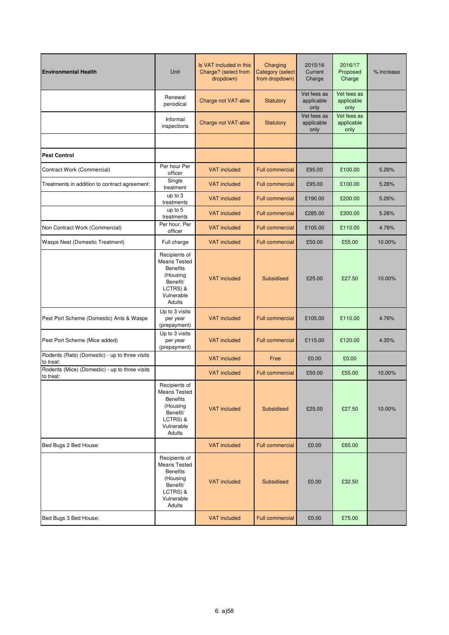| <b>Environmental Health</b>                                 | Unit                                                                                                                | Is VAT included in this<br>Charge? (select from<br>dropdown) | Charging<br><b>Category (select</b><br>from dropdown) | 2015/16<br>Current<br>Charge      | 2016/17<br>Proposed<br>Charge     | % increase |
|-------------------------------------------------------------|---------------------------------------------------------------------------------------------------------------------|--------------------------------------------------------------|-------------------------------------------------------|-----------------------------------|-----------------------------------|------------|
|                                                             | Renewal<br>periodical                                                                                               | Charge not VAT-able                                          | <b>Statutory</b>                                      | Vet fees as<br>applicable<br>only | Vet fees as<br>applicable<br>only |            |
|                                                             | Informal<br>inspections                                                                                             | Charge not VAT-able                                          | <b>Statutory</b>                                      | Vet fees as<br>applicable<br>only | Vet fees as<br>applicable<br>only |            |
|                                                             |                                                                                                                     |                                                              |                                                       |                                   |                                   |            |
| <b>Pest Control</b>                                         |                                                                                                                     |                                                              |                                                       |                                   |                                   |            |
| Contract Work (Commercial)                                  | Per hour Per<br>officer                                                                                             | <b>VAT included</b>                                          | <b>Full commercial</b>                                | £95.00                            | £100.00                           | 5.26%      |
| Treatments in addition to contract agreement:               | Single<br>treatment                                                                                                 | <b>VAT included</b>                                          | <b>Full commercial</b>                                | £95.00                            | £100.00                           | 5.26%      |
|                                                             | up to 3<br>treatments                                                                                               | <b>VAT included</b>                                          | <b>Full commercial</b>                                | £190.00                           | £200.00                           | 5.26%      |
|                                                             | up to 5<br>treatments                                                                                               | <b>VAT included</b>                                          | Full commercial                                       | £285.00                           | £300.00                           | 5.26%      |
| Non Contract Work (Commercial)                              | Per hour, Per<br>officer                                                                                            | <b>VAT included</b>                                          | <b>Full commercial</b>                                | £105.00                           | £110.00                           | 4.76%      |
| Wasps Nest (Domestic Treatment)                             | Full charge                                                                                                         | <b>VAT included</b>                                          | <b>Full commercial</b>                                | £50.00                            | £55.00                            | 10.00%     |
|                                                             | Recipients of<br><b>Means Tested</b><br><b>Benefits</b><br>(Housing<br>Benefit/<br>LCTRS) &<br>Vulnerable<br>Adults | <b>VAT</b> included                                          | Subsidised                                            | £25.00                            | £27.50                            | 10.00%     |
| Pest Port Scheme (Domestic) Ants & Wasps                    | Up to 3 visits<br>per year<br>(prepayment)                                                                          | <b>VAT included</b>                                          | <b>Full commercial</b>                                | £105.00                           | £110.00                           | 4.76%      |
| Pest Port Scheme (Mice added)                               | Up to 3 visits<br>per year<br>(prepayment)                                                                          | <b>VAT included</b>                                          | <b>Full commercial</b>                                | £115.00                           | £120.00                           | 4.35%      |
| Rodents (Rats) (Domestic) - up to three visits<br>to treat: |                                                                                                                     | <b>VAT included</b>                                          | Free                                                  | £0.00                             | £0.00                             |            |
| Rodents (Mice) (Domestic) - up to three visits<br>to treat: |                                                                                                                     | <b>VAT included</b>                                          | <b>Full commercial</b>                                | £50.00                            | £55.00                            | 10.00%     |
|                                                             | Recipients of<br>Means Tested<br><b>Benefits</b><br>(Housing<br>Benefit/<br>LCTRS) &<br>Vulnerable<br>Adults        | <b>VAT included</b>                                          | Subsidised                                            | £25.00                            | £27.50                            | 10.00%     |
| Bed Bugs 2 Bed House:                                       |                                                                                                                     | <b>VAT</b> included                                          | <b>Full commercial</b>                                | £0.00                             | £65.00                            |            |
|                                                             | Recipients of<br><b>Means Tested</b><br><b>Benefits</b><br>(Housing<br>Benefit/<br>LCTRS) &<br>Vulnerable<br>Adults | <b>VAT</b> included                                          | Subsidised                                            | £0.00                             | £32.50                            |            |
| Bed Bugs 3 Bed House:                                       |                                                                                                                     | <b>VAT included</b>                                          | Full commercial                                       | £0.00                             | £75.00                            |            |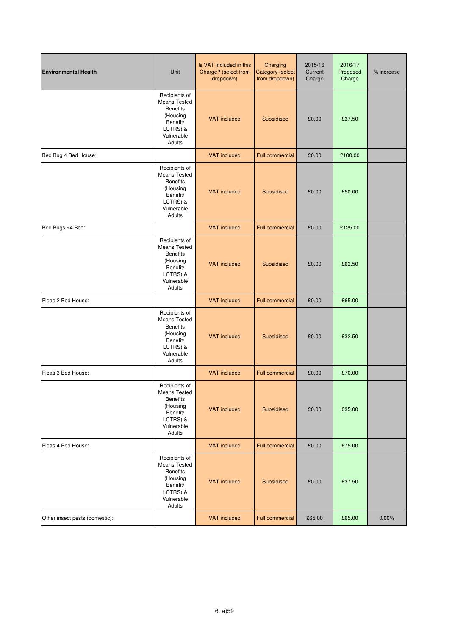| <b>Environmental Health</b>    | Unit                                                                                                                | Is VAT included in this<br>Charge? (select from<br>dropdown) | Charging<br><b>Category (select</b><br>from dropdown) | 2015/16<br>Current<br>Charge | 2016/17<br>Proposed<br>Charge | % increase |
|--------------------------------|---------------------------------------------------------------------------------------------------------------------|--------------------------------------------------------------|-------------------------------------------------------|------------------------------|-------------------------------|------------|
|                                | Recipients of<br><b>Means Tested</b><br><b>Benefits</b><br>(Housing<br>Benefit/<br>LCTRS) &<br>Vulnerable<br>Adults | <b>VAT included</b>                                          | Subsidised                                            | £0.00                        | £37.50                        |            |
| Bed Bug 4 Bed House:           |                                                                                                                     | <b>VAT</b> included                                          | <b>Full commercial</b>                                | £0.00                        | £100.00                       |            |
|                                | Recipients of<br><b>Means Tested</b><br><b>Benefits</b><br>(Housing<br>Benefit/<br>LCTRS) &<br>Vulnerable<br>Adults | <b>VAT included</b>                                          | Subsidised                                            | £0.00                        | £50.00                        |            |
| Bed Bugs >4 Bed:               |                                                                                                                     | <b>VAT included</b>                                          | <b>Full commercial</b>                                | £0.00                        | £125.00                       |            |
|                                | Recipients of<br>Means Tested<br><b>Benefits</b><br>(Housing<br>Benefit/<br>LCTRS) &<br>Vulnerable<br>Adults        | <b>VAT included</b>                                          | Subsidised                                            | £0.00                        | £62.50                        |            |
| Fleas 2 Bed House:             |                                                                                                                     | <b>VAT included</b>                                          | <b>Full commercial</b>                                | £0.00                        | £65.00                        |            |
|                                | Recipients of<br><b>Means Tested</b><br><b>Benefits</b><br>(Housing<br>Benefit/<br>LCTRS) &<br>Vulnerable<br>Adults | <b>VAT included</b>                                          | Subsidised                                            | £0.00                        | £32.50                        |            |
| Fleas 3 Bed House:             |                                                                                                                     | <b>VAT included</b>                                          | <b>Full commercial</b>                                | £0.00                        | £70.00                        |            |
|                                | Recipients of<br>Means Tested<br><b>Benefits</b><br>(Housing<br>Benefit/<br>LCTRS) &<br>Vulnerable<br>Adults        | <b>VAT included</b>                                          | Subsidised                                            | £0.00                        | £35.00                        |            |
| Fleas 4 Bed House:             |                                                                                                                     | <b>VAT included</b>                                          | <b>Full commercial</b>                                | £0.00                        | £75.00                        |            |
|                                | Recipients of<br><b>Means Tested</b><br><b>Benefits</b><br>(Housing<br>Benefit/<br>LCTRS) &<br>Vulnerable<br>Adults | <b>VAT included</b>                                          | Subsidised                                            | £0.00                        | £37.50                        |            |
| Other insect pests (domestic): |                                                                                                                     | <b>VAT included</b>                                          | <b>Full commercial</b>                                | £65.00                       | £65.00                        | 0.00%      |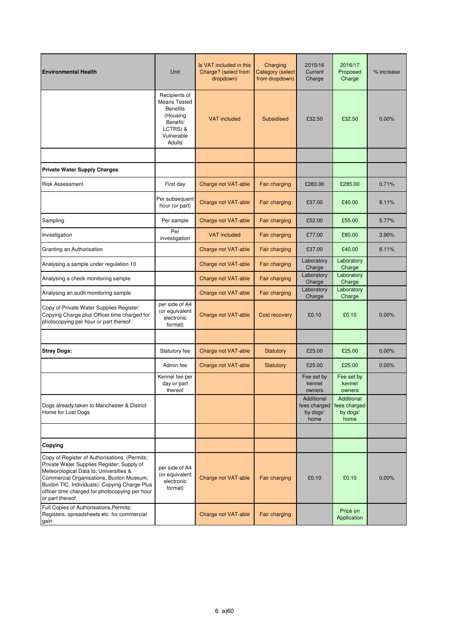| <b>Environmental Health</b>                                                                                                                                                                                                                                                                             | Unit                                                                                                                | Is VAT included in this<br>Charge? (select from<br>dropdown) | Charging<br><b>Category (select</b><br>from dropdown) | 2015/16<br>Current<br>Charge                   | 2016/17<br>Proposed<br>Charge                  | % increase |
|---------------------------------------------------------------------------------------------------------------------------------------------------------------------------------------------------------------------------------------------------------------------------------------------------------|---------------------------------------------------------------------------------------------------------------------|--------------------------------------------------------------|-------------------------------------------------------|------------------------------------------------|------------------------------------------------|------------|
|                                                                                                                                                                                                                                                                                                         | Recipients of<br><b>Means Tested</b><br><b>Benefits</b><br>(Housing<br>Benefit/<br>LCTRS) &<br>Vulnerable<br>Adults | <b>VAT</b> included                                          | <b>Subsidised</b>                                     | £32.50                                         | £32.50                                         | 0.00%      |
|                                                                                                                                                                                                                                                                                                         |                                                                                                                     |                                                              |                                                       |                                                |                                                |            |
| <b>Private Water Supply Charges</b>                                                                                                                                                                                                                                                                     |                                                                                                                     |                                                              |                                                       |                                                |                                                |            |
| <b>Risk Assessment</b>                                                                                                                                                                                                                                                                                  | First day                                                                                                           | Charge not VAT-able                                          | Fair charging                                         | £283.00                                        | £285.00                                        | 0.71%      |
|                                                                                                                                                                                                                                                                                                         | Per subsequent<br>hour (or part)                                                                                    | Charge not VAT-able                                          | Fair charging                                         | £37.00                                         | £40.00                                         | 8.11%      |
| Sampling                                                                                                                                                                                                                                                                                                | Per sample                                                                                                          | Charge not VAT-able                                          | Fair charging                                         | £52.00                                         | £55.00                                         | 5.77%      |
| Investigation                                                                                                                                                                                                                                                                                           | Per<br>investigation                                                                                                | <b>VAT</b> included                                          | Fair charging                                         | £77.00                                         | £80.00                                         | 3.90%      |
| Granting an Authorisation                                                                                                                                                                                                                                                                               |                                                                                                                     | Charge not VAT-able                                          | Fair charging                                         | £37.00                                         | £40.00                                         | 8.11%      |
| Analysing a sample under regulation 10                                                                                                                                                                                                                                                                  |                                                                                                                     | Charge not VAT-able                                          | Fair charging                                         | Laboratory<br>Charge                           | Laboratory<br>Charge                           |            |
| Analysing a check monitoring sample                                                                                                                                                                                                                                                                     |                                                                                                                     | Charge not VAT-able                                          | Fair charging                                         | Laboratory<br>Charge                           | Laboratory<br>Charge                           |            |
| Analysing an audit monitoring sample                                                                                                                                                                                                                                                                    |                                                                                                                     | Charge not VAT-able                                          | Fair charging                                         | Laboratory<br>Charge                           | Laboratory<br>Charge                           |            |
| Copy of Private Water Supplies Register:<br>Copying Charge plus Officer time charged for<br>photocopying per hour or part thereof.                                                                                                                                                                      | per side of A4<br>(or equivalent<br>electronic<br>format)                                                           | Charge not VAT-able                                          | <b>Cost recovery</b>                                  | £0.10                                          | £0.10                                          | $0.00\%$   |
|                                                                                                                                                                                                                                                                                                         |                                                                                                                     |                                                              |                                                       |                                                |                                                |            |
| <b>Stray Dogs:</b>                                                                                                                                                                                                                                                                                      | Statutory fee                                                                                                       | Charge not VAT-able                                          | Statutory                                             | £25.00                                         | £25.00                                         | 0.00%      |
|                                                                                                                                                                                                                                                                                                         | Admin fee                                                                                                           | Charge not VAT-able                                          | Statutory                                             | £25.00                                         | £25.00                                         | 0.00%      |
|                                                                                                                                                                                                                                                                                                         | Kennel fee per<br>day or part<br>thereof                                                                            |                                                              |                                                       | Fee set by<br>kennel<br>owners                 | Fee set by<br>kennel<br>owners                 |            |
| Dogs already taken to Manchester & District<br>Home for Lost Dogs                                                                                                                                                                                                                                       |                                                                                                                     |                                                              |                                                       | Additional<br>fees charged<br>by dogs'<br>home | Additional<br>fees charged<br>by dogs'<br>home |            |
|                                                                                                                                                                                                                                                                                                         |                                                                                                                     |                                                              |                                                       |                                                |                                                |            |
| Copying                                                                                                                                                                                                                                                                                                 |                                                                                                                     |                                                              |                                                       |                                                |                                                |            |
| Copy of Register of Authorisations (Permits;<br>Private Water Supplies Register; Supply of<br>Meteorological Data to: Universities &<br>Commercial Organisations, Buxton Museum,<br>Buxton TIC, Individuals): Copying Charge Plus<br>officer time charged for photocopying per hour<br>or part thereof. | per side of A4<br>(or equivalent<br>electronic<br>format)                                                           | Charge not VAT-able                                          | Fair charging                                         | £0.10                                          | £0.10                                          | 0.00%      |
| Full Copies of Authorisations, Permits;<br>Registers, spreadsheets etc for commercial<br>gain                                                                                                                                                                                                           |                                                                                                                     | Charge not VAT-able                                          | Fair charging                                         |                                                | Price on<br>Application                        |            |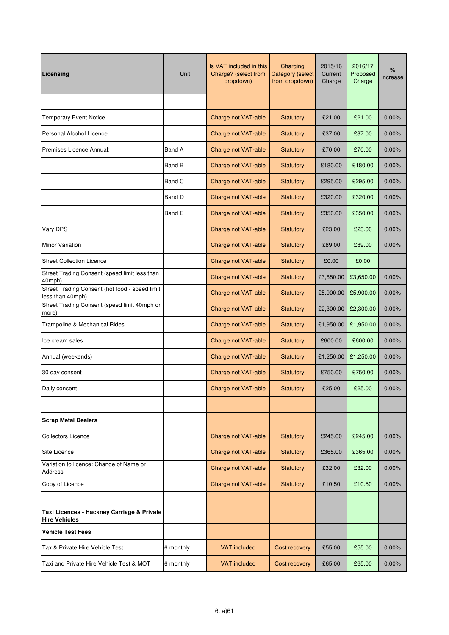| Licensing                                                          | Unit      | Is VAT included in this<br>Charge? (select from<br>dropdown) | Charging<br><b>Category</b> (select<br>from dropdown) | 2015/16<br>Current<br>Charge | 2016/17<br>Proposed<br>Charge | $\%$<br>increase |
|--------------------------------------------------------------------|-----------|--------------------------------------------------------------|-------------------------------------------------------|------------------------------|-------------------------------|------------------|
|                                                                    |           |                                                              |                                                       |                              |                               |                  |
| <b>Temporary Event Notice</b>                                      |           | Charge not VAT-able                                          | Statutory                                             | £21.00                       | £21.00                        | 0.00%            |
| Personal Alcohol Licence                                           |           | Charge not VAT-able                                          | Statutory                                             | £37.00                       | £37.00                        | 0.00%            |
| Premises Licence Annual:                                           | Band A    | Charge not VAT-able                                          | Statutory                                             | £70.00                       | £70.00                        | 0.00%            |
|                                                                    | Band B    | Charge not VAT-able                                          | <b>Statutory</b>                                      | £180.00                      | £180.00                       | 0.00%            |
|                                                                    | Band C    | Charge not VAT-able                                          | <b>Statutory</b>                                      | £295.00                      | £295.00                       | 0.00%            |
|                                                                    | Band D    | Charge not VAT-able                                          | <b>Statutory</b>                                      | £320.00                      | £320.00                       | 0.00%            |
|                                                                    | Band E    | Charge not VAT-able                                          | <b>Statutory</b>                                      | £350.00                      | £350.00                       | 0.00%            |
| Vary DPS                                                           |           | Charge not VAT-able                                          | <b>Statutory</b>                                      | £23.00                       | £23.00                        | 0.00%            |
| Minor Variation                                                    |           | Charge not VAT-able                                          | <b>Statutory</b>                                      | £89.00                       | £89.00                        | 0.00%            |
| <b>Street Collection Licence</b>                                   |           | Charge not VAT-able                                          | <b>Statutory</b>                                      | £0.00                        | £0.00                         |                  |
| Street Trading Consent (speed limit less than<br>40mph)            |           | Charge not VAT-able                                          | <b>Statutory</b>                                      | £3,650.00                    | £3,650.00                     | 0.00%            |
| Street Trading Consent (hot food - speed limit<br>less than 40mph) |           | Charge not VAT-able                                          | <b>Statutory</b>                                      | £5,900.00                    | £5,900.00                     | 0.00%            |
| Street Trading Consent (speed limit 40mph or<br>more)              |           | Charge not VAT-able                                          | <b>Statutory</b>                                      | £2,300.00                    | £2,300.00                     | 0.00%            |
| Trampoline & Mechanical Rides                                      |           | Charge not VAT-able                                          | <b>Statutory</b>                                      | £1,950.00                    | £1,950.00                     | 0.00%            |
| Ice cream sales                                                    |           | Charge not VAT-able                                          | Statutory                                             | £600.00                      | £600.00                       | 0.00%            |
| Annual (weekends)                                                  |           | Charge not VAT-able                                          | <b>Statutory</b>                                      | £1,250.00                    | £1,250.00                     | $0.00\%$         |
| 30 day consent                                                     |           | Charge not VAT-able                                          | <b>Statutory</b>                                      | £750.00                      | £750.00                       | 0.00%            |
| Daily consent                                                      |           | Charge not VAT-able                                          | <b>Statutory</b>                                      | £25.00                       | £25.00                        | 0.00%            |
|                                                                    |           |                                                              |                                                       |                              |                               |                  |
| <b>Scrap Metal Dealers</b>                                         |           |                                                              |                                                       |                              |                               |                  |
| <b>Collectors Licence</b>                                          |           | Charge not VAT-able                                          | Statutory                                             | £245.00                      | £245.00                       | 0.00%            |
| Site Licence<br>Variation to licence: Change of Name or            |           | Charge not VAT-able                                          | Statutory                                             | £365.00                      | £365.00                       | 0.00%            |
| Address                                                            |           | Charge not VAT-able                                          | <b>Statutory</b>                                      | £32.00                       | £32.00                        | 0.00%            |
| Copy of Licence                                                    |           | Charge not VAT-able                                          | <b>Statutory</b>                                      | £10.50                       | £10.50                        | 0.00%            |
| Taxi Licences - Hackney Carriage & Private                         |           |                                                              |                                                       |                              |                               |                  |
| <b>Hire Vehicles</b>                                               |           |                                                              |                                                       |                              |                               |                  |
| <b>Vehicle Test Fees</b>                                           |           |                                                              |                                                       |                              |                               |                  |
| Tax & Private Hire Vehicle Test                                    | 6 monthly | <b>VAT</b> included                                          | Cost recovery                                         | £55.00                       | £55.00                        | 0.00%            |
| Taxi and Private Hire Vehicle Test & MOT                           | 6 monthly | <b>VAT included</b>                                          | Cost recovery                                         | £65.00                       | £65.00                        | 0.00%            |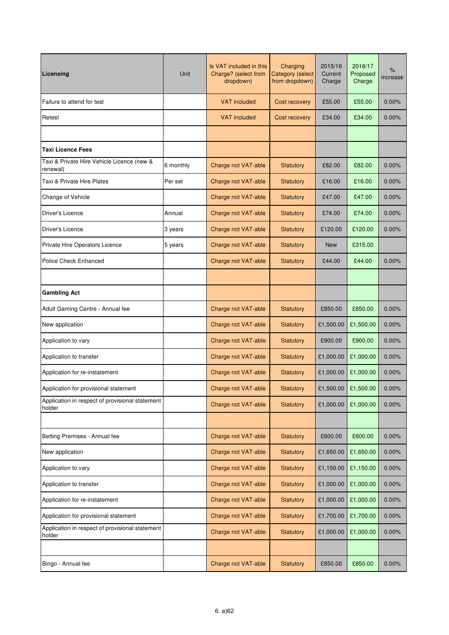| Licensing                                                 | Unit      | Is VAT included in this<br>Charge? (select from<br>dropdown) | Charging<br><b>Category</b> (select<br>from dropdown) | 2015/16<br>Current<br>Charge | 2016/17<br>Proposed<br>Charge | $\%$<br>increase |
|-----------------------------------------------------------|-----------|--------------------------------------------------------------|-------------------------------------------------------|------------------------------|-------------------------------|------------------|
| Failure to attend for test                                |           | <b>VAT</b> included                                          | Cost recovery                                         | £55.00                       | £55.00                        | 0.00%            |
| Retest                                                    |           | <b>VAT</b> included                                          | Cost recovery                                         | £34.00                       | £34.00                        | 0.00%            |
|                                                           |           |                                                              |                                                       |                              |                               |                  |
| <b>Taxi Licence Fees</b>                                  |           |                                                              |                                                       |                              |                               |                  |
| Taxi & Private Hire Vehicle Licence (new &<br>renewal)    | 6 monthly | Charge not VAT-able                                          | <b>Statutory</b>                                      | £82.00                       | £82.00                        | 0.00%            |
| Taxi & Private Hire Plates                                | Per set   | Charge not VAT-able                                          | <b>Statutory</b>                                      | £16.00                       | £16.00                        | 0.00%            |
| Change of Vehicle                                         |           | Charge not VAT-able                                          | <b>Statutory</b>                                      | £47.00                       | £47.00                        | 0.00%            |
| Driver's Licence                                          | Annual    | Charge not VAT-able                                          | <b>Statutory</b>                                      | £74.00                       | £74.00                        | 0.00%            |
| Driver's Licence                                          | 3 years   | Charge not VAT-able                                          | <b>Statutory</b>                                      | £120.00                      | £120.00                       | 0.00%            |
| Private Hire Operators Licence                            | 5 years   | Charge not VAT-able                                          | <b>Statutory</b>                                      | <b>New</b>                   | £315.00                       |                  |
| <b>Police Check Enhanced</b>                              |           | Charge not VAT-able                                          | <b>Statutory</b>                                      | £44.00                       | £44.00                        | 0.00%            |
|                                                           |           |                                                              |                                                       |                              |                               |                  |
| <b>Gambling Act</b>                                       |           |                                                              |                                                       |                              |                               |                  |
| Adult Gaming Centre - Annual fee                          |           | Charge not VAT-able                                          | <b>Statutory</b>                                      | £850.00                      | £850.00                       | 0.00%            |
| New application                                           |           | Charge not VAT-able                                          | <b>Statutory</b>                                      | £1,500.00                    | £1,500.00                     | 0.00%            |
| Application to vary                                       |           | Charge not VAT-able                                          | <b>Statutory</b>                                      | £900.00                      | £900.00                       | 0.00%            |
| Application to transfer                                   |           | Charge not VAT-able                                          | <b>Statutory</b>                                      | £1,000.00                    | £1,000.00                     | $0.00\%$         |
| Application for re-instatement                            |           | Charge not VAT-able                                          | <b>Statutory</b>                                      | £1,000.00                    | £1,000.00                     | 0.00%            |
| Application for provisional statement                     |           | Charge not VAT-able                                          | <b>Statutory</b>                                      |                              | £1,500.00 £1,500.00           | $0.00\%$         |
| Application in respect of provisional statement<br>holder |           | Charge not VAT-able                                          | Statutory                                             | £1,000.00                    | £1,000.00                     | 0.00%            |
|                                                           |           |                                                              |                                                       |                              |                               |                  |
| Betting Premises - Annual fee                             |           | Charge not VAT-able                                          | Statutory                                             | £600.00                      | £600.00                       | 0.00%            |
| New application                                           |           | Charge not VAT-able                                          | Statutory                                             | £1,650.00                    | £1,650.00                     | 0.00%            |
| Application to vary                                       |           | Charge not VAT-able                                          | Statutory                                             | £1,150.00                    | £1,150.00                     | 0.00%            |
| Application to transfer                                   |           | Charge not VAT-able                                          | Statutory                                             | £1,000.00                    | £1,000.00                     | 0.00%            |
| Application for re-instatement                            |           | Charge not VAT-able                                          | Statutory                                             | £1,000.00                    | £1,000.00                     | 0.00%            |
| Application for provisional statement                     |           | Charge not VAT-able                                          | <b>Statutory</b>                                      | £1,700.00                    | £1,700.00                     | $0.00\%$         |
| Application in respect of provisional statement<br>holder |           | Charge not VAT-able                                          | Statutory                                             | £1,000.00                    | £1,000.00                     | 0.00%            |
|                                                           |           |                                                              |                                                       |                              |                               |                  |
| Bingo - Annual fee                                        |           | Charge not VAT-able                                          | Statutory                                             | £850.00                      | £850.00                       | 0.00%            |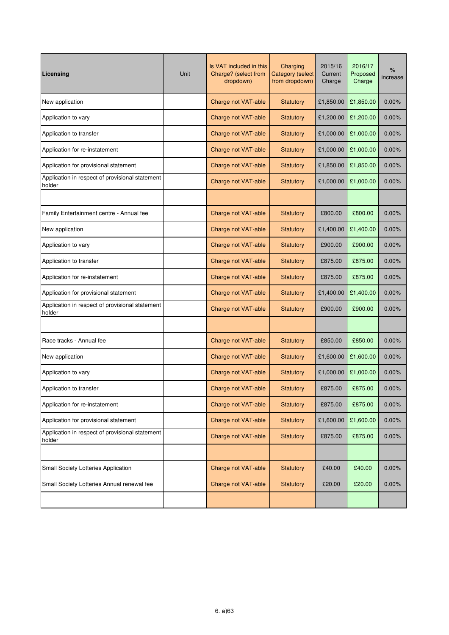| Licensing                                                 | Unit | Is VAT included in this<br>Charge? (select from<br>dropdown) | Charging<br><b>Category (select</b><br>from dropdown) | 2015/16<br>Current<br>Charge | 2016/17<br>Proposed<br>Charge | $\%$<br>increase |
|-----------------------------------------------------------|------|--------------------------------------------------------------|-------------------------------------------------------|------------------------------|-------------------------------|------------------|
| New application                                           |      | Charge not VAT-able                                          | <b>Statutory</b>                                      | £1,850.00                    | £1,850.00                     | 0.00%            |
| Application to vary                                       |      | Charge not VAT-able                                          | <b>Statutory</b>                                      | £1,200.00                    | £1,200.00                     | 0.00%            |
| Application to transfer                                   |      | Charge not VAT-able                                          | Statutory                                             | £1,000.00                    | £1,000.00                     | 0.00%            |
| Application for re-instatement                            |      | Charge not VAT-able                                          | <b>Statutory</b>                                      | £1,000.00                    | £1,000.00                     | 0.00%            |
| Application for provisional statement                     |      | Charge not VAT-able                                          | <b>Statutory</b>                                      | £1,850.00                    | £1,850.00                     | 0.00%            |
| Application in respect of provisional statement<br>holder |      | Charge not VAT-able                                          | <b>Statutory</b>                                      | £1,000.00                    | £1,000.00                     | 0.00%            |
|                                                           |      |                                                              |                                                       |                              |                               |                  |
| Family Entertainment centre - Annual fee                  |      | Charge not VAT-able                                          | <b>Statutory</b>                                      | £800.00                      | £800.00                       | 0.00%            |
| New application                                           |      | Charge not VAT-able                                          | <b>Statutory</b>                                      | £1,400.00                    | £1,400.00                     | 0.00%            |
| Application to vary                                       |      | Charge not VAT-able                                          | <b>Statutory</b>                                      | £900.00                      | £900.00                       | 0.00%            |
| Application to transfer                                   |      | Charge not VAT-able                                          | <b>Statutory</b>                                      | £875.00                      | £875.00                       | 0.00%            |
| Application for re-instatement                            |      | Charge not VAT-able                                          | <b>Statutory</b>                                      | £875.00                      | £875.00                       | 0.00%            |
| Application for provisional statement                     |      | Charge not VAT-able                                          | <b>Statutory</b>                                      | £1,400.00                    | £1,400.00                     | 0.00%            |
| Application in respect of provisional statement<br>holder |      | Charge not VAT-able                                          | <b>Statutory</b>                                      | £900.00                      | £900.00                       | 0.00%            |
|                                                           |      |                                                              |                                                       |                              |                               |                  |
| Race tracks - Annual fee                                  |      | Charge not VAT-able                                          | <b>Statutory</b>                                      | £850.00                      | £850.00                       | 0.00%            |
| New application                                           |      | Charge not VAT-able                                          | <b>Statutory</b>                                      | £1,600.00                    | £1,600.00                     | $0.00\%$         |
| Application to vary                                       |      | Charge not VAT-able                                          | <b>Statutory</b>                                      | £1,000.00                    | £1,000.00                     | 0.00%            |
| Application to transfer                                   |      | Charge not VAT-able                                          | <b>Statutory</b>                                      | £875.00                      | £875.00                       | 0.00%            |
| Application for re-instatement                            |      | Charge not VAT-able                                          | Statutory                                             | £875.00                      | £875.00                       | 0.00%            |
| Application for provisional statement                     |      | Charge not VAT-able                                          | Statutory                                             | £1,600.00                    | £1,600.00                     | 0.00%            |
| Application in respect of provisional statement<br>holder |      | Charge not VAT-able                                          | Statutory                                             | £875.00                      | £875.00                       | 0.00%            |
|                                                           |      |                                                              |                                                       |                              |                               |                  |
| <b>Small Society Lotteries Application</b>                |      | Charge not VAT-able                                          | Statutory                                             | £40.00                       | £40.00                        | 0.00%            |
| Small Society Lotteries Annual renewal fee                |      | Charge not VAT-able                                          | <b>Statutory</b>                                      | £20.00                       | £20.00                        | 0.00%            |
|                                                           |      |                                                              |                                                       |                              |                               |                  |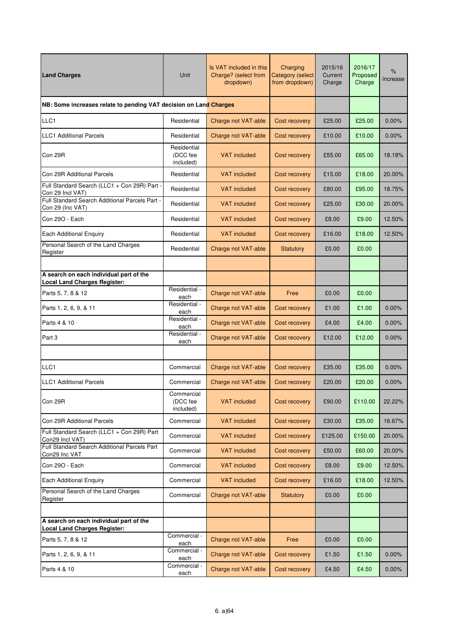| <b>Land Charges</b>                                                            | Unit                                 | Is VAT included in this<br>Charge? (select from<br>dropdown) | Charging<br><b>Category (select</b><br>from dropdown) | 2015/16<br>Current<br>Charge | 2016/17<br>Proposed<br>Charge | %<br>increase |
|--------------------------------------------------------------------------------|--------------------------------------|--------------------------------------------------------------|-------------------------------------------------------|------------------------------|-------------------------------|---------------|
| NB: Some increases relate to pending VAT decision on Land Charges              |                                      |                                                              |                                                       |                              |                               |               |
| LLC1                                                                           | Residential                          | Charge not VAT-able                                          | Cost recovery                                         | £25.00                       | £25.00                        | 0.00%         |
| <b>LLC1</b> Additional Parcels                                                 | Residential                          | Charge not VAT-able                                          | Cost recovery                                         | £10.00                       | £10.00                        | 0.00%         |
| Con 29R                                                                        | Residential<br>(DCC fee<br>included) | <b>VAT</b> included                                          | Cost recovery                                         | £55.00                       | £65.00                        | 18.18%        |
| Con 29R Additional Parcels                                                     | Residential                          | <b>VAT</b> included                                          | Cost recovery                                         | £15.00                       | £18.00                        | 20.00%        |
| Full Standard Search (LLC1 + Con 29R) Part -<br>Con 29 Incl VAT)               | Residential                          | <b>VAT included</b>                                          | Cost recovery                                         | £80.00                       | £95.00                        | 18.75%        |
| Full Standard Search Additional Parcels Part -<br>Con 29 (Inc VAT)             | Residential                          | <b>VAT included</b>                                          | Cost recovery                                         | £25.00                       | £30.00                        | 20.00%        |
| Con 29O - Each                                                                 | Residential                          | <b>VAT</b> included                                          | Cost recovery                                         | £8.00                        | £9.00                         | 12.50%        |
| <b>Each Additional Enquiry</b>                                                 | Residential                          | <b>VAT</b> included                                          | Cost recovery                                         | £16.00                       | £18.00                        | 12.50%        |
| Personal Search of the Land Charges<br>Register                                | Residential                          | Charge not VAT-able                                          | <b>Statutory</b>                                      | £0.00                        | £0.00                         |               |
|                                                                                |                                      |                                                              |                                                       |                              |                               |               |
| A search on each individual part of the<br><b>Local Land Charges Register:</b> |                                      |                                                              |                                                       |                              |                               |               |
| Parts 5, 7, 8 & 12                                                             | Residential -<br>each                | Charge not VAT-able                                          | Free                                                  | £0.00                        | £0.00                         |               |
| Parts 1, 2, 6, 9, & 11                                                         | Residential -<br>each                | Charge not VAT-able                                          | Cost recovery                                         | £1.00                        | £1.00                         | 0.00%         |
| Parts 4 & 10                                                                   | Residential -<br>each                | Charge not VAT-able                                          | Cost recovery                                         | £4.00                        | £4.00                         | 0.00%         |
| Part 3                                                                         | Residential -<br>each                | Charge not VAT-able                                          | Cost recovery                                         | £12.00                       | £12.00                        | 0.00%         |
|                                                                                |                                      |                                                              |                                                       |                              |                               |               |
| LLC1                                                                           | Commercial                           | Charge not VAT-able                                          | Cost recovery                                         | £35.00                       | £35.00                        | 0.00%         |
| <b>LLC1</b> Additional Parcels                                                 | Commercial                           | Charge not VAT-able                                          | Cost recovery                                         | £20.00                       | £20.00                        | 0.00%         |
| Con 29R                                                                        | Commercial<br>(DCC fee<br>included)  | <b>VAT</b> included                                          | Cost recovery                                         | £90.00                       | £110.00                       | 22.22%        |
| Con 29R Additional Parcels                                                     | Commercial                           | <b>VAT included</b>                                          | Cost recovery                                         | £30.00                       | £35.00                        | 16.67%        |
| Full Standard Search (LLC1 + Con 29R) Part<br>Con29 Incl VAT)                  | Commercial                           | <b>VAT</b> included                                          | Cost recovery                                         | £125.00                      | £150.00                       | 20.00%        |
| Full Standard Search Additional Parcels Part<br>Con29 Inc VAT                  | Commercial                           | <b>VAT included</b>                                          | Cost recovery                                         | £50.00                       | £60.00                        | 20.00%        |
| Con 290 - Each                                                                 | Commercial                           | <b>VAT</b> included                                          | Cost recovery                                         | £8.00                        | £9.00                         | 12.50%        |
| <b>Each Additional Enquiry</b>                                                 | Commercial                           | <b>VAT included</b>                                          | Cost recovery                                         | £16.00                       | £18.00                        | 12.50%        |
| Personal Search of the Land Charges<br>Register                                | Commercial                           | Charge not VAT-able                                          | Statutory                                             | £0.00                        | £0.00                         |               |
|                                                                                |                                      |                                                              |                                                       |                              |                               |               |
| A search on each individual part of the<br><b>Local Land Charges Register:</b> |                                      |                                                              |                                                       |                              |                               |               |
| Parts 5, 7, 8 & 12                                                             | Commercial -<br>each                 | Charge not VAT-able                                          | Free                                                  | £0.00                        | £0.00                         |               |
| Parts 1, 2, 6, 9, & 11                                                         | Commercial -<br>each                 | Charge not VAT-able                                          | Cost recovery                                         | £1.50                        | £1.50                         | 0.00%         |
| Parts 4 & 10                                                                   | Commercial -<br>each                 | Charge not VAT-able                                          | Cost recovery                                         | £4.50                        | £4.50                         | 0.00%         |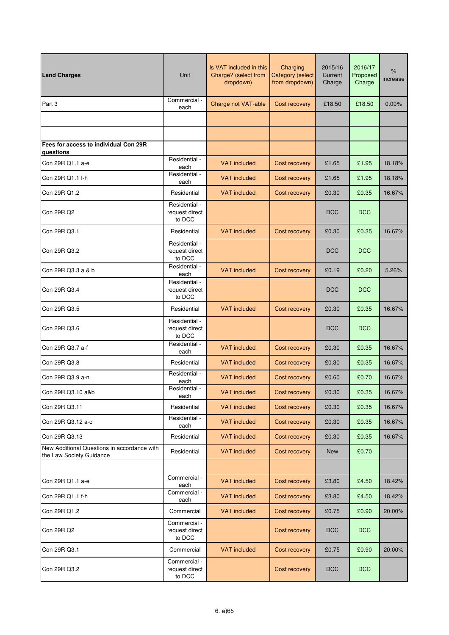| <b>Land Charges</b>                                                     | Unit                                      | Is VAT included in this<br>Charge? (select from<br>dropdown) | Charging<br><b>Category (select</b><br>from dropdown) | 2015/16<br>Current<br>Charge | 2016/17<br>Proposed<br>Charge | $\%$<br>increase |
|-------------------------------------------------------------------------|-------------------------------------------|--------------------------------------------------------------|-------------------------------------------------------|------------------------------|-------------------------------|------------------|
| Part 3                                                                  | Commercial -<br>each                      | Charge not VAT-able                                          | Cost recovery                                         | £18.50                       | £18.50                        | 0.00%            |
|                                                                         |                                           |                                                              |                                                       |                              |                               |                  |
|                                                                         |                                           |                                                              |                                                       |                              |                               |                  |
| Fees for access to individual Con 29R<br>questions                      |                                           |                                                              |                                                       |                              |                               |                  |
| Con 29R Q1.1 a-e                                                        | Residential -<br>each                     | <b>VAT included</b>                                          | Cost recovery                                         | £1.65                        | £1.95                         | 18.18%           |
| Con 29R Q1.1 f-h                                                        | Residential -<br>each                     | <b>VAT</b> included                                          | Cost recovery                                         | £1.65                        | £1.95                         | 18.18%           |
| Con 29R Q1.2                                                            | Residential                               | <b>VAT</b> included                                          | Cost recovery                                         | £0.30                        | £0.35                         | 16.67%           |
| Con 29R Q2                                                              | Residential -<br>request direct<br>to DCC |                                                              |                                                       | <b>DCC</b>                   | <b>DCC</b>                    |                  |
| Con 29R Q3.1                                                            | Residential                               | <b>VAT</b> included                                          | Cost recovery                                         | £0.30                        | £0.35                         | 16.67%           |
| Con 29R Q3.2                                                            | Residential -<br>request direct<br>to DCC |                                                              |                                                       | <b>DCC</b>                   | <b>DCC</b>                    |                  |
| Con 29R Q3.3 a & b                                                      | Residential -<br>each                     | <b>VAT</b> included                                          | Cost recovery                                         | £0.19                        | £0.20                         | 5.26%            |
| Con 29R Q3.4                                                            | Residential -<br>request direct<br>to DCC |                                                              |                                                       | <b>DCC</b>                   | <b>DCC</b>                    |                  |
| Con 29R Q3.5                                                            | Residential                               | <b>VAT</b> included                                          | Cost recovery                                         | £0.30                        | £0.35                         | 16.67%           |
| Con 29R Q3.6                                                            | Residential -<br>request direct<br>to DCC |                                                              |                                                       | <b>DCC</b>                   | <b>DCC</b>                    |                  |
| Con 29R Q3.7 a-f                                                        | Residential -<br>each                     | <b>VAT</b> included                                          | Cost recovery                                         | £0.30                        | £0.35                         | 16.67%           |
| Con 29R Q3.8                                                            | Residential                               | <b>VAT</b> included                                          | Cost recovery                                         | £0.30                        | £0.35                         | 16.67%           |
| Con 29R Q3.9 a-n                                                        | Residential -<br>each                     | <b>VAT</b> included                                          | Cost recovery                                         | £0.60                        | £0.70                         | 16.67%           |
| Con 29R Q3.10 a&b                                                       | Residential -<br>each                     | VAT included                                                 | Cost recovery                                         | £0.30                        | £0.35                         | 16.67%           |
| Con 29R Q3.11                                                           | Residential                               | <b>VAT</b> included                                          | Cost recovery                                         | £0.30                        | £0.35                         | 16.67%           |
| Con 29R Q3.12 a-c                                                       | Residential -<br>each                     | <b>VAT included</b>                                          | Cost recovery                                         | £0.30                        | £0.35                         | 16.67%           |
| Con 29R Q3.13                                                           | Residential                               | <b>VAT</b> included                                          | Cost recovery                                         | £0.30                        | £0.35                         | 16.67%           |
| New Additional Questions in accordance with<br>the Law Society Guidance | Residential                               | <b>VAT included</b>                                          | Cost recovery                                         | <b>New</b>                   | £0.70                         |                  |
|                                                                         |                                           |                                                              |                                                       |                              |                               |                  |
| Con 29R Q1.1 a-e                                                        | Commercial -<br>each                      | <b>VAT</b> included                                          | Cost recovery                                         | £3.80                        | £4.50                         | 18.42%           |
| Con 29R Q1.1 f-h                                                        | Commercial -<br>each                      | <b>VAT included</b>                                          | Cost recovery                                         | £3.80                        | £4.50                         | 18.42%           |
| Con 29R Q1.2                                                            | Commercial                                | <b>VAT</b> included                                          | Cost recovery                                         | £0.75                        | £0.90                         | 20.00%           |
| Con 29R Q2                                                              | Commercial -<br>request direct<br>to DCC  |                                                              | Cost recovery                                         | <b>DCC</b>                   | <b>DCC</b>                    |                  |
| Con 29R Q3.1                                                            | Commercial                                | <b>VAT</b> included                                          | Cost recovery                                         | £0.75                        | £0.90                         | 20.00%           |
| Con 29R Q3.2                                                            | Commercial -<br>request direct<br>to DCC  |                                                              | Cost recovery                                         | <b>DCC</b>                   | <b>DCC</b>                    |                  |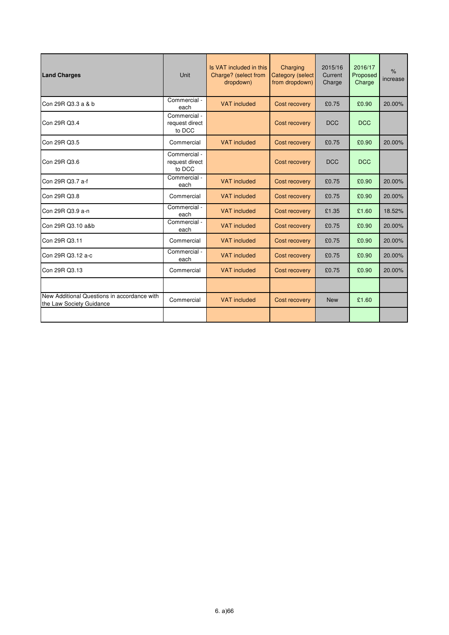| <b>Land Charges</b>                                                     | Unit                                     | Is VAT included in this<br>Charge? (select from<br>dropdown) | Charging<br><b>Category (select</b><br>from dropdown) | 2015/16<br>Current<br>Charge | 2016/17<br>Proposed<br>Charge | $\frac{9}{6}$<br>increase |
|-------------------------------------------------------------------------|------------------------------------------|--------------------------------------------------------------|-------------------------------------------------------|------------------------------|-------------------------------|---------------------------|
| Con 29R Q3.3 a & b                                                      | Commercial -<br>each                     | <b>VAT</b> included                                          | Cost recovery                                         | £0.75                        | £0.90                         | 20.00%                    |
| Con 29R Q3.4                                                            | Commercial -<br>request direct<br>to DCC |                                                              | Cost recovery                                         | <b>DCC</b>                   | <b>DCC</b>                    |                           |
| Con 29R Q3.5                                                            | Commercial                               | <b>VAT</b> included                                          | Cost recovery                                         | £0.75                        | £0.90                         | 20.00%                    |
| Con 29R Q3.6                                                            | Commercial -<br>request direct<br>to DCC |                                                              | Cost recovery                                         | <b>DCC</b>                   | <b>DCC</b>                    |                           |
| Con 29R Q3.7 a-f                                                        | Commercial -<br>each                     | <b>VAT</b> included                                          | Cost recovery                                         | £0.75                        | £0.90                         | 20.00%                    |
| Con 29R Q3.8                                                            | Commercial                               | <b>VAT</b> included                                          | Cost recovery                                         | £0.75                        | £0.90                         | 20.00%                    |
| Con 29R Q3.9 a-n                                                        | Commercial -<br>each                     | <b>VAT</b> included                                          | Cost recovery                                         | £1.35                        | £1.60                         | 18.52%                    |
| Con 29R Q3.10 a&b                                                       | Commercial -<br>each                     | <b>VAT</b> included                                          | Cost recovery                                         | £0.75                        | £0.90                         | 20.00%                    |
| Con 29R Q3.11                                                           | Commercial                               | <b>VAT</b> included                                          | Cost recovery                                         | £0.75                        | £0.90                         | 20.00%                    |
| Con 29R Q3.12 a-c                                                       | Commercial -<br>each                     | <b>VAT</b> included                                          | Cost recovery                                         | £0.75                        | £0.90                         | 20.00%                    |
| Con 29R Q3.13                                                           | Commercial                               | <b>VAT</b> included                                          | Cost recovery                                         | £0.75                        | £0.90                         | 20.00%                    |
|                                                                         |                                          |                                                              |                                                       |                              |                               |                           |
| New Additional Questions in accordance with<br>the Law Society Guidance | Commercial                               | <b>VAT</b> included                                          | Cost recovery                                         | <b>New</b>                   | £1.60                         |                           |
|                                                                         |                                          |                                                              |                                                       |                              |                               |                           |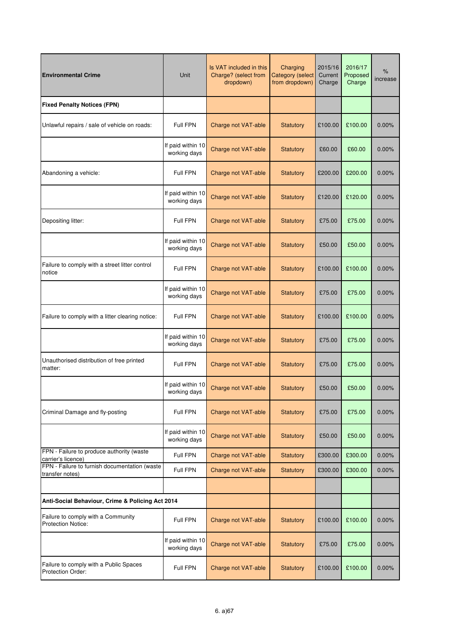| <b>Environmental Crime</b>                                       | Unit                              | Is VAT included in this<br>Charging<br>Charge? (select from<br><b>Category</b> (select<br>from dropdown)<br>dropdown) |                  | 2015/16<br>Current<br>Charge | 2016/17<br>Proposed<br>Charge | $\%$<br>increase |
|------------------------------------------------------------------|-----------------------------------|-----------------------------------------------------------------------------------------------------------------------|------------------|------------------------------|-------------------------------|------------------|
| <b>Fixed Penalty Notices (FPN)</b>                               |                                   |                                                                                                                       |                  |                              |                               |                  |
| Unlawful repairs / sale of vehicle on roads:                     | Full FPN                          | Charge not VAT-able                                                                                                   | <b>Statutory</b> | £100.00                      | £100.00                       | 0.00%            |
|                                                                  | If paid within 10<br>working days | Charge not VAT-able                                                                                                   | <b>Statutory</b> | £60.00                       | £60.00                        | 0.00%            |
| Abandoning a vehicle:                                            | Full FPN                          | Charge not VAT-able                                                                                                   | <b>Statutory</b> | £200.00                      | £200.00                       | 0.00%            |
|                                                                  | If paid within 10<br>working days | Charge not VAT-able                                                                                                   | <b>Statutory</b> | £120.00                      | £120.00                       | 0.00%            |
| Depositing litter:                                               | Full FPN                          | Charge not VAT-able                                                                                                   | <b>Statutory</b> | £75.00                       | £75.00                        | 0.00%            |
|                                                                  | If paid within 10<br>working days | Charge not VAT-able                                                                                                   | <b>Statutory</b> | £50.00                       | £50.00                        | 0.00%            |
| Failure to comply with a street litter control<br>notice         | Full FPN                          | Charge not VAT-able                                                                                                   | <b>Statutory</b> | £100.00                      | £100.00                       | 0.00%            |
|                                                                  | If paid within 10<br>working days | Charge not VAT-able                                                                                                   | <b>Statutory</b> | £75.00                       | £75.00                        | 0.00%            |
| Failure to comply with a litter clearing notice:                 | Full FPN                          | Charge not VAT-able                                                                                                   | <b>Statutory</b> | £100.00                      | £100.00                       | 0.00%            |
|                                                                  | If paid within 10<br>working days | Charge not VAT-able                                                                                                   | <b>Statutory</b> | £75.00                       | £75.00                        | 0.00%            |
| Unauthorised distribution of free printed<br>matter:             | Full FPN                          | Charge not VAT-able                                                                                                   | <b>Statutory</b> | £75.00                       | £75.00                        | 0.00%            |
|                                                                  | If paid within 10<br>working days | Charge not VAT-able                                                                                                   | <b>Statutory</b> | £50.00                       | £50.00                        | 0.00%            |
| Criminal Damage and fly-posting                                  | Full FPN                          | Charge not VAT-able                                                                                                   | Statutory        | £75.00                       | £75.00                        | 0.00%            |
|                                                                  | If paid within 10<br>working days | Charge not VAT-able                                                                                                   | <b>Statutory</b> | £50.00                       | £50.00                        | 0.00%            |
| FPN - Failure to produce authority (waste<br>carrier's licence)  | Full FPN                          | Charge not VAT-able                                                                                                   | Statutory        | £300.00                      | £300.00                       | 0.00%            |
| FPN - Failure to furnish documentation (waste<br>transfer notes) | Full FPN                          | Charge not VAT-able                                                                                                   | Statutory        | £300.00                      | £300.00                       | 0.00%            |
|                                                                  |                                   |                                                                                                                       |                  |                              |                               |                  |
| Anti-Social Behaviour, Crime & Policing Act 2014                 |                                   |                                                                                                                       |                  |                              |                               |                  |
| Failure to comply with a Community<br>Protection Notice:         | Full FPN                          | Charge not VAT-able                                                                                                   | Statutory        | £100.00                      | £100.00                       | 0.00%            |
|                                                                  | If paid within 10<br>working days | Charge not VAT-able                                                                                                   | Statutory        | £75.00                       | £75.00                        | 0.00%            |
| Failure to comply with a Public Spaces<br>Protection Order:      | Full FPN                          | Charge not VAT-able                                                                                                   | <b>Statutory</b> | £100.00                      | £100.00                       | 0.00%            |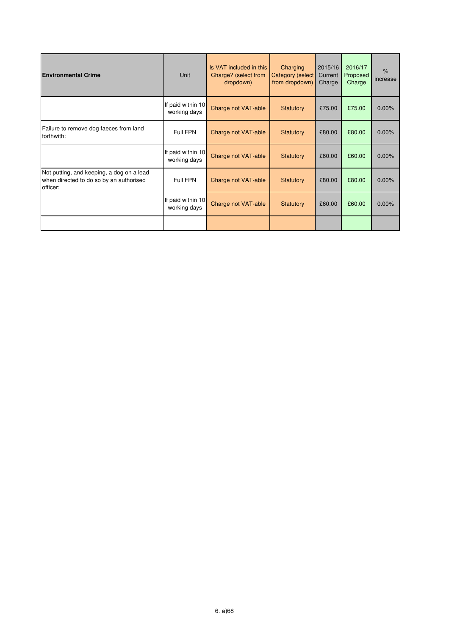| <b>Environmental Crime</b>                                                                       | Unit                                | Is VAT included in this<br>Charge? (select from<br>dropdown) | Charging<br><b>Category (select</b><br>from dropdown) | 2015/16<br>Current<br>Charge | 2016/17<br>Proposed<br>Charge | $\%$<br>increase |
|--------------------------------------------------------------------------------------------------|-------------------------------------|--------------------------------------------------------------|-------------------------------------------------------|------------------------------|-------------------------------|------------------|
|                                                                                                  | If paid within 10<br>working days   | Charge not VAT-able                                          | Statutory                                             | £75.00                       | £75.00                        | 0.00%            |
| Failure to remove dog faeces from land<br>forthwith:                                             | Full FPN                            | Charge not VAT-able                                          | Statutory                                             | £80.00                       | £80.00                        | 0.00%            |
|                                                                                                  | If paid within $10$<br>working days | Charge not VAT-able                                          | Statutory                                             | £60.00                       | £60.00                        | 0.00%            |
| Not putting, and keeping, a dog on a lead<br>when directed to do so by an authorised<br>officer: | Full FPN                            | Charge not VAT-able                                          | Statutory                                             | £80.00                       | £80.00                        | 0.00%            |
|                                                                                                  | If paid within 10<br>working days   | Charge not VAT-able                                          | Statutory                                             | £60.00                       | £60.00                        | 0.00%            |
|                                                                                                  |                                     |                                                              |                                                       |                              |                               |                  |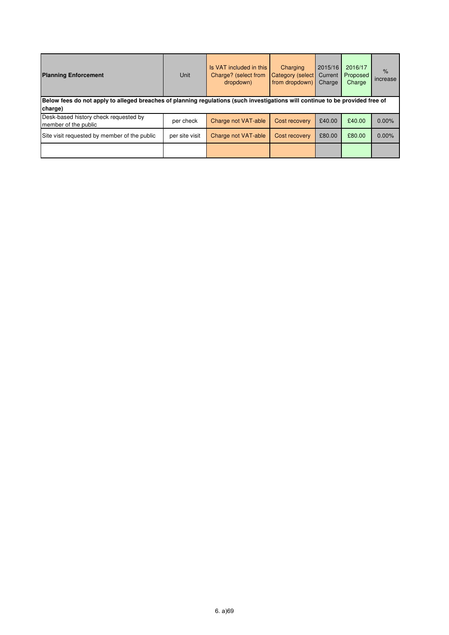| <b>Planning Enforcement</b>                                                                                                              | <b>Unit</b>    | Is VAT included in this<br>Charge? (select from<br>dropdown) | Charging<br>Category (select<br>from dropdown) | 2015/16<br>Current<br>Charge | 2016/17<br>Proposed<br>Charge | $\frac{9}{6}$<br>increase |  |  |
|------------------------------------------------------------------------------------------------------------------------------------------|----------------|--------------------------------------------------------------|------------------------------------------------|------------------------------|-------------------------------|---------------------------|--|--|
| Below fees do not apply to alleged breaches of planning regulations (such investigations will continue to be provided free of<br>charge) |                |                                                              |                                                |                              |                               |                           |  |  |
| Desk-based history check requested by<br>member of the public                                                                            | per check      | Charge not VAT-able                                          | Cost recovery                                  | £40.00                       | £40.00                        | $0.00\%$                  |  |  |
| Site visit requested by member of the public                                                                                             | per site visit | Charge not VAT-able                                          | Cost recovery                                  | £80.00                       | £80.00                        | $0.00\%$                  |  |  |
|                                                                                                                                          |                |                                                              |                                                |                              |                               |                           |  |  |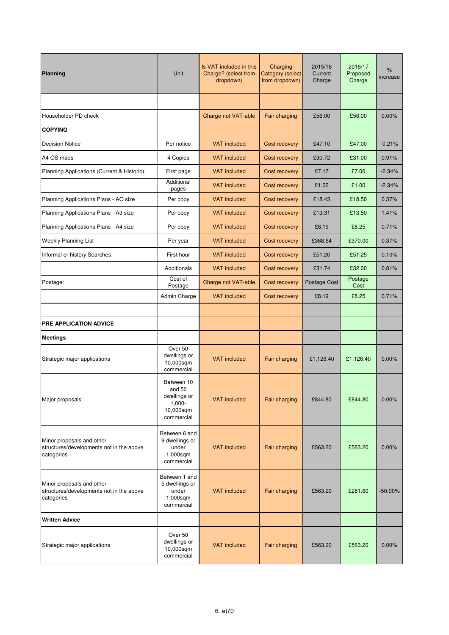| <b>Planning</b>                                                                     | Unit                                                                         | Is VAT included in this<br>Charge? (select from<br>dropdown) | Charging<br>Category (select<br>from dropdown) | 2015/16<br>Current<br>Charge | 2016/17<br>Proposed<br>Charge | %<br>increase |
|-------------------------------------------------------------------------------------|------------------------------------------------------------------------------|--------------------------------------------------------------|------------------------------------------------|------------------------------|-------------------------------|---------------|
|                                                                                     |                                                                              |                                                              |                                                |                              |                               |               |
| Householder PD check                                                                |                                                                              | Charge not VAT-able                                          | Fair charging                                  | £56.00                       | £56.00                        | 0.00%         |
| <b>COPYING</b>                                                                      |                                                                              |                                                              |                                                |                              |                               |               |
| <b>Decision Notice</b>                                                              | Per notice                                                                   | <b>VAT</b> included                                          | Cost recovery                                  | £47.10                       | £47.00                        | $-0.21%$      |
| A4 OS maps                                                                          | 4 Copies                                                                     | <b>VAT included</b>                                          | Cost recovery                                  | £30.72                       | £31.00                        | 0.91%         |
| Planning Applications (Current & Historic):                                         | First page                                                                   | <b>VAT included</b>                                          | Cost recovery                                  | £7.17                        | £7.00                         | $-2.34%$      |
|                                                                                     | Additional<br>pages                                                          | <b>VAT included</b>                                          | Cost recovery                                  | £1.02                        | £1.00                         | $-2.34%$      |
| Planning Applications Plans - AO size                                               | Per copy                                                                     | <b>VAT</b> included                                          | Cost recovery                                  | £18.43                       | £18.50                        | 0.37%         |
| Planning Applications Plans - A3 size                                               | Per copy                                                                     | <b>VAT</b> included                                          | Cost recovery                                  | £13.31                       | £13.50                        | 1.41%         |
| Planning Applications Plans - A4 size                                               | Per copy                                                                     | <b>VAT included</b>                                          | Cost recovery                                  | £8.19                        | £8.25                         | 0.71%         |
| <b>Weekly Planning List</b>                                                         | Per year                                                                     | <b>VAT included</b>                                          | Cost recovery                                  | £368.64                      | £370.00                       | 0.37%         |
| Informal or history Searches:                                                       | First hour                                                                   | <b>VAT</b> included                                          | Cost recovery                                  | £51.20                       | £51.25                        | 0.10%         |
|                                                                                     | <b>Additionals</b>                                                           | <b>VAT</b> included                                          | Cost recovery                                  | £31.74                       | £32.00                        | 0.81%         |
| Postage:                                                                            | Cost of<br>Postage                                                           | Charge not VAT-able                                          | Cost recovery                                  | <b>Postage Cost</b>          | Postage<br>Cost               |               |
|                                                                                     | Admin Charge                                                                 | <b>VAT</b> included                                          | Cost recovery                                  | £8.19                        | £8.25                         | 0.71%         |
|                                                                                     |                                                                              |                                                              |                                                |                              |                               |               |
| <b>PRE APPLICATION ADVICE</b>                                                       |                                                                              |                                                              |                                                |                              |                               |               |
| <b>Meetings</b>                                                                     |                                                                              |                                                              |                                                |                              |                               |               |
| Strategic major applications                                                        | Over 50<br>dwellings or<br>10,000sqm<br>commercial                           | <b>VAT</b> included                                          | Fair charging                                  | £1,126.40                    | £1,126.40                     | 0.00%         |
| Major proposals                                                                     | Between 10<br>and 50<br>dwellings or<br>$1,000 -$<br>10,000sqm<br>commercial | <b>VAT</b> included                                          | Fair charging                                  | £844.80                      | £844.80                       | 0.00%         |
| Minor proposals and other<br>structures/developments not in the above<br>categories | Between 6 and<br>9 dwellings or<br>under<br>1,000sqm<br>commercial           | <b>VAT</b> included                                          | Fair charging                                  | £563.20                      | £563.20                       | 0.00%         |
| Minor proposals and other<br>structures/developments not in the above<br>categories | Between 1 and<br>5 dwellings or<br>under<br>1,000sqm<br>commercial           | <b>VAT</b> included                                          | Fair charging                                  | £563.20                      | £281.60                       | $-50.00\%$    |
| <b>Written Advice</b>                                                               |                                                                              |                                                              |                                                |                              |                               |               |
| Strategic major applications                                                        | Over 50<br>dwellings or<br>10,000sqm<br>commercial                           | <b>VAT</b> included                                          | Fair charging                                  | £563.20                      | £563.20                       | 0.00%         |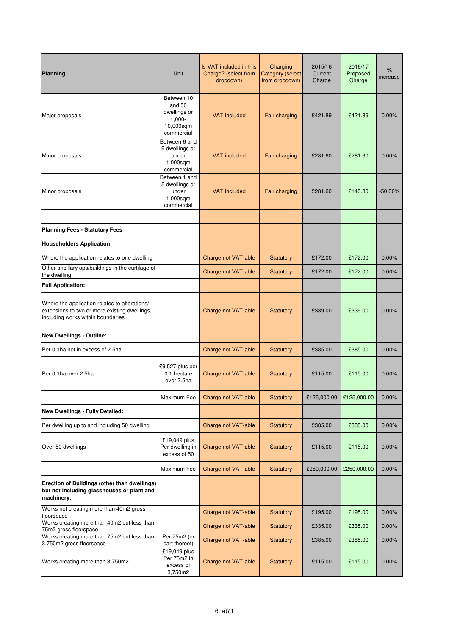| Planning                                                                                                                            | Unit                                                                         | Is VAT included in this<br>Charge? (select from<br>dropdown) | Charging<br>Category (select<br>from dropdown) | 2015/16<br>Current<br>Charge | 2016/17<br>Proposed<br>Charge | %<br>increase |
|-------------------------------------------------------------------------------------------------------------------------------------|------------------------------------------------------------------------------|--------------------------------------------------------------|------------------------------------------------|------------------------------|-------------------------------|---------------|
| Major proposals                                                                                                                     | Between 10<br>and 50<br>dwellings or<br>$1,000 -$<br>10,000sqm<br>commercial | <b>VAT included</b>                                          | Fair charging                                  | £421.89                      | £421.89                       | 0.00%         |
| Minor proposals                                                                                                                     | Between 6 and<br>9 dwellings or<br>under<br>1,000sqm<br>commercial           | <b>VAT</b> included                                          | Fair charging                                  | £281.60                      | £281.60                       | 0.00%         |
| Minor proposals                                                                                                                     | Between 1 and<br>5 dwellings or<br>under<br>1,000sqm<br>commercial           | <b>VAT</b> included                                          | <b>Fair charging</b>                           | £281.60                      | £140.80                       | $-50.00\%$    |
|                                                                                                                                     |                                                                              |                                                              |                                                |                              |                               |               |
| <b>Planning Fees - Statutory Fees</b>                                                                                               |                                                                              |                                                              |                                                |                              |                               |               |
| <b>Householders Application:</b>                                                                                                    |                                                                              |                                                              |                                                |                              |                               |               |
| Where the application relates to one dwelling                                                                                       |                                                                              | Charge not VAT-able                                          | <b>Statutory</b>                               | £172.00                      | £172.00                       | 0.00%         |
| Other ancillary ops/buildings in the curtilage of<br>the dwelling                                                                   |                                                                              | Charge not VAT-able                                          | <b>Statutory</b>                               | £172.00                      | £172.00                       | 0.00%         |
| <b>Full Application:</b>                                                                                                            |                                                                              |                                                              |                                                |                              |                               |               |
| Where the application relates to alterations/<br>extensions to two or more existing dwellings,<br>including works within boundaries |                                                                              | Charge not VAT-able                                          | <b>Statutory</b>                               | £339.00                      | £339.00                       | 0.00%         |
| <b>New Dwellings - Outline:</b>                                                                                                     |                                                                              |                                                              |                                                |                              |                               |               |
| Per 0.1ha not in excess of 2.5ha                                                                                                    |                                                                              | Charge not VAT-able                                          | <b>Statutory</b>                               | £385.00                      | £385.00                       | 0.00%         |
| Per 0.1ha over 2.5ha                                                                                                                | £9,527 plus per<br>0.1 hectare<br>over 2.5ha                                 | Charge not VAT-able                                          | Statutory                                      | £115.00                      | £115.00                       | 0.00%         |
|                                                                                                                                     | Maximum Fee                                                                  | Charge not VAT-able                                          | Statutory                                      | £125,000.00                  | £125,000.00                   | 0.00%         |
| <b>New Dwellings - Fully Detailed:</b>                                                                                              |                                                                              |                                                              |                                                |                              |                               |               |
| Per dwelling up to and including 50 dwelling                                                                                        |                                                                              | Charge not VAT-able                                          | Statutory                                      | £385.00                      | £385.00                       | 0.00%         |
| Over 50 dwellings                                                                                                                   | £19,049 plus<br>Per dwelling in<br>excess of 50                              | Charge not VAT-able                                          | <b>Statutory</b>                               | £115.00                      | £115.00                       | 0.00%         |
|                                                                                                                                     | Maximum Fee                                                                  | Charge not VAT-able                                          | Statutory                                      | £250,000.00                  | £250,000.00                   | 0.00%         |
| Erection of Buildings (other than dwellings)<br>but not including glasshouses or plant and<br>machinery:                            |                                                                              |                                                              |                                                |                              |                               |               |
| Works not creating more than 40m2 gross<br>floorspace                                                                               |                                                                              | Charge not VAT-able                                          | <b>Statutory</b>                               | £195.00                      | £195.00                       | 0.00%         |
| Works creating more than 40m2 but less than<br>75m2 gross floorspace                                                                |                                                                              | Charge not VAT-able                                          | <b>Statutory</b>                               | £335.00                      | £335.00                       | 0.00%         |
| Works creating more than 75m2 but less than<br>3,750m2 gross floorspace                                                             | Per 75m2 (or<br>part thereof)                                                | Charge not VAT-able                                          | <b>Statutory</b>                               | £385.00                      | £385.00                       | 0.00%         |
| Works creating more than 3,750m2                                                                                                    | £19,049 plus<br>Per 75m2 in<br>excess of<br>3,750m2                          | Charge not VAT-able                                          | <b>Statutory</b>                               | £115.00                      | £115.00                       | 0.00%         |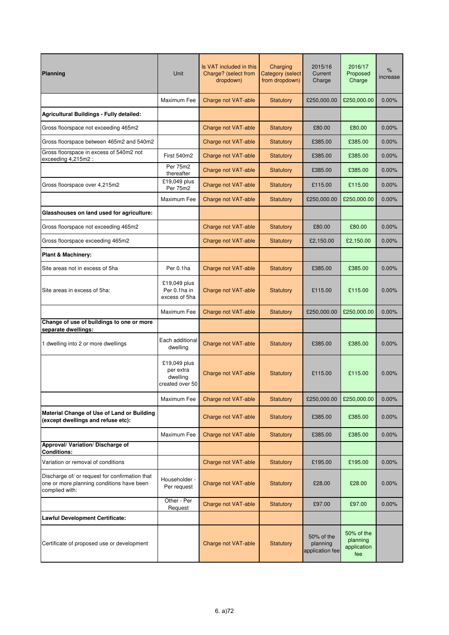| Planning                                                                                                      | Unit                                                     | Is VAT included in this<br>Charge? (select from<br>dropdown) | Charging<br>Category (select<br>from dropdown) | 2015/16<br>Current<br>Charge              | 2016/17<br>Proposed<br>Charge                | %<br>increase |
|---------------------------------------------------------------------------------------------------------------|----------------------------------------------------------|--------------------------------------------------------------|------------------------------------------------|-------------------------------------------|----------------------------------------------|---------------|
|                                                                                                               | Maximum Fee                                              | Charge not VAT-able                                          | Statutory                                      | £250,000.00                               | £250,000.00                                  | 0.00%         |
| <b>Agricultural Buildings - Fully detailed:</b>                                                               |                                                          |                                                              |                                                |                                           |                                              |               |
| Gross floorspace not exceeding 465m2                                                                          |                                                          | Charge not VAT-able                                          | <b>Statutory</b>                               | £80.00                                    | £80.00                                       | 0.00%         |
| Gross floorspace between 465m2 and 540m2                                                                      |                                                          | Charge not VAT-able                                          | Statutory                                      | £385.00                                   | £385.00                                      | 0.00%         |
| Gross floorspace in excess of 540m2 not<br>exceeding 4,215m2 :                                                | First 540m2                                              | Charge not VAT-able                                          | <b>Statutory</b>                               | £385.00                                   | £385.00                                      | 0.00%         |
|                                                                                                               | Per 75m2<br>thereafter                                   | Charge not VAT-able                                          | Statutory                                      | £385.00                                   | £385.00                                      | 0.00%         |
| Gross floorspace over 4,215m2                                                                                 | £19,049 plus<br>Per 75m2                                 | Charge not VAT-able                                          | <b>Statutory</b>                               | £115.00                                   | £115.00                                      | 0.00%         |
|                                                                                                               | Maximum Fee                                              | Charge not VAT-able                                          | <b>Statutory</b>                               | £250,000.00                               | £250,000.00                                  | 0.00%         |
| Glasshouses on land used for agriculture:                                                                     |                                                          |                                                              |                                                |                                           |                                              |               |
| Gross floorspace not exceeding 465m2                                                                          |                                                          | Charge not VAT-able                                          | <b>Statutory</b>                               | £80.00                                    | £80.00                                       | 0.00%         |
| Gross floorspace exceeding 465m2                                                                              |                                                          | Charge not VAT-able                                          | Statutory                                      | £2,150.00                                 | £2,150.00                                    | 0.00%         |
| <b>Plant &amp; Machinery:</b>                                                                                 |                                                          |                                                              |                                                |                                           |                                              |               |
| Site areas not in excess of 5ha                                                                               | Per 0.1ha                                                | Charge not VAT-able                                          | <b>Statutory</b>                               | £385.00                                   | £385.00                                      | 0.00%         |
| Site areas in excess of 5ha:                                                                                  | £19,049 plus<br>Per 0.1ha in<br>excess of 5ha            | Charge not VAT-able                                          | <b>Statutory</b>                               | £115.00                                   | £115.00                                      | 0.00%         |
|                                                                                                               | Maximum Fee                                              | Charge not VAT-able                                          | <b>Statutory</b>                               | £250,000.00                               | £250,000.00                                  | 0.00%         |
| Change of use of buildings to one or more<br>separate dwellings:                                              |                                                          |                                                              |                                                |                                           |                                              |               |
| 1 dwelling into 2 or more dwellings                                                                           | Each additional<br>dwelling                              | Charge not VAT-able                                          | <b>Statutory</b>                               | £385.00                                   | £385.00                                      | 0.00%         |
|                                                                                                               | £19,049 plus<br>per extra<br>dwelling<br>created over 50 | Charge not VAT-able                                          | <b>Statutory</b>                               | £115.00                                   | £115.00                                      | 0.00%         |
|                                                                                                               | Maximum Fee                                              | Charge not VAT-able                                          | Statutory                                      | £250,000.00                               | £250,000.00                                  | 0.00%         |
| Material Change of Use of Land or Building<br>(except dwellings and refuse etc):                              |                                                          | Charge not VAT-able                                          | <b>Statutory</b>                               | £385.00                                   | £385.00                                      | 0.00%         |
|                                                                                                               | Maximum Fee                                              | Charge not VAT-able                                          | <b>Statutory</b>                               | £385.00                                   | £385.00                                      | 0.00%         |
| Approval/ Variation/ Discharge of<br><b>Conditions:</b>                                                       |                                                          |                                                              |                                                |                                           |                                              |               |
| Variation or removal of conditions                                                                            |                                                          | Charge not VAT-able                                          | Statutory                                      | £195.00                                   | £195.00                                      | 0.00%         |
| Discharge of/ or request for confirmation that<br>one or more planning conditions have been<br>complied with: | Householder -<br>Per request                             | Charge not VAT-able                                          | <b>Statutory</b>                               | £28.00                                    | £28.00                                       | 0.00%         |
|                                                                                                               | Other - Per<br>Request                                   | Charge not VAT-able                                          | <b>Statutory</b>                               | £97.00                                    | £97.00                                       | 0.00%         |
| <b>Lawful Development Certificate:</b>                                                                        |                                                          |                                                              |                                                |                                           |                                              |               |
| Certificate of proposed use or development                                                                    |                                                          | Charge not VAT-able                                          | <b>Statutory</b>                               | 50% of the<br>planning<br>application fee | 50% of the<br>planning<br>application<br>fee |               |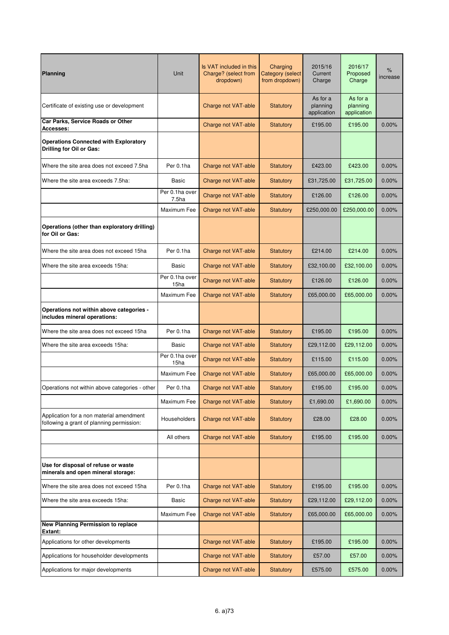| Planning                                                                              | Unit                                | Is VAT included in this<br>Charge? (select from<br>dropdown) | Charging<br><b>Category (select</b><br>from dropdown) | 2015/16<br>Current<br>Charge        | 2016/17<br>Proposed<br>Charge       | $\%$<br>increase |
|---------------------------------------------------------------------------------------|-------------------------------------|--------------------------------------------------------------|-------------------------------------------------------|-------------------------------------|-------------------------------------|------------------|
| Certificate of existing use or development                                            |                                     | Charge not VAT-able                                          | <b>Statutory</b>                                      | As for a<br>planning<br>application | As for a<br>planning<br>application |                  |
| Car Parks, Service Roads or Other<br><b>Accesses:</b>                                 |                                     | Charge not VAT-able                                          | Statutory                                             | £195.00                             | £195.00                             | 0.00%            |
| <b>Operations Connected with Exploratory</b><br>Drilling for Oil or Gas:              |                                     |                                                              |                                                       |                                     |                                     |                  |
| Where the site area does not exceed 7.5ha                                             | Per 0.1ha                           | Charge not VAT-able                                          | Statutory                                             | £423.00                             | £423.00                             | 0.00%            |
| Where the site area exceeds 7.5ha:                                                    | Basic                               | Charge not VAT-able                                          | <b>Statutory</b>                                      | £31,725.00                          | £31,725.00                          | 0.00%            |
|                                                                                       | Per 0.1ha over<br>7.5 <sub>ha</sub> | Charge not VAT-able                                          | <b>Statutory</b>                                      | £126.00                             | £126.00                             | 0.00%            |
|                                                                                       | Maximum Fee                         | Charge not VAT-able                                          | <b>Statutory</b>                                      | £250,000.00                         | £250,000.00                         | 0.00%            |
| Operations (other than exploratory drilling)<br>for Oil or Gas:                       |                                     |                                                              |                                                       |                                     |                                     |                  |
| Where the site area does not exceed 15ha                                              | Per 0.1ha                           | Charge not VAT-able                                          | Statutory                                             | £214.00                             | £214.00                             | 0.00%            |
| Where the site area exceeds 15ha:                                                     | Basic                               | Charge not VAT-able                                          | Statutory                                             | £32,100.00                          | £32,100.00                          | 0.00%            |
|                                                                                       | Per 0.1ha over<br>15ha              | Charge not VAT-able                                          | <b>Statutory</b>                                      | £126.00                             | £126.00                             | 0.00%            |
|                                                                                       | Maximum Fee                         | Charge not VAT-able                                          | <b>Statutory</b>                                      | £65,000.00                          | £65,000.00                          | 0.00%            |
| Operations not within above categories -<br>includes mineral operations:              |                                     |                                                              |                                                       |                                     |                                     |                  |
| Where the site area does not exceed 15ha                                              | Per 0.1ha                           | Charge not VAT-able                                          | <b>Statutory</b>                                      | £195.00                             | £195.00                             | 0.00%            |
| Where the site area exceeds 15ha:                                                     | Basic                               | Charge not VAT-able                                          | <b>Statutory</b>                                      | £29,112.00                          | £29,112.00                          | 0.00%            |
|                                                                                       | Per 0.1ha over<br>15ha              | Charge not VAT-able                                          | <b>Statutory</b>                                      | £115.00                             | £115.00                             | 0.00%            |
|                                                                                       | Maximum Fee                         | Charge not VAT-able                                          | Statutory                                             | £65,000.00                          | £65,000.00                          | 0.00%            |
| Operations not within above categories - other                                        | Per 0.1ha                           | Charge not VAT-able                                          | <b>Statutory</b>                                      | £195.00                             | £195.00                             | 0.00%            |
|                                                                                       | Maximum Fee                         | Charge not VAT-able                                          | Statutory                                             | £1,690.00                           | £1,690.00                           | 0.00%            |
| Application for a non material amendment<br>following a grant of planning permission: | Householders                        | Charge not VAT-able                                          | Statutory                                             | £28.00                              | £28.00                              | 0.00%            |
|                                                                                       | All others                          | Charge not VAT-able                                          | Statutory                                             | £195.00                             | £195.00                             | 0.00%            |
| Use for disposal of refuse or waste<br>minerals and open mineral storage:             |                                     |                                                              |                                                       |                                     |                                     |                  |
| Where the site area does not exceed 15ha                                              | Per 0.1ha                           | Charge not VAT-able                                          | Statutory                                             | £195.00                             | £195.00                             | 0.00%            |
| Where the site area exceeds 15ha:                                                     | Basic                               | Charge not VAT-able                                          | <b>Statutory</b>                                      | £29,112.00                          | £29,112.00                          | 0.00%            |
|                                                                                       | Maximum Fee                         | Charge not VAT-able                                          | Statutory                                             | £65,000.00                          | £65,000.00                          | 0.00%            |
| <b>New Planning Permission to replace</b><br>Extant:                                  |                                     |                                                              |                                                       |                                     |                                     |                  |
| Applications for other developments                                                   |                                     | Charge not VAT-able                                          | Statutory                                             | £195.00                             | £195.00                             | 0.00%            |
| Applications for householder developments                                             |                                     | Charge not VAT-able                                          | <b>Statutory</b>                                      | £57.00                              | £57.00                              | 0.00%            |
| Applications for major developments                                                   |                                     | Charge not VAT-able                                          | Statutory                                             | £575.00                             | £575.00                             | 0.00%            |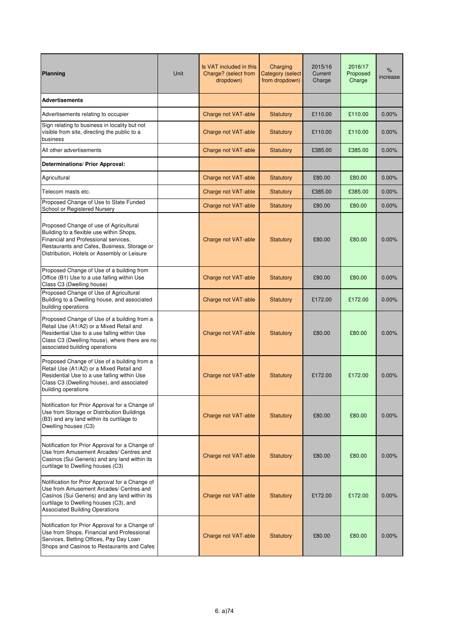| Planning                                                                                                                                                                                                                       | Unit | Is VAT included in this<br>Charge? (select from<br>dropdown) | Charging<br>Category (select<br>from dropdown) | 2015/16<br>Current<br>Charge | 2016/17<br>Proposed<br>Charge | %<br>increase |
|--------------------------------------------------------------------------------------------------------------------------------------------------------------------------------------------------------------------------------|------|--------------------------------------------------------------|------------------------------------------------|------------------------------|-------------------------------|---------------|
| <b>Advertisements</b>                                                                                                                                                                                                          |      |                                                              |                                                |                              |                               |               |
| Advertisements relating to occupier                                                                                                                                                                                            |      | Charge not VAT-able                                          | Statutory                                      | £110.00                      | £110.00                       | 0.00%         |
| Sign relating to business in locality but not<br>visible from site, directing the public to a<br>business                                                                                                                      |      | Charge not VAT-able                                          | <b>Statutory</b>                               | £110.00                      | £110.00                       | 0.00%         |
| All other advertisements                                                                                                                                                                                                       |      | Charge not VAT-able                                          | <b>Statutory</b>                               | £385.00                      | £385.00                       | 0.00%         |
| Determinations/ Prior Approval:                                                                                                                                                                                                |      |                                                              |                                                |                              |                               |               |
| Agricultural                                                                                                                                                                                                                   |      | Charge not VAT-able                                          | <b>Statutory</b>                               | £80.00                       | £80.00                        | 0.00%         |
| Telecom masts etc.                                                                                                                                                                                                             |      | Charge not VAT-able                                          | <b>Statutory</b>                               | £385.00                      | £385.00                       | 0.00%         |
| Proposed Change of Use to State Funded<br>School or Registered Nursery                                                                                                                                                         |      | Charge not VAT-able                                          | <b>Statutory</b>                               | £80.00                       | £80.00                        | 0.00%         |
| Proposed Change of use of Agricultural<br>Building to a flexible use within Shops,<br>Financial and Professional services.<br>Restaurants and Cafes, Business, Storage or<br>Distribution, Hotels or Assembly or Leisure       |      | Charge not VAT-able                                          | <b>Statutory</b>                               | £80.00                       | £80.00                        | 0.00%         |
| Proposed Change of Use of a building from<br>Office (B1) Use to a use falling within Use<br>Class C3 (Dwelling house)                                                                                                          |      | Charge not VAT-able                                          | Statutory                                      | £80.00                       | £80.00                        | 0.00%         |
| Proposed Change of Use of Agricultural<br>Building to a Dwelling house, and associated<br>building operations                                                                                                                  |      | Charge not VAT-able                                          | <b>Statutory</b>                               | £172.00                      | £172.00                       | 0.00%         |
| Proposed Change of Use of a building from a<br>Retail Use (A1/A2) or a Mixed Retail and<br>Residential Use to a use falling within Use<br>Class C3 (Dwelling house), where there are no<br>associated building operations      |      | Charge not VAT-able                                          | <b>Statutory</b>                               | £80.00                       | £80.00                        | 0.00%         |
| Proposed Change of Use of a building from a<br>Retail Use (A1/A2) or a Mixed Retail and<br>Residential Use to a use falling within Use<br>Class C3 (Dwelling house), and associated<br>building operations                     |      | Charge not VAT-able                                          | Statutory                                      | £172.00                      | £172.00                       | 0.00%         |
| Notification for Prior Approval for a Change of<br>Use from Storage or Distribution Buildings<br>(B3) and any land within its curtilage to<br>Dwelling houses (C3)                                                             |      | Charge not VAT-able                                          | Statutory                                      | £80.00                       | £80.00                        | 0.00%         |
| Notification for Prior Approval for a Change of<br>Use from Amusement Arcades/ Centres and<br>Casinos (Sui Generis) and any land within its<br>curtilage to Dwelling houses (C3)                                               |      | Charge not VAT-able                                          | <b>Statutory</b>                               | £80.00                       | £80.00                        | 0.00%         |
| Notification for Prior Approval for a Change of<br>Use from Amusement Arcades/ Centres and<br>Casinos (Sui Generis) and any land within its<br>curtilage to Dwelling houses (C3), and<br><b>Associated Building Operations</b> |      | Charge not VAT-able                                          | Statutory                                      | £172.00                      | £172.00                       | 0.00%         |
| Notification for Prior Approval for a Change of<br>Use from Shops, Financial and Professional<br>Services, Betting Offices, Pay Day Loan<br>Shops and Casinos to Restaurants and Cafes                                         |      | Charge not VAT-able                                          | Statutory                                      | £80.00                       | £80.00                        | 0.00%         |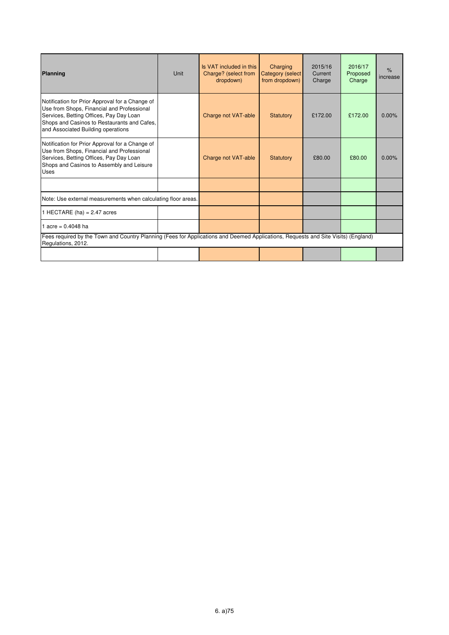| Planning                                                                                                                                                                                                                      | Unit | Is VAT included in this<br>Charge? (select from<br>dropdown) | Charging<br>Category (select<br>from dropdown) | 2015/16<br>Current<br>Charge | 2016/17<br>Proposed<br>Charge | $\%$<br>increase |
|-------------------------------------------------------------------------------------------------------------------------------------------------------------------------------------------------------------------------------|------|--------------------------------------------------------------|------------------------------------------------|------------------------------|-------------------------------|------------------|
| Notification for Prior Approval for a Change of<br>Use from Shops, Financial and Professional<br>Services, Betting Offices, Pay Day Loan<br>Shops and Casinos to Restaurants and Cafes,<br>and Associated Building operations |      | Charge not VAT-able                                          | <b>Statutory</b>                               | £172.00                      | £172.00                       | 0.00%            |
| Notification for Prior Approval for a Change of<br>Use from Shops, Financial and Professional<br>Services, Betting Offices, Pay Day Loan<br>Shops and Casinos to Assembly and Leisure<br><b>Uses</b>                          |      | Charge not VAT-able                                          | Statutory                                      | £80.00                       | £80.00                        | 0.00%            |
|                                                                                                                                                                                                                               |      |                                                              |                                                |                              |                               |                  |
| Note: Use external measurements when calculating floor areas.                                                                                                                                                                 |      |                                                              |                                                |                              |                               |                  |
| 1 HECTARE (ha) = $2.47$ acres                                                                                                                                                                                                 |      |                                                              |                                                |                              |                               |                  |
| 1 acre = $0.4048$ ha                                                                                                                                                                                                          |      |                                                              |                                                |                              |                               |                  |
| Fees required by the Town and Country Planning (Fees for Applications and Deemed Applications, Requests and Site Visits) (England)<br>Regulations, 2012.                                                                      |      |                                                              |                                                |                              |                               |                  |
|                                                                                                                                                                                                                               |      |                                                              |                                                |                              |                               |                  |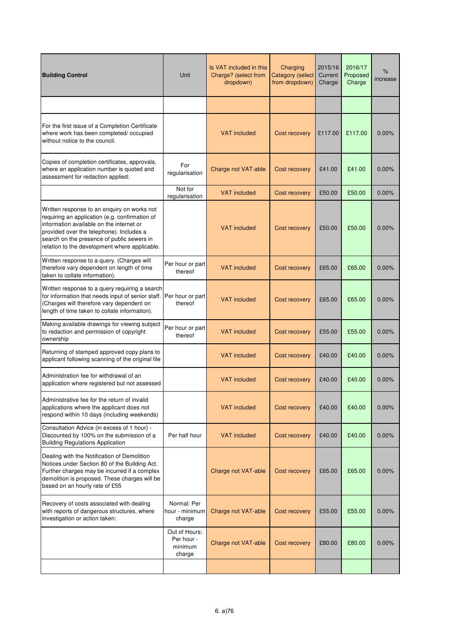| <b>Building Control</b>                                                                                                                                                                                                                                                              | Unit                                             | Is VAT included in this<br>Charge? (select from<br>dropdown) | Charging<br><b>Category (select</b><br>from dropdown) | 2015/16<br>Current<br>Charge | 2016/17<br>Proposed<br>Charge | %<br>increase |
|--------------------------------------------------------------------------------------------------------------------------------------------------------------------------------------------------------------------------------------------------------------------------------------|--------------------------------------------------|--------------------------------------------------------------|-------------------------------------------------------|------------------------------|-------------------------------|---------------|
|                                                                                                                                                                                                                                                                                      |                                                  |                                                              |                                                       |                              |                               |               |
| For the first issue of a Completion Certificate<br>where work has been completed/ occupied<br>without notice to the council.                                                                                                                                                         |                                                  | <b>VAT</b> included                                          | Cost recovery                                         | £117.00                      | £117.00                       | $0.00\%$      |
| Copies of completion certificates, approvals,<br>where an application number is quoted and<br>assessment for redaction applied:                                                                                                                                                      | For<br>regularisation                            | Charge not VAT-able                                          | Cost recovery                                         | £41.00                       | £41.00                        | 0.00%         |
|                                                                                                                                                                                                                                                                                      | Not for<br>regularisation                        | <b>VAT</b> included                                          | Cost recovery                                         | £50.00                       | £50.00                        | 0.00%         |
| Written response to an enquiry on works not<br>requiring an application (e.g. confirmation of<br>information available on the internet or<br>provided over the telephone). Includes a<br>search on the presence of public sewers in<br>relation to the development where applicable. |                                                  | <b>VAT</b> included                                          | Cost recovery                                         | £50.00                       | £50.00                        | 0.00%         |
| Written response to a query. (Charges will<br>therefore vary dependent on length of time<br>taken to collate information).                                                                                                                                                           | Per hour or part<br>thereof                      | <b>VAT included</b>                                          | Cost recovery                                         | £65.00                       | £65.00                        | 0.00%         |
| Written response to a query requiring a search<br>for information that needs input of senior staff.<br>(Charges will therefore vary dependent on<br>length of time taken to collate information).                                                                                    | Per hour or part<br>thereof                      | <b>VAT included</b>                                          | Cost recovery                                         | £65.00                       | £65.00                        | 0.00%         |
| Making available drawings for viewing subject<br>to redaction and permission of copyright<br>ownership                                                                                                                                                                               | Per hour or part<br>thereof                      | <b>VAT</b> included                                          | Cost recovery                                         | £55.00                       | £55.00                        | 0.00%         |
| Returning of stamped approved copy plans to<br>applicant following scanning of the original file                                                                                                                                                                                     |                                                  | <b>VAT</b> included                                          | Cost recovery                                         | £40.00                       | £40.00                        | 0.00%         |
| Administration fee for withdrawal of an<br>application where registered but not assessed                                                                                                                                                                                             |                                                  | <b>VAT</b> included                                          | Cost recovery                                         | £40.00                       | £40.00                        | 0.00%         |
| Administrative fee for the return of invalid<br>applications where the applicant does not<br>respond within 10 days (including weekends)                                                                                                                                             |                                                  | <b>VAT</b> included                                          | Cost recovery                                         | £40.00                       | £40.00                        | $0.00\%$      |
| Consultation Advice (in excess of 1 hour) -<br>Discounted by 100% on the submission of a<br><b>Building Regulations Application</b>                                                                                                                                                  | Per half hour                                    | <b>VAT</b> included                                          | Cost recovery                                         | £40.00                       | £40.00                        | 0.00%         |
| Dealing with the Notification of Demolition<br>Notices under Section 80 of the Building Act.<br>Further charges may be incurred if a complex<br>demolition is proposed. These charges will be<br>based on an hourly rate of £55                                                      |                                                  | Charge not VAT-able                                          | Cost recovery                                         | £65.00                       | £65.00                        | 0.00%         |
| Recovery of costs associated with dealing<br>with reports of dangerous structures, where<br>investigation or action taken:                                                                                                                                                           | Normal: Per<br>hour - minimum<br>charge          | Charge not VAT-able                                          | Cost recovery                                         | £55.00                       | £55.00                        | 0.00%         |
|                                                                                                                                                                                                                                                                                      | Out of Hours:<br>Per hour -<br>minimum<br>charge | Charge not VAT-able                                          | Cost recovery                                         | £80.00                       | £80.00                        | $0.00\%$      |
|                                                                                                                                                                                                                                                                                      |                                                  |                                                              |                                                       |                              |                               |               |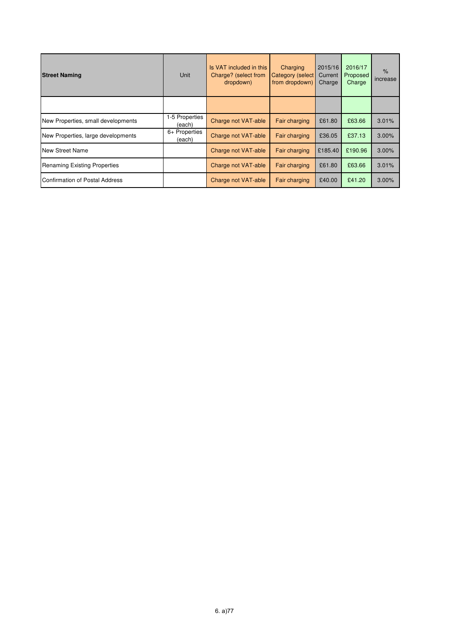| <b>Street Naming</b>                | Unit                    | Is VAT included in this<br>Charge? (select from<br>dropdown) | Charging<br>Category (select<br>from dropdown) | 2015/16<br>Current<br>Charge | 2016/17<br>Proposed<br>Charge | $\%$<br>increase |
|-------------------------------------|-------------------------|--------------------------------------------------------------|------------------------------------------------|------------------------------|-------------------------------|------------------|
|                                     |                         |                                                              |                                                |                              |                               |                  |
| New Properties, small developments  | -5 Properties<br>(each) | Charge not VAT-able                                          | Fair charging                                  | £61.80                       | £63.66                        | 3.01%            |
| New Properties, large developments  | 6+ Properties<br>(each) | Charge not VAT-able                                          | Fair charging                                  | £36.05                       | £37.13                        | 3.00%            |
| <b>New Street Name</b>              |                         | Charge not VAT-able                                          | Fair charging                                  | £185.40                      | £190.96                       | 3.00%            |
| <b>Renaming Existing Properties</b> |                         | Charge not VAT-able                                          | Fair charging                                  | £61.80                       | £63.66                        | 3.01%            |
| Confirmation of Postal Address      |                         | Charge not VAT-able                                          | Fair charging                                  | £40.00                       | £41.20                        | $3.00\%$         |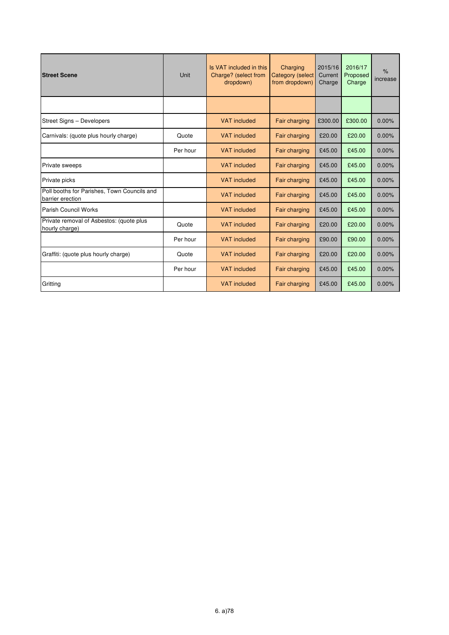| <b>Street Scene</b>                                             | Unit     | Is VAT included in this<br>Charge? (select from<br>dropdown) | Charging<br><b>Category (select</b><br>from dropdown) | 2015/16<br>Current<br>Charge | 2016/17<br>Proposed<br>Charge | $\%$<br>increase |
|-----------------------------------------------------------------|----------|--------------------------------------------------------------|-------------------------------------------------------|------------------------------|-------------------------------|------------------|
|                                                                 |          |                                                              |                                                       |                              |                               |                  |
| Street Signs - Developers                                       |          | <b>VAT</b> included                                          | Fair charging                                         | £300.00                      | £300.00                       | 0.00%            |
| Carnivals: (quote plus hourly charge)                           | Quote    | <b>VAT</b> included                                          | Fair charging                                         | £20.00                       | £20.00                        | 0.00%            |
|                                                                 | Per hour | <b>VAT</b> included                                          | <b>Fair charging</b>                                  | £45.00                       | £45.00                        | 0.00%            |
| Private sweeps                                                  |          | <b>VAT</b> included                                          | Fair charging                                         | £45.00                       | £45.00                        | 0.00%            |
| Private picks                                                   |          | <b>VAT</b> included                                          | Fair charging                                         | £45.00                       | £45.00                        | 0.00%            |
| Poll booths for Parishes, Town Councils and<br>barrier erection |          | <b>VAT</b> included                                          | <b>Fair charging</b>                                  | £45.00                       | £45.00                        | 0.00%            |
| Parish Council Works                                            |          | <b>VAT</b> included                                          | Fair charging                                         | £45.00                       | £45.00                        | 0.00%            |
| Private removal of Asbestos: (quote plus<br>hourly charge)      | Quote    | <b>VAT</b> included                                          | Fair charging                                         | £20.00                       | £20.00                        | 0.00%            |
|                                                                 | Per hour | <b>VAT</b> included                                          | Fair charging                                         | £90.00                       | £90.00                        | 0.00%            |
| Graffiti: (quote plus hourly charge)                            | Quote    | <b>VAT</b> included                                          | Fair charging                                         | £20.00                       | £20.00                        | 0.00%            |
|                                                                 | Per hour | <b>VAT</b> included                                          | <b>Fair charging</b>                                  | £45.00                       | £45.00                        | 0.00%            |
| Gritting                                                        |          | <b>VAT</b> included                                          | Fair charging                                         | £45.00                       | £45.00                        | 0.00%            |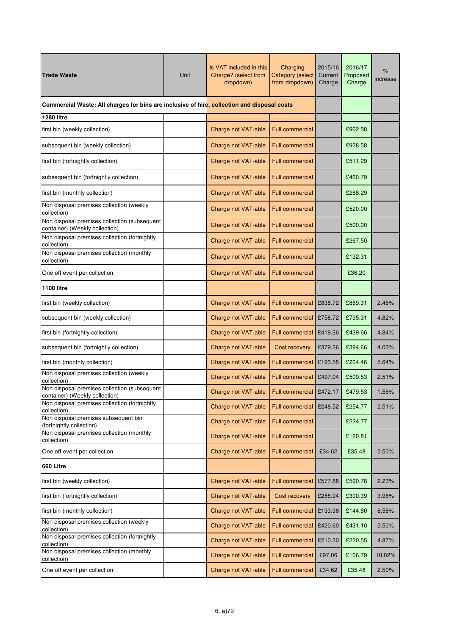| <b>Trade Waste</b>                                                                          | Unit | Is VAT included in this<br>Charge? (select from<br>dropdown) | Charging<br><b>Category</b> (select<br>from dropdown) | 2015/16<br>Current<br>Charge | 2016/17<br>Proposed<br>Charge | %<br>increase |
|---------------------------------------------------------------------------------------------|------|--------------------------------------------------------------|-------------------------------------------------------|------------------------------|-------------------------------|---------------|
| Commercial Waste: All charges for bins are inclusive of hire, collection and disposal costs |      |                                                              |                                                       |                              |                               |               |
| 1280 litre                                                                                  |      |                                                              |                                                       |                              |                               |               |
| first bin (weekly collection)                                                               |      | Charge not VAT-able                                          | <b>Full commercial</b>                                |                              | £962.58                       |               |
| subsequent bin (weekly collection)                                                          |      | Charge not VAT-able                                          | <b>Full commercial</b>                                |                              | £928.58                       |               |
| first bin (fortnightly collection)                                                          |      | Charge not VAT-able                                          | <b>Full commercial</b>                                |                              | £511.29                       |               |
| subsequent bin (fortnightly collection)                                                     |      | Charge not VAT-able                                          | <b>Full commercial</b>                                |                              | £460.79                       |               |
| first bin (monthly collection)                                                              |      | Charge not VAT-able                                          | <b>Full commercial</b>                                |                              | £268.29                       |               |
| Non disposal premises collection (weekly<br>collection)                                     |      | Charge not VAT-able                                          | <b>Full commercial</b>                                |                              | £520.00                       |               |
| Non disposal premises collection (subsequent<br>container) (Weekly collection)              |      | Charge not VAT-able                                          | <b>Full commercial</b>                                |                              | £500.00                       |               |
| Non disposal premises collection (fortnightly<br>collection)                                |      | Charge not VAT-able                                          | <b>Full commercial</b>                                |                              | £267.50                       |               |
| Non disposal premises collection (monthly<br>collection)                                    |      | Charge not VAT-able                                          | <b>Full commercial</b>                                |                              | £132.31                       |               |
| One off event per collection                                                                |      | Charge not VAT-able                                          | <b>Full commercial</b>                                |                              | £36.20                        |               |
| <b>1100 litre</b>                                                                           |      |                                                              |                                                       |                              |                               |               |
| first bin (weekly collection)                                                               |      | Charge not VAT-able                                          | <b>Full commercial</b>                                | £838.72                      | £859.31                       | 2.45%         |
| subsequent bin (weekly collection)                                                          |      | Charge not VAT-able                                          | Full commercial                                       | £758.72                      | £795.31                       | 4.82%         |
| first bin (fortnightly collection)                                                          |      | Charge not VAT-able                                          | <b>Full commercial</b>                                | £419.36                      | £439.66                       | 4.84%         |
| subsequent bin (fortnightly collection)                                                     |      | Charge not VAT-able                                          | Cost recovery                                         | £379.36                      | £394.66                       | 4.03%         |
| first bin (monthly collection)                                                              |      | Charge not VAT-able                                          | <b>Full commercial</b>                                | £193.55                      | £204.46                       | 5.64%         |
| Non disposal premises collection (weekly<br>collection)                                     |      | Charge not VAT-able                                          | <b>Full commercial</b>                                | £497.04                      | £509.53                       | 2.51%         |
| Non disposal premises collection (subsequent<br>container) (Weekly collection)              |      | Charge not VAT-able                                          | Full commercial £472.17                               |                              | £479.53                       | 1.56%         |
| Non disposal premises collection (fortnightly<br>collection)                                |      | Charge not VAT-able                                          | <b>Full commercial</b>                                | £248.52                      | £254.77                       | 2.51%         |
| Non disposal premises subsequent bin<br>(fortnightly collection)                            |      | Charge not VAT-able                                          | <b>Full commercial</b>                                |                              | £224.77                       |               |
| Non disposal premises collection (monthly<br>collection)                                    |      | Charge not VAT-able                                          | <b>Full commercial</b>                                |                              | £120.81                       |               |
| One off event per collection                                                                |      | Charge not VAT-able                                          | <b>Full commercial</b>                                | £34.62                       | £35.48                        | 2.50%         |
| 660 Litre                                                                                   |      |                                                              |                                                       |                              |                               |               |
| first bin (weekly collection)                                                               |      | Charge not VAT-able                                          | <b>Full commercial</b>                                | £577.88                      | £590.78                       | 2.23%         |
| first bin (fortnightly collection)                                                          |      | Charge not VAT-able                                          | Cost recovery                                         | £288.94                      | £300.39                       | 3.96%         |
| first bin (monthly collection)                                                              |      | Charge not VAT-able                                          | Full commercial                                       | £133.36                      | £144.80                       | 8.58%         |
| Non disposal premises collection (weekly<br>collection)                                     |      | Charge not VAT-able                                          | Full commercial                                       | £420.60                      | £431.10                       | 2.50%         |
| Non disposal premises collection (fortnightly<br>collection)                                |      | Charge not VAT-able                                          | Full commercial                                       | £210.30                      | £220.55                       | 4.87%         |
| Non disposal premises collection (monthly<br>collection)                                    |      | Charge not VAT-able                                          | Full commercial                                       | £97.06                       | £106.79                       | 10.02%        |
| One off event per collection                                                                |      | Charge not VAT-able                                          | Full commercial                                       | £34.62                       | £35.48                        | 2.50%         |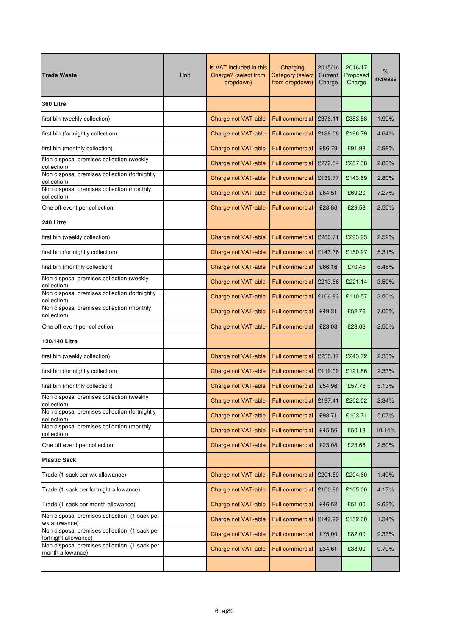| <b>Trade Waste</b>                                                   | Unit | Is VAT included in this<br>Charge? (select from<br>dropdown) | Charging<br><b>Category (select</b><br>from dropdown) | 2015/16<br>Current<br>Charge | 2016/17<br>Proposed<br>Charge | %<br>increase |
|----------------------------------------------------------------------|------|--------------------------------------------------------------|-------------------------------------------------------|------------------------------|-------------------------------|---------------|
| 360 Litre                                                            |      |                                                              |                                                       |                              |                               |               |
| first bin (weekly collection)                                        |      | Charge not VAT-able                                          | <b>Full commercial</b>                                | £376.11                      | £383.58                       | 1.99%         |
| first bin (fortnightly collection)                                   |      | Charge not VAT-able                                          | <b>Full commercial</b>                                | £188.06                      | £196.79                       | 4.64%         |
| first bin (monthly collection)                                       |      | Charge not VAT-able                                          | <b>Full commercial</b>                                | £86.79                       | £91.98                        | 5.98%         |
| Non disposal premises collection (weekly<br>collection)              |      | Charge not VAT-able                                          | <b>Full commercial</b>                                | £279.54                      | £287.38                       | 2.80%         |
| Non disposal premises collection (fortnightly<br>collection)         |      | Charge not VAT-able                                          | <b>Full commercial</b>                                | £139.77                      | £143.69                       | 2.80%         |
| Non disposal premises collection (monthly<br>collection)             |      | Charge not VAT-able                                          | <b>Full commercial</b>                                | £64.51                       | £69.20                        | 7.27%         |
| One off event per collection                                         |      | Charge not VAT-able                                          | <b>Full commercial</b>                                | £28.86                       | £29.58                        | 2.50%         |
| 240 Litre                                                            |      |                                                              |                                                       |                              |                               |               |
| first bin (weekly collection)                                        |      | Charge not VAT-able                                          | <b>Full commercial</b>                                | £286.71                      | £293.93                       | 2.52%         |
| first bin (fortnightly collection)                                   |      | Charge not VAT-able                                          | <b>Full commercial</b>                                | £143.36                      | £150.97                       | 5.31%         |
| first bin (monthly collection)                                       |      | Charge not VAT-able                                          | <b>Full commercial</b>                                | £66.16                       | £70.45                        | 6.48%         |
| Non disposal premises collection (weekly<br>collection)              |      | Charge not VAT-able                                          | <b>Full commercial</b>                                | £213.66                      | £221.14                       | 3.50%         |
| Non disposal premises collection (fortnightly<br>collection)         |      | Charge not VAT-able                                          | <b>Full commercial</b>                                | £106.83                      | £110.57                       | 3.50%         |
| Non disposal premises collection (monthly<br>collection)             |      | Charge not VAT-able                                          | <b>Full commercial</b>                                | £49.31                       | £52.76                        | 7.00%         |
| One off event per collection                                         |      | Charge not VAT-able                                          | <b>Full commercial</b>                                | £23.08                       | £23.66                        | 2.50%         |
| 120/140 Litre                                                        |      |                                                              |                                                       |                              |                               |               |
| first bin (weekly collection)                                        |      | Charge not VAT-able                                          | <b>Full commercial</b>                                | £238.17                      | £243.72                       | 2.33%         |
| first bin (fortnightly collection)                                   |      | Charge not VAT-able                                          | <b>Full commercial</b>                                | £119.09                      | £121.86                       | 2.33%         |
| first bin (monthly collection)                                       |      | Charge not VAT-able                                          | <b>Full commercial</b>                                | £54.96                       | £57.78                        | 5.13%         |
| Non disposal premises collection (weekly<br>collection)              |      | Charge not VAT-able                                          | <b>Full commercial</b>                                | £197.41                      | £202.02                       | 2.34%         |
| Non disposal premises collection (fortnightly<br>collection)         |      | Charge not VAT-able                                          | Full commercial                                       | £98.71                       | £103.71                       | 5.07%         |
| Non disposal premises collection (monthly<br>collection)             |      | Charge not VAT-able                                          | <b>Full commercial</b>                                | £45.56                       | £50.18                        | 10.14%        |
| One off event per collection                                         |      | Charge not VAT-able                                          | Full commercial                                       | £23.08                       | £23.66                        | 2.50%         |
| <b>Plastic Sack</b>                                                  |      |                                                              |                                                       |                              |                               |               |
| Trade (1 sack per wk allowance)                                      |      | Charge not VAT-able                                          | <b>Full commercial</b>                                | £201.59                      | £204.60                       | 1.49%         |
| Trade (1 sack per fortnight allowance)                               |      | Charge not VAT-able                                          | <b>Full commercial</b>                                | £100.80                      | £105.00                       | 4.17%         |
| Trade (1 sack per month allowance)                                   |      | Charge not VAT-able                                          | <b>Full commercial</b>                                | £46.52                       | £51.00                        | 9.63%         |
| Non disposal premises collection (1 sack per<br>wk allowance)        |      | Charge not VAT-able                                          | <b>Full commercial</b>                                | £149.99                      | £152.00                       | 1.34%         |
| Non disposal premises collection (1 sack per<br>fortnight allowance) |      | Charge not VAT-able                                          | Full commercial                                       | £75.00                       | £82.00                        | 9.33%         |
| Non disposal premises collection (1 sack per<br>month allowance)     |      | Charge not VAT-able                                          | Full commercial                                       | £34.61                       | £38.00                        | 9.79%         |
|                                                                      |      |                                                              |                                                       |                              |                               |               |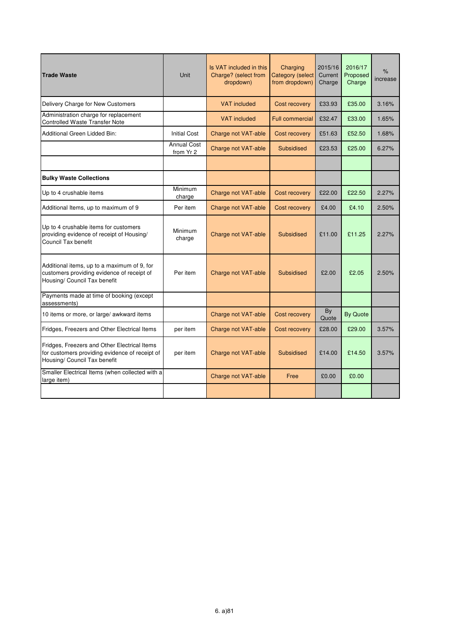| <b>Trade Waste</b>                                                                                                             | Unit                            | Is VAT included in this<br>Charge? (select from<br>dropdown) | Charging<br><b>Category (select</b><br>from dropdown) | 2015/16<br>Current<br>Charge | 2016/17<br>Proposed<br>Charge | $\%$<br>increase |
|--------------------------------------------------------------------------------------------------------------------------------|---------------------------------|--------------------------------------------------------------|-------------------------------------------------------|------------------------------|-------------------------------|------------------|
| Delivery Charge for New Customers                                                                                              |                                 | <b>VAT</b> included                                          | Cost recovery                                         | £33.93                       | £35.00                        | 3.16%            |
| Administration charge for replacement<br><b>Controlled Waste Transfer Note</b>                                                 |                                 | <b>VAT</b> included                                          | <b>Full commercial</b>                                | £32.47                       | £33.00                        | 1.65%            |
| Additional Green Lidded Bin:                                                                                                   | <b>Initial Cost</b>             | Charge not VAT-able                                          | Cost recovery                                         | £51.63                       | £52.50                        | 1.68%            |
|                                                                                                                                | <b>Annual Cost</b><br>from Yr 2 | Charge not VAT-able                                          | Subsidised                                            | £23.53                       | £25.00                        | 6.27%            |
|                                                                                                                                |                                 |                                                              |                                                       |                              |                               |                  |
| <b>Bulky Waste Collections</b>                                                                                                 |                                 |                                                              |                                                       |                              |                               |                  |
| Up to 4 crushable items                                                                                                        | Minimum<br>charge               | Charge not VAT-able                                          | Cost recovery                                         | £22.00                       | £22.50                        | 2.27%            |
| Additional Items, up to maximum of 9                                                                                           | Per item                        | Charge not VAT-able                                          | Cost recovery                                         | £4.00                        | £4.10                         | 2.50%            |
| Up to 4 crushable items for customers<br>providing evidence of receipt of Housing/<br>Council Tax benefit                      | Minimum<br>charge               | Charge not VAT-able                                          | <b>Subsidised</b>                                     | £11.00                       | £11.25                        | 2.27%            |
| Additional items, up to a maximum of 9, for<br>customers providing evidence of receipt of<br>Housing/ Council Tax benefit      | Per item                        | Charge not VAT-able                                          | <b>Subsidised</b>                                     | £2.00                        | £2.05                         | 2.50%            |
| Payments made at time of booking (except<br>assessments)                                                                       |                                 |                                                              |                                                       |                              |                               |                  |
| 10 items or more, or large/ awkward items                                                                                      |                                 | Charge not VAT-able                                          | Cost recovery                                         | By<br>Quote                  | <b>By Quote</b>               |                  |
| Fridges, Freezers and Other Electrical Items                                                                                   | per item                        | Charge not VAT-able                                          | Cost recovery                                         | £28.00                       | £29.00                        | 3.57%            |
| Fridges, Freezers and Other Electrical Items<br>for customers providing evidence of receipt of<br>Housing/ Council Tax benefit | per item                        | Charge not VAT-able                                          | Subsidised                                            | £14.00                       | £14.50                        | 3.57%            |
| Smaller Electrical Items (when collected with a<br>large item)                                                                 |                                 | Charge not VAT-able                                          | Free                                                  | £0.00                        | £0.00                         |                  |
|                                                                                                                                |                                 |                                                              |                                                       |                              |                               |                  |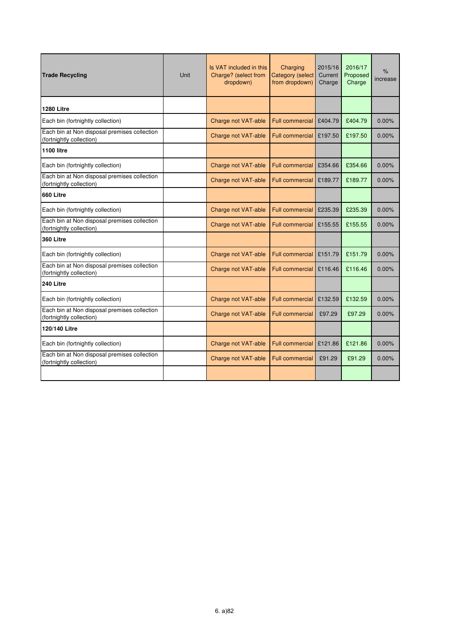| <b>Trade Recycling</b>                                                   | <b>Unit</b> | Is VAT included in this<br>Charge? (select from<br>dropdown) | Charging<br><b>Category (select</b><br>from dropdown) | 2015/16<br>Current<br>Charge | 2016/17<br>Proposed<br>Charge | $\%$<br>increase |
|--------------------------------------------------------------------------|-------------|--------------------------------------------------------------|-------------------------------------------------------|------------------------------|-------------------------------|------------------|
| <b>1280 Litre</b>                                                        |             |                                                              |                                                       |                              |                               |                  |
| Each bin (fortnightly collection)                                        |             | Charge not VAT-able                                          | <b>Full commercial</b>                                | £404.79                      | £404.79                       | 0.00%            |
| Each bin at Non disposal premises collection<br>(fortnightly collection) |             | Charge not VAT-able                                          | <b>Full commercial</b>                                | £197.50                      | £197.50                       | $0.00\%$         |
| 1100 litre                                                               |             |                                                              |                                                       |                              |                               |                  |
| Each bin (fortnightly collection)                                        |             | Charge not VAT-able                                          | <b>Full commercial</b>                                | £354.66                      | £354.66                       | 0.00%            |
| Each bin at Non disposal premises collection<br>(fortnightly collection) |             | Charge not VAT-able                                          | <b>Full commercial</b>                                | £189.77                      | £189.77                       | $0.00\%$         |
| 660 Litre                                                                |             |                                                              |                                                       |                              |                               |                  |
| Each bin (fortnightly collection)                                        |             | Charge not VAT-able                                          | <b>Full commercial</b>                                | £235.39                      | £235.39                       | 0.00%            |
| Each bin at Non disposal premises collection<br>(fortnightly collection) |             | Charge not VAT-able                                          | <b>Full commercial</b>                                | £155.55                      | £155.55                       | $0.00\%$         |
| 360 Litre                                                                |             |                                                              |                                                       |                              |                               |                  |
| Each bin (fortnightly collection)                                        |             | Charge not VAT-able                                          | <b>Full commercial</b>                                | £151.79                      | £151.79                       | 0.00%            |
| Each bin at Non disposal premises collection<br>(fortnightly collection) |             | Charge not VAT-able                                          | <b>Full commercial</b>                                | £116.46                      | £116.46                       | 0.00%            |
| 240 Litre                                                                |             |                                                              |                                                       |                              |                               |                  |
| Each bin (fortnightly collection)                                        |             | Charge not VAT-able                                          | <b>Full commercial</b>                                | £132.59                      | £132.59                       | $0.00\%$         |
| Each bin at Non disposal premises collection<br>(fortnightly collection) |             | Charge not VAT-able                                          | <b>Full commercial</b>                                | £97.29                       | £97.29                        | 0.00%            |
| 120/140 Litre                                                            |             |                                                              |                                                       |                              |                               |                  |
| Each bin (fortnightly collection)                                        |             | Charge not VAT-able                                          | <b>Full commercial</b>                                | £121.86                      | £121.86                       | 0.00%            |
| Each bin at Non disposal premises collection<br>(fortnightly collection) |             | Charge not VAT-able                                          | <b>Full commercial</b>                                | £91.29                       | £91.29                        | $0.00\%$         |
|                                                                          |             |                                                              |                                                       |                              |                               |                  |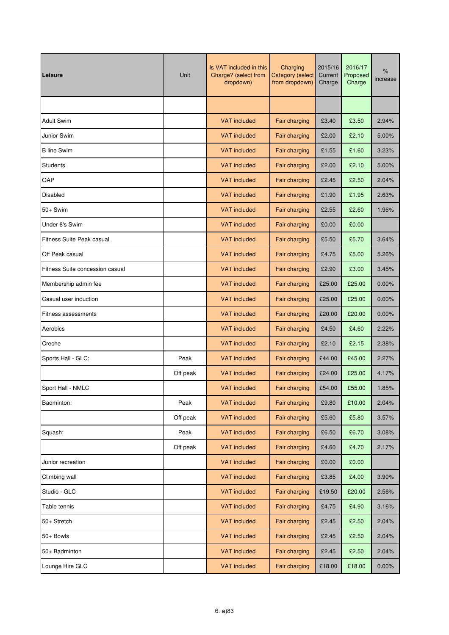| Leisure                          | Unit     | Is VAT included in this<br>Charge? (select from<br>dropdown) | Charging<br><b>Category (select</b><br>from dropdown) | 2015/16<br>Current<br>Charge | 2016/17<br>Proposed<br>Charge | %<br>increase |
|----------------------------------|----------|--------------------------------------------------------------|-------------------------------------------------------|------------------------------|-------------------------------|---------------|
|                                  |          |                                                              |                                                       |                              |                               |               |
| <b>Adult Swim</b>                |          | <b>VAT</b> included                                          | Fair charging                                         | £3.40                        | £3.50                         | 2.94%         |
| Junior Swim                      |          | <b>VAT included</b>                                          | Fair charging                                         | £2.00                        | £2.10                         | 5.00%         |
| <b>B</b> line Swim               |          | <b>VAT</b> included                                          | Fair charging                                         | £1.55                        | £1.60                         | 3.23%         |
| <b>Students</b>                  |          | <b>VAT</b> included                                          | Fair charging                                         | £2.00                        | £2.10                         | 5.00%         |
| OAP                              |          | <b>VAT included</b>                                          | Fair charging                                         | £2.45                        | £2.50                         | 2.04%         |
| Disabled                         |          | <b>VAT</b> included                                          | Fair charging                                         | £1.90                        | £1.95                         | 2.63%         |
| $50+$ Swim                       |          | <b>VAT</b> included                                          | Fair charging                                         | £2.55                        | £2.60                         | 1.96%         |
| Under 8's Swim                   |          | <b>VAT</b> included                                          | Fair charging                                         | £0.00                        | £0.00                         |               |
| <b>Fitness Suite Peak casual</b> |          | <b>VAT</b> included                                          | Fair charging                                         | £5.50                        | £5.70                         | 3.64%         |
| Off Peak casual                  |          | <b>VAT included</b>                                          | Fair charging                                         | £4.75                        | £5.00                         | 5.26%         |
| Fitness Suite concession casual  |          | <b>VAT included</b>                                          | Fair charging                                         | £2.90                        | £3.00                         | 3.45%         |
| Membership admin fee             |          | <b>VAT</b> included                                          | Fair charging                                         | £25.00                       | £25.00                        | $0.00\%$      |
| Casual user induction            |          | <b>VAT</b> included                                          | Fair charging                                         | £25.00                       | £25.00                        | 0.00%         |
| <b>Fitness assessments</b>       |          | <b>VAT</b> included                                          | Fair charging                                         | £20.00                       | £20.00                        | 0.00%         |
| Aerobics                         |          | <b>VAT</b> included                                          | Fair charging                                         | £4.50                        | £4.60                         | 2.22%         |
| Creche                           |          | <b>VAT</b> included                                          | Fair charging                                         | £2.10                        | £2.15                         | 2.38%         |
| Sports Hall - GLC:               | Peak     | <b>VAT</b> included                                          | Fair charging                                         | £44.00                       | £45.00                        | 2.27%         |
|                                  | Off peak | <b>VAT</b> included                                          | Fair charging                                         | £24.00                       | £25.00                        | 4.17%         |
| Sport Hall - NMLC                |          | <b>VAT</b> included                                          | Fair charging                                         | £54.00                       | £55.00                        | 1.85%         |
| Badminton:                       | Peak     | <b>VAT included</b>                                          | Fair charging                                         | £9.80                        | £10.00                        | 2.04%         |
|                                  | Off peak | <b>VAT included</b>                                          | Fair charging                                         | £5.60                        | £5.80                         | 3.57%         |
| Squash:                          | Peak     | <b>VAT included</b>                                          | Fair charging                                         | £6.50                        | £6.70                         | 3.08%         |
|                                  | Off peak | <b>VAT included</b>                                          | Fair charging                                         | £4.60                        | £4.70                         | 2.17%         |
| Junior recreation                |          | <b>VAT included</b>                                          | Fair charging                                         | £0.00                        | £0.00                         |               |
| Climbing wall                    |          | <b>VAT included</b>                                          | Fair charging                                         | £3.85                        | £4.00                         | 3.90%         |
| Studio - GLC                     |          | <b>VAT included</b>                                          | Fair charging                                         | £19.50                       | £20.00                        | 2.56%         |
| Table tennis                     |          | <b>VAT included</b>                                          | Fair charging                                         | £4.75                        | £4.90                         | 3.16%         |
| 50+ Stretch                      |          | <b>VAT included</b>                                          | Fair charging                                         | £2.45                        | £2.50                         | 2.04%         |
| 50+ Bowls                        |          | <b>VAT included</b>                                          | Fair charging                                         | £2.45                        | £2.50                         | 2.04%         |
| 50+ Badminton                    |          | <b>VAT included</b>                                          | Fair charging                                         | £2.45                        | £2.50                         | 2.04%         |
| Lounge Hire GLC                  |          | <b>VAT included</b>                                          | Fair charging                                         | £18.00                       | £18.00                        | 0.00%         |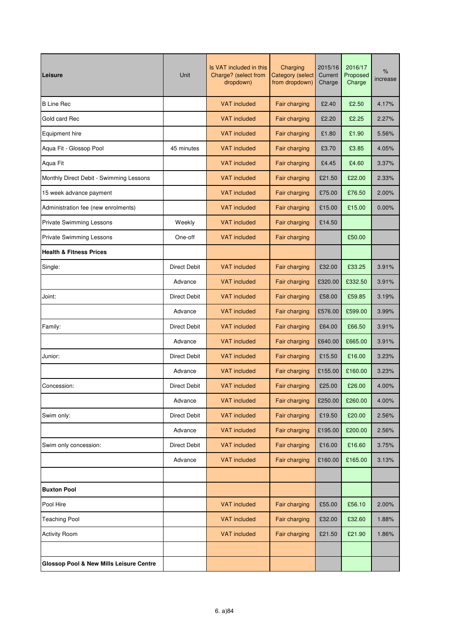| Leisure                                            | Unit                | Is VAT included in this<br>Charge? (select from<br>dropdown) | Charging<br><b>Category (select</b><br>from dropdown) | 2015/16<br>Current<br>Charge | 2016/17<br>Proposed<br>Charge | $\%$<br>increase |
|----------------------------------------------------|---------------------|--------------------------------------------------------------|-------------------------------------------------------|------------------------------|-------------------------------|------------------|
| <b>B</b> Line Rec                                  |                     | <b>VAT</b> included                                          | Fair charging                                         | £2.40                        | £2.50                         | 4.17%            |
| Gold card Rec                                      |                     | <b>VAT</b> included                                          | Fair charging                                         | £2.20                        | £2.25                         | 2.27%            |
| Equipment hire                                     |                     | <b>VAT</b> included                                          | Fair charging                                         | £1.80                        | £1.90                         | 5.56%            |
| Aqua Fit - Glossop Pool                            | 45 minutes          | <b>VAT</b> included                                          | Fair charging                                         | £3.70                        | £3.85                         | 4.05%            |
| Aqua Fit                                           |                     | <b>VAT</b> included                                          | Fair charging                                         | £4.45                        | £4.60                         | 3.37%            |
| Monthly Direct Debit - Swimming Lessons            |                     | <b>VAT</b> included                                          | Fair charging                                         | £21.50                       | £22.00                        | 2.33%            |
| 15 week advance payment                            |                     | <b>VAT</b> included                                          | Fair charging                                         | £75.00                       | £76.50                        | 2.00%            |
| Administration fee (new enrolments)                |                     | <b>VAT</b> included                                          | Fair charging                                         | £15.00                       | £15.00                        | 0.00%            |
| <b>Private Swimming Lessons</b>                    | Weekly              | <b>VAT</b> included                                          | Fair charging                                         | £14.50                       |                               |                  |
| <b>Private Swimming Lessons</b>                    | One-off             | <b>VAT</b> included                                          | Fair charging                                         |                              | £50.00                        |                  |
| <b>Health &amp; Fitness Prices</b>                 |                     |                                                              |                                                       |                              |                               |                  |
| Single:                                            | <b>Direct Debit</b> | <b>VAT</b> included                                          | Fair charging                                         | £32.00                       | £33.25                        | 3.91%            |
|                                                    | Advance             | <b>VAT</b> included                                          | Fair charging                                         | £320.00                      | £332.50                       | 3.91%            |
| Joint:                                             | <b>Direct Debit</b> | <b>VAT</b> included                                          | Fair charging                                         | £58.00                       | £59.85                        | 3.19%            |
|                                                    | Advance             | <b>VAT</b> included                                          | Fair charging                                         | £576.00                      | £599.00                       | 3.99%            |
| Family:                                            | <b>Direct Debit</b> | <b>VAT</b> included                                          | Fair charging                                         | £64.00                       | £66.50                        | 3.91%            |
|                                                    | Advance             | <b>VAT</b> included                                          | Fair charging                                         | £640.00                      | £665.00                       | 3.91%            |
| Junior:                                            | Direct Debit        | <b>VAT</b> included                                          | Fair charging                                         | £15.50                       | £16.00                        | 3.23%            |
|                                                    | Advance             | <b>VAT</b> included                                          | Fair charging                                         | £155.00                      | £160.00                       | 3.23%            |
| Concession:                                        | <b>Direct Debit</b> | <b>VAT</b> included                                          | Fair charging                                         | £25.00                       | £26.00                        | 4.00%            |
|                                                    | Advance             | <b>VAT included</b>                                          | Fair charging                                         | £250.00                      | £260.00                       | 4.00%            |
| Swim only:                                         | <b>Direct Debit</b> | <b>VAT</b> included                                          | Fair charging                                         | £19.50                       | £20.00                        | 2.56%            |
|                                                    | Advance             | <b>VAT included</b>                                          | Fair charging                                         | £195.00                      | £200.00                       | 2.56%            |
| Swim only concession:                              | <b>Direct Debit</b> | <b>VAT included</b>                                          | Fair charging                                         | £16.00                       | £16.60                        | 3.75%            |
|                                                    | Advance             | <b>VAT included</b>                                          | Fair charging                                         | £160.00                      | £165.00                       | 3.13%            |
|                                                    |                     |                                                              |                                                       |                              |                               |                  |
| <b>Buxton Pool</b>                                 |                     |                                                              |                                                       |                              |                               |                  |
| Pool Hire                                          |                     | <b>VAT included</b>                                          | Fair charging                                         | £55.00                       | £56.10                        | 2.00%            |
| <b>Teaching Pool</b>                               |                     | <b>VAT</b> included                                          | Fair charging                                         | £32.00                       | £32.60                        | 1.88%            |
| <b>Activity Room</b>                               |                     | <b>VAT included</b>                                          | Fair charging                                         | £21.50                       | £21.90                        | 1.86%            |
|                                                    |                     |                                                              |                                                       |                              |                               |                  |
| <b>Glossop Pool &amp; New Mills Leisure Centre</b> |                     |                                                              |                                                       |                              |                               |                  |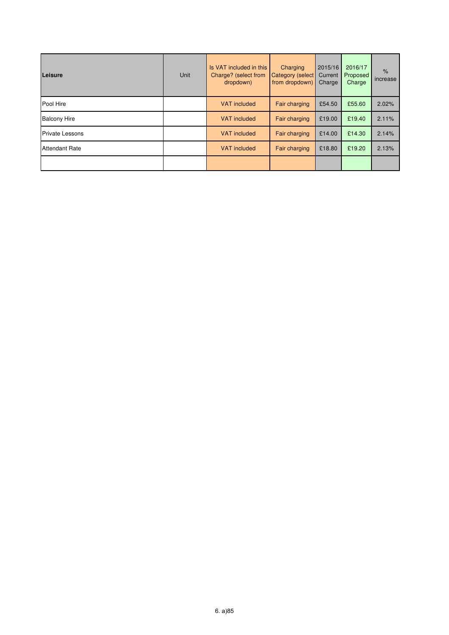| Leisure                | Unit | Is VAT included in this<br>Charge? (select from<br>dropdown) | Charging<br><b>Category (select</b><br>from dropdown) | 2015/16<br>Current<br>Charge | 2016/17<br>Proposed<br>Charge | $\frac{9}{6}$<br>increase |
|------------------------|------|--------------------------------------------------------------|-------------------------------------------------------|------------------------------|-------------------------------|---------------------------|
| Pool Hire              |      | <b>VAT</b> included                                          | Fair charging                                         | £54.50                       | £55.60                        | 2.02%                     |
| <b>Balcony Hire</b>    |      | <b>VAT</b> included                                          | Fair charging                                         | £19.00                       | £19.40                        | 2.11%                     |
| <b>Private Lessons</b> |      | <b>VAT</b> included                                          | Fair charging                                         | £14.00                       | £14.30                        | 2.14%                     |
| <b>Attendant Rate</b>  |      | <b>VAT</b> included                                          | Fair charging                                         | £18.80                       | £19.20                        | 2.13%                     |
|                        |      |                                                              |                                                       |                              |                               |                           |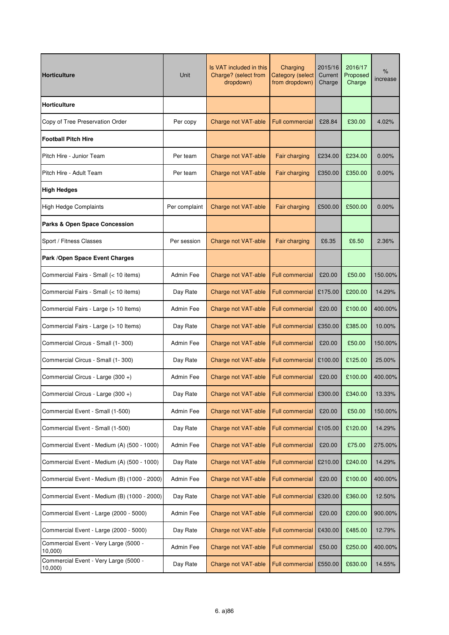| <b>Horticulture</b>                             | Unit          | Is VAT included in this<br>Charge? (select from<br>dropdown) | Charging<br><b>Category (select</b><br>from dropdown) | 2015/16<br>Current<br>Charge | 2016/17<br>Proposed<br>Charge | %<br>increase |
|-------------------------------------------------|---------------|--------------------------------------------------------------|-------------------------------------------------------|------------------------------|-------------------------------|---------------|
| Horticulture                                    |               |                                                              |                                                       |                              |                               |               |
| Copy of Tree Preservation Order                 | Per copy      | Charge not VAT-able                                          | <b>Full commercial</b>                                | £28.84                       | £30.00                        | 4.02%         |
| <b>Football Pitch Hire</b>                      |               |                                                              |                                                       |                              |                               |               |
| Pitch Hire - Junior Team                        | Per team      | Charge not VAT-able                                          | Fair charging                                         | £234.00                      | £234.00                       | $0.00\%$      |
| Pitch Hire - Adult Team                         | Per team      | Charge not VAT-able                                          | Fair charging                                         | £350.00                      | £350.00                       | 0.00%         |
| <b>High Hedges</b>                              |               |                                                              |                                                       |                              |                               |               |
| <b>High Hedge Complaints</b>                    | Per complaint | Charge not VAT-able                                          | Fair charging                                         | £500.00                      | £500.00                       | 0.00%         |
| <b>Parks &amp; Open Space Concession</b>        |               |                                                              |                                                       |                              |                               |               |
| Sport / Fitness Classes                         | Per session   | Charge not VAT-able                                          | Fair charging                                         | £6.35                        | £6.50                         | 2.36%         |
| Park / Open Space Event Charges                 |               |                                                              |                                                       |                              |                               |               |
| Commercial Fairs - Small (< 10 items)           | Admin Fee     | Charge not VAT-able                                          | <b>Full commercial</b>                                | £20.00                       | £50.00                        | 150.00%       |
| Commercial Fairs - Small (< 10 items)           | Day Rate      | Charge not VAT-able                                          | <b>Full commercial</b>                                | £175.00                      | £200.00                       | 14.29%        |
| Commercial Fairs - Large (> 10 Items)           | Admin Fee     | Charge not VAT-able                                          | <b>Full commercial</b>                                | £20.00                       | £100.00                       | 400.00%       |
| Commercial Fairs - Large (> 10 Items)           | Day Rate      | Charge not VAT-able                                          | <b>Full commercial</b>                                | £350.00                      | £385.00                       | 10.00%        |
| Commercial Circus - Small (1-300)               | Admin Fee     | Charge not VAT-able                                          | <b>Full commercial</b>                                | £20.00                       | £50.00                        | 150.00%       |
| Commercial Circus - Small (1-300)               | Day Rate      | Charge not VAT-able                                          | <b>Full commercial</b>                                | £100.00                      | £125.00                       | 25.00%        |
| Commercial Circus - Large (300 +)               | Admin Fee     | Charge not VAT-able                                          | <b>Full commercial</b>                                | £20.00                       | £100.00                       | 400.00%       |
| Commercial Circus - Large (300 +)               | Day Rate      | Charge not VAT-able                                          | <b>Full commercial</b>                                | £300.00                      | £340.00                       | 13.33%        |
| Commercial Event - Small (1-500)                | Admin Fee     | Charge not VAT-able                                          | <b>Full commercial</b>                                | £20.00                       | £50.00                        | 150.00%       |
| Commercial Event - Small (1-500)                | Day Rate      | Charge not VAT-able                                          | <b>Full commercial</b>                                | £105.00                      | £120.00                       | 14.29%        |
| Commercial Event - Medium (A) (500 - 1000)      | Admin Fee     | Charge not VAT-able                                          | <b>Full commercial</b>                                | £20.00                       | £75.00                        | 275.00%       |
| Commercial Event - Medium (A) (500 - 1000)      | Day Rate      | Charge not VAT-able                                          | <b>Full commercial</b>                                | £210.00                      | £240.00                       | 14.29%        |
| Commercial Event - Medium (B) (1000 - 2000)     | Admin Fee     | Charge not VAT-able                                          | <b>Full commercial</b>                                | £20.00                       | £100.00                       | 400.00%       |
| Commercial Event - Medium (B) (1000 - 2000)     | Day Rate      | Charge not VAT-able                                          | <b>Full commercial</b>                                | £320.00                      | £360.00                       | 12.50%        |
| Commercial Event - Large (2000 - 5000)          | Admin Fee     | Charge not VAT-able                                          | <b>Full commercial</b>                                | £20.00                       | £200.00                       | 900.00%       |
| Commercial Event - Large (2000 - 5000)          | Day Rate      | Charge not VAT-able                                          | <b>Full commercial</b>                                | £430.00                      | £485.00                       | 12.79%        |
| Commercial Event - Very Large (5000 -<br>10,000 | Admin Fee     | Charge not VAT-able                                          | <b>Full commercial</b>                                | £50.00                       | £250.00                       | 400.00%       |
| Commercial Event - Very Large (5000 -<br>10,000 | Day Rate      | Charge not VAT-able                                          | <b>Full commercial</b>                                | £550.00                      | £630.00                       | 14.55%        |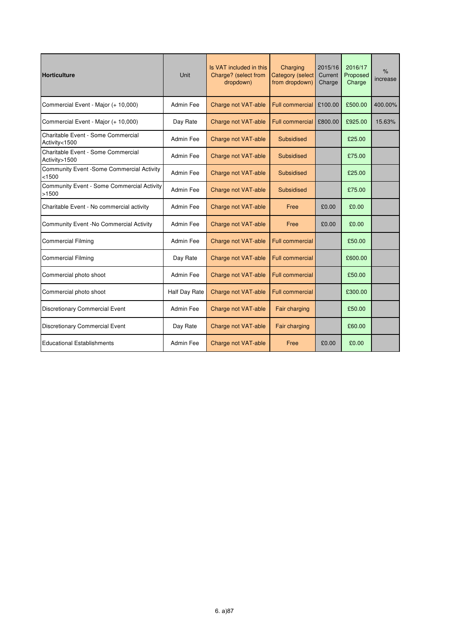| <b>Horticulture</b>                                 | Unit          | Is VAT included in this<br>Charge? (select from<br>dropdown) | Charging<br><b>Category</b> (select<br>from dropdown) | 2015/16<br>Current<br>Charge | 2016/17<br>Proposed<br>Charge | %<br>increase |
|-----------------------------------------------------|---------------|--------------------------------------------------------------|-------------------------------------------------------|------------------------------|-------------------------------|---------------|
| Commercial Event - Major (+ 10,000)                 | Admin Fee     | Charge not VAT-able                                          | Full commercial                                       | £100.00                      | £500.00                       | 400.00%       |
| Commercial Event - Major (+ 10,000)                 | Day Rate      | Charge not VAT-able                                          | <b>Full commercial</b>                                | £800.00                      | £925.00                       | 15.63%        |
| Charitable Event - Some Commercial<br>Activity<1500 | Admin Fee     | Charge not VAT-able                                          | Subsidised                                            |                              | £25.00                        |               |
| Charitable Event - Some Commercial<br>Activity>1500 | Admin Fee     | Charge not VAT-able                                          | Subsidised                                            |                              | £75.00                        |               |
| Community Event -Some Commercial Activity<br>< 1500 | Admin Fee     | Charge not VAT-able                                          | Subsidised                                            |                              | £25.00                        |               |
| Community Event - Some Commercial Activity<br>>1500 | Admin Fee     | Charge not VAT-able                                          | Subsidised                                            |                              | £75.00                        |               |
| Charitable Event - No commercial activity           | Admin Fee     | Charge not VAT-able                                          | Free                                                  | £0.00                        | £0.00                         |               |
| Community Event -No Commercial Activity             | Admin Fee     | Charge not VAT-able                                          | Free                                                  | £0.00                        | £0.00                         |               |
| <b>Commercial Filming</b>                           | Admin Fee     | Charge not VAT-able                                          | <b>Full commercial</b>                                |                              | £50.00                        |               |
| <b>Commercial Filming</b>                           | Day Rate      | Charge not VAT-able                                          | <b>Full commercial</b>                                |                              | £600.00                       |               |
| Commercial photo shoot                              | Admin Fee     | Charge not VAT-able                                          | <b>Full commercial</b>                                |                              | £50.00                        |               |
| Commercial photo shoot                              | Half Day Rate | Charge not VAT-able                                          | <b>Full commercial</b>                                |                              | £300.00                       |               |
| <b>Discretionary Commercial Event</b>               | Admin Fee     | Charge not VAT-able                                          | Fair charging                                         |                              | £50.00                        |               |
| <b>Discretionary Commercial Event</b>               | Day Rate      | Charge not VAT-able                                          | <b>Fair charging</b>                                  |                              | £60.00                        |               |
| <b>Educational Establishments</b>                   | Admin Fee     | Charge not VAT-able                                          | Free                                                  | £0.00                        | £0.00                         |               |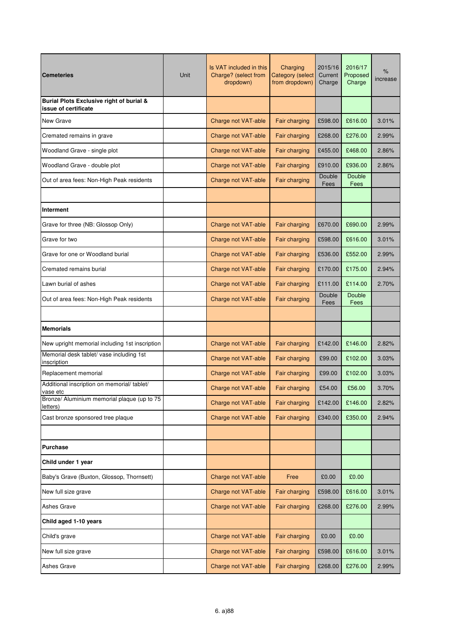| <b>Cemeteries</b>                                                | Unit | Is VAT included in this<br>Charge? (select from<br>dropdown) | Charging<br><b>Category (select</b><br>from dropdown) | 2015/16<br>Current<br>Charge | 2016/17<br>Proposed<br>Charge | $\%$<br>increase |
|------------------------------------------------------------------|------|--------------------------------------------------------------|-------------------------------------------------------|------------------------------|-------------------------------|------------------|
| Burial Plots Exclusive right of burial &<br>issue of certificate |      |                                                              |                                                       |                              |                               |                  |
| New Grave                                                        |      | Charge not VAT-able                                          | Fair charging                                         | £598.00                      | £616.00                       | 3.01%            |
| Cremated remains in grave                                        |      | Charge not VAT-able                                          | Fair charging                                         | £268.00                      | £276.00                       | 2.99%            |
| Woodland Grave - single plot                                     |      | Charge not VAT-able                                          | Fair charging                                         | £455.00                      | £468.00                       | 2.86%            |
| Woodland Grave - double plot                                     |      | Charge not VAT-able                                          | Fair charging                                         | £910.00                      | £936.00                       | 2.86%            |
| Out of area fees: Non-High Peak residents                        |      | Charge not VAT-able                                          | Fair charging                                         | Double<br>Fees               | <b>Double</b><br>Fees         |                  |
|                                                                  |      |                                                              |                                                       |                              |                               |                  |
| <b>Interment</b>                                                 |      |                                                              |                                                       |                              |                               |                  |
| Grave for three (NB: Glossop Only)                               |      | Charge not VAT-able                                          | Fair charging                                         | £670.00                      | £690.00                       | 2.99%            |
| Grave for two                                                    |      | Charge not VAT-able                                          | Fair charging                                         | £598.00                      | £616.00                       | 3.01%            |
| Grave for one or Woodland burial                                 |      | Charge not VAT-able                                          | Fair charging                                         | £536.00                      | £552.00                       | 2.99%            |
| Cremated remains burial                                          |      | Charge not VAT-able                                          | Fair charging                                         | £170.00                      | £175.00                       | 2.94%            |
| Lawn burial of ashes                                             |      | Charge not VAT-able                                          | Fair charging                                         | £111.00                      | £114.00                       | 2.70%            |
| Out of area fees: Non-High Peak residents                        |      | Charge not VAT-able                                          | Fair charging                                         | Double<br>Fees               | <b>Double</b><br>Fees         |                  |
|                                                                  |      |                                                              |                                                       |                              |                               |                  |
| <b>Memorials</b>                                                 |      |                                                              |                                                       |                              |                               |                  |
| New upright memorial including 1st inscription                   |      | Charge not VAT-able                                          | Fair charging                                         | £142.00                      | £146.00                       | 2.82%            |
| Memorial desk tablet/ vase including 1st<br>inscription          |      | Charge not VAT-able                                          | Fair charging                                         | £99.00                       | £102.00                       | 3.03%            |
| Replacement memorial                                             |      | Charge not VAT-able                                          | Fair charging                                         | £99.00                       | £102.00                       | 3.03%            |
| Additional inscription on memorial/tablet/<br>vase etc           |      | Charge not VAT-able                                          | Fair charging                                         | £54.00                       | £56.00                        | 3.70%            |
| Bronze/ Aluminium memorial plaque (up to 75<br>letters)          |      | Charge not VAT-able                                          | Fair charging                                         | £142.00                      | £146.00                       | 2.82%            |
| Cast bronze sponsored tree plaque                                |      | Charge not VAT-able                                          | Fair charging                                         | £340.00                      | £350.00                       | 2.94%            |
|                                                                  |      |                                                              |                                                       |                              |                               |                  |
| <b>Purchase</b>                                                  |      |                                                              |                                                       |                              |                               |                  |
| Child under 1 year                                               |      |                                                              |                                                       |                              |                               |                  |
| Baby's Grave (Buxton, Glossop, Thornsett)                        |      | Charge not VAT-able                                          | Free                                                  | £0.00                        | £0.00                         |                  |
| New full size grave                                              |      | Charge not VAT-able                                          | Fair charging                                         | £598.00                      | £616.00                       | 3.01%            |
| Ashes Grave                                                      |      | Charge not VAT-able                                          | Fair charging                                         | £268.00                      | £276.00                       | 2.99%            |
| Child aged 1-10 years                                            |      |                                                              |                                                       |                              |                               |                  |
| Child's grave                                                    |      | Charge not VAT-able                                          | Fair charging                                         | £0.00                        | £0.00                         |                  |
| New full size grave                                              |      | Charge not VAT-able                                          | Fair charging                                         | £598.00                      | £616.00                       | 3.01%            |
| Ashes Grave                                                      |      | Charge not VAT-able                                          | Fair charging                                         | £268.00                      | £276.00                       | 2.99%            |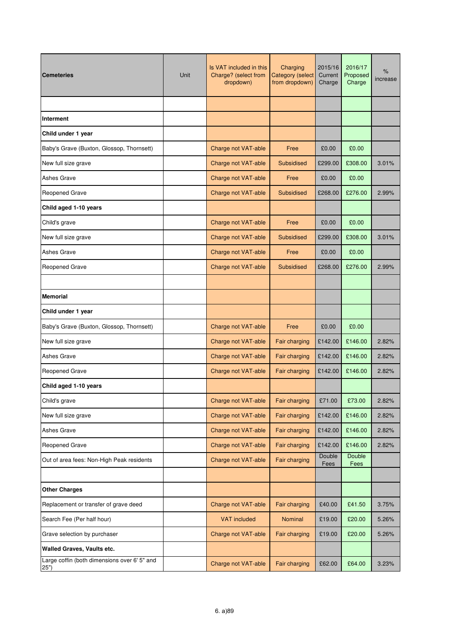| <b>Cemeteries</b>                                    | Unit | Is VAT included in this<br>Charge? (select from<br>dropdown) | Charging<br><b>Category (select</b><br>from dropdown) | 2015/16<br>Current<br>Charge | 2016/17<br>Proposed<br>Charge | $\%$<br>increase |
|------------------------------------------------------|------|--------------------------------------------------------------|-------------------------------------------------------|------------------------------|-------------------------------|------------------|
|                                                      |      |                                                              |                                                       |                              |                               |                  |
| Interment                                            |      |                                                              |                                                       |                              |                               |                  |
| Child under 1 year                                   |      |                                                              |                                                       |                              |                               |                  |
| Baby's Grave (Buxton, Glossop, Thornsett)            |      | Charge not VAT-able                                          | Free                                                  | £0.00                        | £0.00                         |                  |
| New full size grave                                  |      | Charge not VAT-able                                          | <b>Subsidised</b>                                     | £299.00                      | £308.00                       | 3.01%            |
| Ashes Grave                                          |      | Charge not VAT-able                                          | Free                                                  | £0.00                        | £0.00                         |                  |
| <b>Reopened Grave</b>                                |      | Charge not VAT-able                                          | <b>Subsidised</b>                                     | £268.00                      | £276.00                       | 2.99%            |
| Child aged 1-10 years                                |      |                                                              |                                                       |                              |                               |                  |
| Child's grave                                        |      | Charge not VAT-able                                          | Free                                                  | £0.00                        | £0.00                         |                  |
| New full size grave                                  |      | Charge not VAT-able                                          | Subsidised                                            | £299.00                      | £308.00                       | 3.01%            |
| Ashes Grave                                          |      | Charge not VAT-able                                          | Free                                                  | £0.00                        | £0.00                         |                  |
| Reopened Grave                                       |      | Charge not VAT-able                                          | <b>Subsidised</b>                                     | £268.00                      | £276.00                       | 2.99%            |
|                                                      |      |                                                              |                                                       |                              |                               |                  |
| <b>Memorial</b>                                      |      |                                                              |                                                       |                              |                               |                  |
| Child under 1 year                                   |      |                                                              |                                                       |                              |                               |                  |
| Baby's Grave (Buxton, Glossop, Thornsett)            |      | Charge not VAT-able                                          | Free                                                  | £0.00                        | £0.00                         |                  |
| New full size grave                                  |      | Charge not VAT-able                                          | Fair charging                                         | £142.00                      | £146.00                       | 2.82%            |
| Ashes Grave                                          |      | Charge not VAT-able                                          | Fair charging                                         | £142.00                      | £146.00                       | 2.82%            |
| Reopened Grave                                       |      | Charge not VAT-able                                          | Fair charging                                         | £142.00                      | £146.00                       | 2.82%            |
| Child aged 1-10 years                                |      |                                                              |                                                       |                              |                               |                  |
| Child's grave                                        |      | Charge not VAT-able                                          | Fair charging                                         | £71.00                       | £73.00                        | 2.82%            |
| New full size grave                                  |      | Charge not VAT-able                                          | Fair charging                                         | £142.00                      | £146.00                       | 2.82%            |
| Ashes Grave                                          |      | Charge not VAT-able                                          | Fair charging                                         | £142.00                      | £146.00                       | 2.82%            |
| Reopened Grave                                       |      | Charge not VAT-able                                          | Fair charging                                         | £142.00                      | £146.00                       | 2.82%            |
| Out of area fees: Non-High Peak residents            |      | Charge not VAT-able                                          | Fair charging                                         | Double<br>Fees               | Double<br>Fees                |                  |
|                                                      |      |                                                              |                                                       |                              |                               |                  |
| <b>Other Charges</b>                                 |      |                                                              |                                                       |                              |                               |                  |
| Replacement or transfer of grave deed                |      | Charge not VAT-able                                          | Fair charging                                         | £40.00                       | £41.50                        | 3.75%            |
| Search Fee (Per half hour)                           |      | <b>VAT included</b>                                          | Nominal                                               | £19.00                       | £20.00                        | 5.26%            |
| Grave selection by purchaser                         |      | Charge not VAT-able                                          | <b>Fair charging</b>                                  | £19.00                       | £20.00                        | 5.26%            |
| Walled Graves, Vaults etc.                           |      |                                                              |                                                       |                              |                               |                  |
| Large coffin (both dimensions over 6' 5" and<br>25") |      | Charge not VAT-able                                          | Fair charging                                         | £62.00                       | £64.00                        | 3.23%            |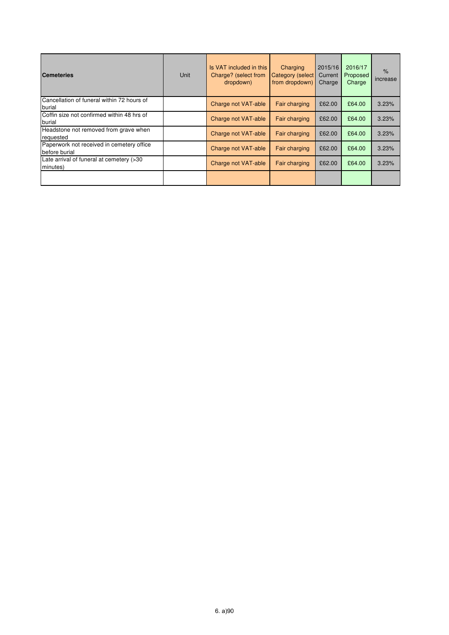| <b>Cemeteries</b>                                          | Unit | Is VAT included in this<br>Charge? (select from<br>dropdown) | Charging<br>Category (select<br>from dropdown) | 2015/16<br>Current<br>Charge | 2016/17<br>Proposed<br>Charge | $\%$<br>increase |
|------------------------------------------------------------|------|--------------------------------------------------------------|------------------------------------------------|------------------------------|-------------------------------|------------------|
| Cancellation of funeral within 72 hours of<br>burial       |      | Charge not VAT-able                                          | Fair charging                                  | £62.00                       | £64.00                        | 3.23%            |
| Coffin size not confirmed within 48 hrs of<br>burial       |      | Charge not VAT-able                                          | Fair charging                                  | £62.00                       | £64.00                        | 3.23%            |
| Headstone not removed from grave when<br>requested         |      | Charge not VAT-able                                          | Fair charging                                  | £62.00                       | £64.00                        | 3.23%            |
| Paperwork not received in cemetery office<br>before burial |      | Charge not VAT-able                                          | Fair charging                                  | £62.00                       | £64.00                        | 3.23%            |
| Late arrival of funeral at cemetery (>30<br>minutes)       |      | Charge not VAT-able                                          | Fair charging                                  | £62.00                       | £64.00                        | 3.23%            |
|                                                            |      |                                                              |                                                |                              |                               |                  |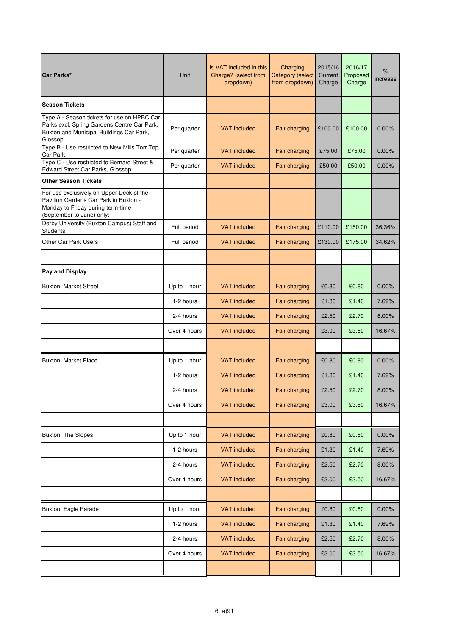| Car Parks*                                                                                                                                          | Unit         | Is VAT included in this<br>Charge? (select from<br>dropdown) | Charging<br><b>Category</b> (select<br>from dropdown) | 2015/16<br>Current<br>Charge | 2016/17<br>Proposed<br>Charge | $\%$<br>increase |
|-----------------------------------------------------------------------------------------------------------------------------------------------------|--------------|--------------------------------------------------------------|-------------------------------------------------------|------------------------------|-------------------------------|------------------|
| <b>Season Tickets</b>                                                                                                                               |              |                                                              |                                                       |                              |                               |                  |
| Type A - Season tickets for use on HPBC Car<br>Parks excl. Spring Gardens Centre Car Park,<br>Buxton and Municipal Buildings Car Park,<br>Glossop   | Per quarter  | <b>VAT</b> included                                          | Fair charging                                         | £100.00                      | £100.00                       | 0.00%            |
| Type B - Use restricted to New Mills Torr Top<br><b>Car Park</b>                                                                                    | Per quarter  | <b>VAT</b> included                                          | Fair charging                                         | £75.00                       | £75.00                        | 0.00%            |
| Type C - Use restricted to Bernard Street &<br>Edward Street Car Parks, Glossop                                                                     | Per quarter  | <b>VAT</b> included                                          | Fair charging                                         | £50.00                       | £50.00                        | 0.00%            |
| <b>Other Season Tickets</b>                                                                                                                         |              |                                                              |                                                       |                              |                               |                  |
| For use exclusively on Upper Deck of the<br>Pavilion Gardens Car Park in Buxton -<br>Monday to Friday during term-time<br>(September to June) only: |              |                                                              |                                                       |                              |                               |                  |
| Derby University (Buxton Campus) Staff and<br><b>Students</b>                                                                                       | Full period  | <b>VAT</b> included                                          | Fair charging                                         | £110.00                      | £150.00                       | 36.36%           |
| <b>Other Car Park Users</b>                                                                                                                         | Full period  | <b>VAT</b> included                                          | Fair charging                                         | £130.00                      | £175.00                       | 34.62%           |
|                                                                                                                                                     |              |                                                              |                                                       |                              |                               |                  |
| Pay and Display                                                                                                                                     |              |                                                              |                                                       |                              |                               |                  |
| <b>Buxton: Market Street</b>                                                                                                                        | Up to 1 hour | <b>VAT included</b>                                          | Fair charging                                         | £0.80                        | £0.80                         | 0.00%            |
|                                                                                                                                                     | 1-2 hours    | <b>VAT included</b>                                          | Fair charging                                         | £1.30                        | £1.40                         | 7.69%            |
|                                                                                                                                                     | 2-4 hours    | <b>VAT included</b>                                          | Fair charging                                         | £2.50                        | £2.70                         | 8.00%            |
|                                                                                                                                                     | Over 4 hours | <b>VAT included</b>                                          | <b>Fair charging</b>                                  | £3.00                        | £3.50                         | 16.67%           |
|                                                                                                                                                     |              |                                                              |                                                       |                              |                               |                  |
| <b>Buxton: Market Place</b>                                                                                                                         | Up to 1 hour | <b>VAT</b> included                                          | Fair charging                                         | £0.80                        | £0.80                         | 0.00%            |
|                                                                                                                                                     | 1-2 hours    | <b>VAT</b> included                                          | Fair charging                                         | £1.30                        | £1.40                         | 7.69%            |
|                                                                                                                                                     | 2-4 hours    | VAT included                                                 | Fair charging                                         | £2.50                        | £2.70                         | 8.00%            |
|                                                                                                                                                     | Over 4 hours | <b>VAT included</b>                                          | Fair charging                                         | £3.00                        | £3.50                         | 16.67%           |
|                                                                                                                                                     |              |                                                              |                                                       |                              |                               |                  |
| <b>Buxton: The Slopes</b>                                                                                                                           | Up to 1 hour | <b>VAT included</b>                                          | Fair charging                                         | £0.80                        | £0.80                         | 0.00%            |
|                                                                                                                                                     | 1-2 hours    | <b>VAT</b> included                                          | Fair charging                                         | £1.30                        | £1.40                         | 7.69%            |
|                                                                                                                                                     | 2-4 hours    | <b>VAT included</b>                                          | Fair charging                                         | £2.50                        | £2.70                         | 8.00%            |
|                                                                                                                                                     | Over 4 hours | <b>VAT included</b>                                          | Fair charging                                         | £3.00                        | £3.50                         | 16.67%           |
|                                                                                                                                                     |              |                                                              |                                                       |                              |                               |                  |
| Buxton: Eagle Parade                                                                                                                                | Up to 1 hour | <b>VAT included</b>                                          | Fair charging                                         | £0.80                        | £0.80                         | 0.00%            |
|                                                                                                                                                     | 1-2 hours    | <b>VAT included</b>                                          | Fair charging                                         | £1.30                        | £1.40                         | 7.69%            |
|                                                                                                                                                     | 2-4 hours    | <b>VAT included</b>                                          | Fair charging                                         | £2.50                        | £2.70                         | 8.00%            |
|                                                                                                                                                     | Over 4 hours | <b>VAT included</b>                                          | Fair charging                                         | £3.00                        | £3.50                         | 16.67%           |
|                                                                                                                                                     |              |                                                              |                                                       |                              |                               |                  |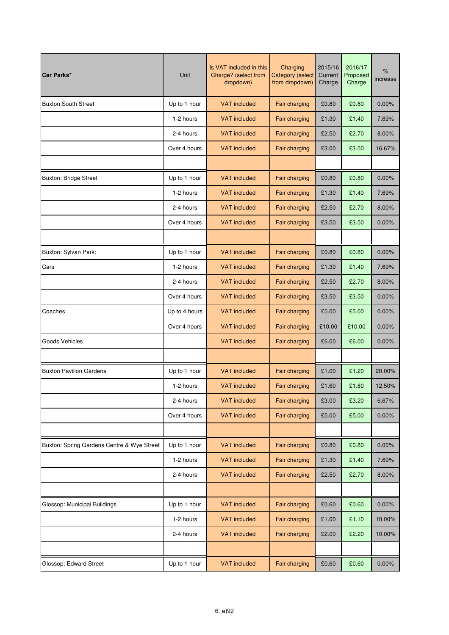| Car Parks*                                 | Unit          | Is VAT included in this<br>Charge? (select from<br>dropdown) | Charging<br><b>Category (select</b><br>from dropdown) | 2015/16<br>Current<br>Charge | 2016/17<br>Proposed<br>Charge | $\%$<br>increase |
|--------------------------------------------|---------------|--------------------------------------------------------------|-------------------------------------------------------|------------------------------|-------------------------------|------------------|
| <b>Buxton:South Street</b>                 | Up to 1 hour  | <b>VAT included</b>                                          | Fair charging                                         | £0.80                        | £0.80                         | 0.00%            |
|                                            | 1-2 hours     | <b>VAT included</b>                                          | Fair charging                                         | £1.30                        | £1.40                         | 7.69%            |
|                                            | 2-4 hours     | <b>VAT included</b>                                          | Fair charging                                         | £2.50                        | £2.70                         | 8.00%            |
|                                            | Over 4 hours  | <b>VAT included</b>                                          | Fair charging                                         | £3.00                        | £3.50                         | 16.67%           |
|                                            |               |                                                              |                                                       |                              |                               |                  |
| <b>Buxton: Bridge Street</b>               | Up to 1 hour  | <b>VAT</b> included                                          | Fair charging                                         | £0.80                        | £0.80                         | 0.00%            |
|                                            | 1-2 hours     | <b>VAT</b> included                                          | Fair charging                                         | £1.30                        | £1.40                         | 7.69%            |
|                                            | 2-4 hours     | <b>VAT included</b>                                          | Fair charging                                         | £2.50                        | £2.70                         | 8.00%            |
|                                            | Over 4 hours  | <b>VAT included</b>                                          | Fair charging                                         | £3.50                        | £3.50                         | 0.00%            |
|                                            |               |                                                              |                                                       |                              |                               |                  |
| Buxton: Sylvan Park:                       | Up to 1 hour  | <b>VAT</b> included                                          | Fair charging                                         | £0.80                        | £0.80                         | 0.00%            |
| Cars                                       | 1-2 hours     | <b>VAT included</b>                                          | Fair charging                                         | £1.30                        | £1.40                         | 7.69%            |
|                                            | 2-4 hours     | <b>VAT included</b>                                          | Fair charging                                         | £2.50                        | £2.70                         | 8.00%            |
|                                            | Over 4 hours  | <b>VAT</b> included                                          | Fair charging                                         | £3.50                        | £3.50                         | 0.00%            |
| Coaches                                    | Up to 4 hours | <b>VAT included</b>                                          | Fair charging                                         | £5.00                        | £5.00                         | 0.00%            |
|                                            | Over 4 hours  | <b>VAT included</b>                                          | Fair charging                                         | £10.00                       | £10.00                        | 0.00%            |
| Goods Vehicles                             |               | <b>VAT</b> included                                          | Fair charging                                         | £6.00                        | £6.00                         | 0.00%            |
|                                            |               |                                                              |                                                       |                              |                               |                  |
| <b>Buxton Pavilion Gardens</b>             | Up to 1 hour  | <b>VAT included</b>                                          | Fair charging                                         | £1.00                        | £1.20                         | 20.00%           |
|                                            | 1-2 hours     | <b>VAT included</b>                                          | Fair charging                                         | £1.60                        | £1.80                         | 12.50%           |
|                                            | 2-4 hours     | <b>VAT included</b>                                          | Fair charging                                         | £3.00                        | £3.20                         | 6.67%            |
|                                            | Over 4 hours  | <b>VAT included</b>                                          | Fair charging                                         | £5.00                        | £5.00                         | 0.00%            |
|                                            |               |                                                              |                                                       |                              |                               |                  |
| Buxton: Spring Gardens Centre & Wye Street | Up to 1 hour  | <b>VAT</b> included                                          | Fair charging                                         | £0.80                        | £0.80                         | 0.00%            |
|                                            | 1-2 hours     | <b>VAT included</b>                                          | Fair charging                                         | £1.30                        | £1.40                         | 7.69%            |
|                                            | 2-4 hours     | <b>VAT included</b>                                          | Fair charging                                         | £2.50                        | £2.70                         | 8.00%            |
|                                            |               |                                                              |                                                       |                              |                               |                  |
| Glossop: Municipal Buildings               | Up to 1 hour  | <b>VAT included</b>                                          | Fair charging                                         | £0.60                        | £0.60                         | 0.00%            |
|                                            | 1-2 hours     | <b>VAT included</b>                                          | Fair charging                                         | £1.00                        | £1.10                         | 10.00%           |
|                                            | 2-4 hours     | <b>VAT included</b>                                          | Fair charging                                         | £2.00                        | £2.20                         | 10.00%           |
|                                            |               |                                                              |                                                       |                              |                               |                  |
| Glossop: Edward Street                     | Up to 1 hour  | <b>VAT included</b>                                          | Fair charging                                         | £0.60                        | £0.60                         | 0.00%            |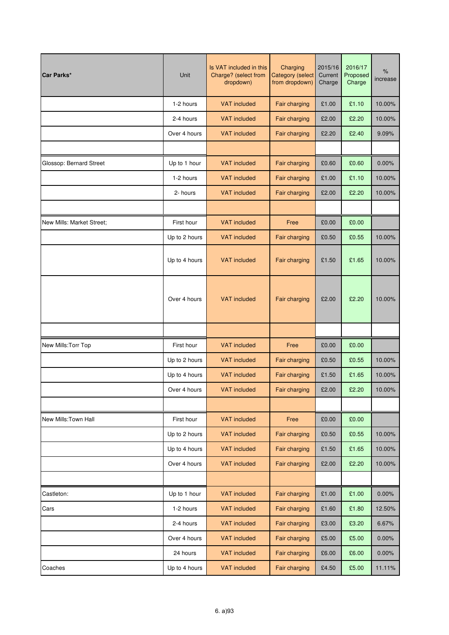| Car Parks*                | Unit          | Is VAT included in this<br>Charge? (select from<br>dropdown) | Charging<br><b>Category (select</b><br>from dropdown) | 2015/16<br>Current<br>Charge | 2016/17<br>Proposed<br>Charge | $\%$<br>increase |
|---------------------------|---------------|--------------------------------------------------------------|-------------------------------------------------------|------------------------------|-------------------------------|------------------|
|                           | 1-2 hours     | <b>VAT included</b>                                          | Fair charging                                         | £1.00                        | £1.10                         | 10.00%           |
|                           | 2-4 hours     | <b>VAT included</b>                                          | Fair charging                                         | £2.00                        | £2.20                         | 10.00%           |
|                           | Over 4 hours  | <b>VAT</b> included                                          | Fair charging                                         | £2.20                        | £2.40                         | 9.09%            |
|                           |               |                                                              |                                                       |                              |                               |                  |
| Glossop: Bernard Street   | Up to 1 hour  | <b>VAT included</b>                                          | Fair charging                                         | £0.60                        | £0.60                         | 0.00%            |
|                           | 1-2 hours     | <b>VAT included</b>                                          | Fair charging                                         | £1.00                        | £1.10                         | 10.00%           |
|                           | 2- hours      | <b>VAT included</b>                                          | Fair charging                                         | £2.00                        | £2.20                         | 10.00%           |
|                           |               |                                                              |                                                       |                              |                               |                  |
| New Mills: Market Street: | First hour    | <b>VAT</b> included                                          | Free                                                  | £0.00                        | £0.00                         |                  |
|                           | Up to 2 hours | <b>VAT</b> included                                          | Fair charging                                         | £0.50                        | £0.55                         | 10.00%           |
|                           | Up to 4 hours | <b>VAT included</b>                                          | Fair charging                                         | £1.50                        | £1.65                         | 10.00%           |
|                           | Over 4 hours  | <b>VAT included</b>                                          | Fair charging                                         | £2.00                        | £2.20                         | 10.00%           |
|                           |               |                                                              |                                                       |                              |                               |                  |
| New Mills: Torr Top       | First hour    | <b>VAT included</b>                                          | Free                                                  | £0.00                        | £0.00                         |                  |
|                           | Up to 2 hours | <b>VAT</b> included                                          | Fair charging                                         | £0.50                        | £0.55                         | 10.00%           |
|                           | Up to 4 hours | <b>VAT</b> included                                          | Fair charging                                         | £1.50                        | £1.65                         | 10.00%           |
|                           | Over 4 hours  | <b>VAT</b> included                                          | Fair charging                                         | £2.00                        | £2.20                         | 10.00%           |
|                           |               |                                                              |                                                       |                              |                               |                  |
| New Mills: Town Hall      | First hour    | <b>VAT included</b>                                          | Free                                                  | £0.00                        | £0.00                         |                  |
|                           | Up to 2 hours | <b>VAT included</b>                                          | Fair charging                                         | £0.50                        | £0.55                         | 10.00%           |
|                           | Up to 4 hours | <b>VAT included</b>                                          | Fair charging                                         | £1.50                        | £1.65                         | 10.00%           |
|                           | Over 4 hours  | <b>VAT included</b>                                          | Fair charging                                         | £2.00                        | £2.20                         | 10.00%           |
|                           |               |                                                              |                                                       |                              |                               |                  |
| Castleton:                | Up to 1 hour  | <b>VAT included</b>                                          | Fair charging                                         | £1.00                        | £1.00                         | 0.00%            |
| Cars                      | 1-2 hours     | <b>VAT included</b>                                          | Fair charging                                         | £1.60                        | £1.80                         | 12.50%           |
|                           | 2-4 hours     | <b>VAT included</b>                                          | Fair charging                                         | £3.00                        | £3.20                         | 6.67%            |
|                           | Over 4 hours  | <b>VAT included</b>                                          | Fair charging                                         | £5.00                        | £5.00                         | 0.00%            |
|                           | 24 hours      | <b>VAT included</b>                                          | Fair charging                                         | £6.00                        | £6.00                         | 0.00%            |
| Coaches                   | Up to 4 hours | <b>VAT included</b>                                          | Fair charging                                         | £4.50                        | £5.00                         | 11.11%           |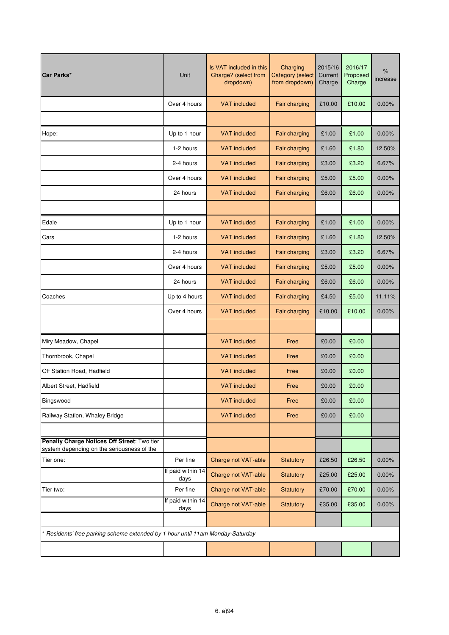| Car Parks*                                                                                | Unit                      | Is VAT included in this<br>Charge? (select from<br>dropdown) | Charging<br><b>Category</b> (select<br>from dropdown) | 2015/16<br>Current<br>Charge | 2016/17<br>Proposed<br>Charge | $\%$<br>increase |
|-------------------------------------------------------------------------------------------|---------------------------|--------------------------------------------------------------|-------------------------------------------------------|------------------------------|-------------------------------|------------------|
|                                                                                           | Over 4 hours              | <b>VAT included</b>                                          | Fair charging                                         | £10.00                       | £10.00                        | $0.00\%$         |
|                                                                                           |                           |                                                              |                                                       |                              |                               |                  |
| Hope:                                                                                     | Up to 1 hour              | <b>VAT included</b>                                          | Fair charging                                         | £1.00                        | £1.00                         | 0.00%            |
|                                                                                           | 1-2 hours                 | <b>VAT included</b>                                          | Fair charging                                         | £1.60                        | £1.80                         | 12.50%           |
|                                                                                           | 2-4 hours                 | <b>VAT included</b>                                          | Fair charging                                         | £3.00                        | £3.20                         | 6.67%            |
|                                                                                           | Over 4 hours              | <b>VAT included</b>                                          | Fair charging                                         | £5.00                        | £5.00                         | 0.00%            |
|                                                                                           | 24 hours                  | <b>VAT included</b>                                          | Fair charging                                         | £6.00                        | £6.00                         | 0.00%            |
|                                                                                           |                           |                                                              |                                                       |                              |                               |                  |
| Edale                                                                                     | Up to 1 hour              | <b>VAT</b> included                                          | Fair charging                                         | £1.00                        | £1.00                         | 0.00%            |
| Cars                                                                                      | 1-2 hours                 | <b>VAT</b> included                                          | Fair charging                                         | £1.60                        | £1.80                         | 12.50%           |
|                                                                                           | 2-4 hours                 | <b>VAT</b> included                                          | Fair charging                                         | £3.00                        | £3.20                         | 6.67%            |
|                                                                                           | Over 4 hours              | <b>VAT</b> included                                          | Fair charging                                         | £5.00                        | £5.00                         | $0.00\%$         |
|                                                                                           | 24 hours                  | <b>VAT</b> included                                          | Fair charging                                         | £6.00                        | £6.00                         | 0.00%            |
| Coaches                                                                                   | Up to 4 hours             | <b>VAT</b> included                                          | Fair charging                                         | £4.50                        | £5.00                         | 11.11%           |
|                                                                                           | Over 4 hours              | <b>VAT</b> included                                          | Fair charging                                         | £10.00                       | £10.00                        | 0.00%            |
|                                                                                           |                           |                                                              |                                                       |                              |                               |                  |
| Miry Meadow, Chapel                                                                       |                           | <b>VAT</b> included                                          | Free                                                  | £0.00                        | £0.00                         |                  |
| Thornbrook, Chapel                                                                        |                           | <b>VAT</b> included                                          | Free                                                  | £0.00                        | £0.00                         |                  |
| Off Station Road, Hadfield                                                                |                           | <b>VAT</b> included                                          | Free                                                  | £0.00                        | £0.00                         |                  |
| Albert Street, Hadfield                                                                   |                           | <b>VAT</b> included                                          | Free                                                  | £0.00                        | £0.00                         |                  |
| Bingswood                                                                                 |                           | <b>VAT included</b>                                          | Free                                                  | £0.00                        | £0.00                         |                  |
| Railway Station, Whaley Bridge                                                            |                           | <b>VAT included</b>                                          | Free                                                  | £0.00                        | £0.00                         |                  |
|                                                                                           |                           |                                                              |                                                       |                              |                               |                  |
| Penalty Charge Notices Off Street: Two tier<br>system depending on the seriousness of the |                           |                                                              |                                                       |                              |                               |                  |
| Tier one:                                                                                 | Per fine                  | Charge not VAT-able                                          | <b>Statutory</b>                                      | £26.50                       | £26.50                        | 0.00%            |
|                                                                                           | If paid within 14<br>days | Charge not VAT-able                                          | Statutory                                             | £25.00                       | £25.00                        | 0.00%            |
| Tier two:                                                                                 | Per fine                  | Charge not VAT-able                                          | Statutory                                             | £70.00                       | £70.00                        | 0.00%            |
|                                                                                           | If paid within 14<br>days | Charge not VAT-able                                          | Statutory                                             | £35.00                       | £35.00                        | 0.00%            |
|                                                                                           |                           |                                                              |                                                       |                              |                               |                  |
| Residents' free parking scheme extended by 1 hour until 11am Monday-Saturday              |                           |                                                              |                                                       |                              |                               |                  |
|                                                                                           |                           |                                                              |                                                       |                              |                               |                  |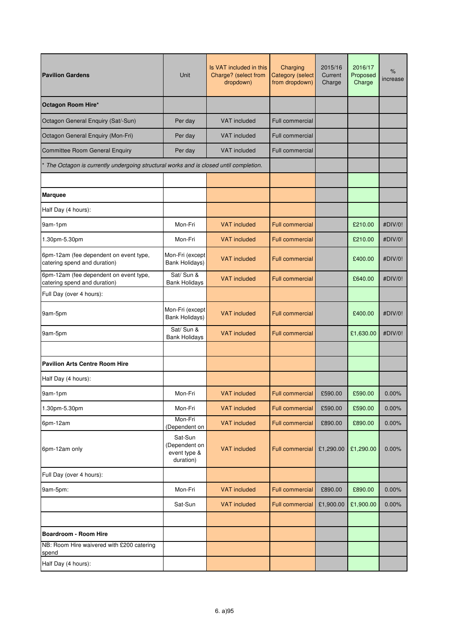| <b>Pavilion Gardens</b>                                                              | Unit                                                  | Is VAT included in this<br>Charge? (select from<br>dropdown) | Charging<br><b>Category</b> (select<br>from dropdown) | 2015/16<br>Current<br>Charge | 2016/17<br>Proposed<br>Charge | $\%$<br>increase |
|--------------------------------------------------------------------------------------|-------------------------------------------------------|--------------------------------------------------------------|-------------------------------------------------------|------------------------------|-------------------------------|------------------|
| Octagon Room Hire*                                                                   |                                                       |                                                              |                                                       |                              |                               |                  |
| Octagon General Enquiry (Sat/-Sun)                                                   | Per day                                               | <b>VAT</b> included                                          | <b>Full commercial</b>                                |                              |                               |                  |
| Octagon General Enquiry (Mon-Fri)                                                    | Per day                                               | <b>VAT</b> included                                          | <b>Full commercial</b>                                |                              |                               |                  |
| <b>Committee Room General Enquiry</b>                                                | Per day                                               | <b>VAT</b> included                                          | Full commercial                                       |                              |                               |                  |
| The Octagon is currently undergoing structural works and is closed until completion. |                                                       |                                                              |                                                       |                              |                               |                  |
|                                                                                      |                                                       |                                                              |                                                       |                              |                               |                  |
| <b>Marquee</b>                                                                       |                                                       |                                                              |                                                       |                              |                               |                  |
| Half Day (4 hours):                                                                  |                                                       |                                                              |                                                       |                              |                               |                  |
| 9am-1pm                                                                              | Mon-Fri                                               | <b>VAT included</b>                                          | <b>Full commercial</b>                                |                              | £210.00                       | #DIV/0!          |
| 1.30pm-5.30pm                                                                        | Mon-Fri                                               | <b>VAT included</b>                                          | <b>Full commercial</b>                                |                              | £210.00                       | #DIV/0!          |
| 6pm-12am (fee dependent on event type,<br>catering spend and duration)               | Mon-Fri (except<br>Bank Holidays)                     | <b>VAT</b> included                                          | <b>Full commercial</b>                                |                              | £400.00                       | #DIV/0!          |
| 6pm-12am (fee dependent on event type,<br>catering spend and duration)               | Sat/ Sun &<br><b>Bank Holidays</b>                    | <b>VAT included</b>                                          | <b>Full commercial</b>                                |                              | £640.00                       | #DIV/0!          |
| Full Day (over 4 hours):                                                             |                                                       |                                                              |                                                       |                              |                               |                  |
| 9am-5pm                                                                              | Mon-Fri (except<br>Bank Holidays)                     | <b>VAT</b> included                                          | <b>Full commercial</b>                                |                              | £400.00                       | #DIV/0!          |
| 9am-5pm                                                                              | Sat/ Sun &<br><b>Bank Holidays</b>                    | <b>VAT included</b>                                          | <b>Full commercial</b>                                |                              | £1,630.00                     | #DIV/0!          |
|                                                                                      |                                                       |                                                              |                                                       |                              |                               |                  |
| <b>Pavilion Arts Centre Room Hire</b>                                                |                                                       |                                                              |                                                       |                              |                               |                  |
| Half Day (4 hours):                                                                  |                                                       |                                                              |                                                       |                              |                               |                  |
| 9am-1pm                                                                              | Mon-Fri                                               | VAT included                                                 | <b>Full commercial</b>                                | £590.00                      | £590.00                       | $0.00\%$         |
| 1.30pm-5.30pm                                                                        | Mon-Fri                                               | <b>VAT included</b>                                          | <b>Full commercial</b>                                | £590.00                      | £590.00                       | 0.00%            |
| 6pm-12am                                                                             | Mon-Fri<br>(Dependent on                              | <b>VAT included</b>                                          | <b>Full commercial</b>                                | £890.00                      | £890.00                       | 0.00%            |
| 6pm-12am only                                                                        | Sat-Sun<br>(Dependent on<br>event type &<br>duration) | <b>VAT</b> included                                          | <b>Full commercial</b>                                | £1,290.00                    | £1,290.00                     | 0.00%            |
| Full Day (over 4 hours):                                                             |                                                       |                                                              |                                                       |                              |                               |                  |
| 9am-5pm:                                                                             | Mon-Fri                                               | <b>VAT included</b>                                          | <b>Full commercial</b>                                | £890.00                      | £890.00                       | 0.00%            |
|                                                                                      | Sat-Sun                                               | <b>VAT included</b>                                          | <b>Full commercial</b>                                | £1,900.00                    | £1,900.00                     | 0.00%            |
|                                                                                      |                                                       |                                                              |                                                       |                              |                               |                  |
| Boardroom - Room Hire                                                                |                                                       |                                                              |                                                       |                              |                               |                  |
| NB: Room Hire waivered with £200 catering<br>spend                                   |                                                       |                                                              |                                                       |                              |                               |                  |
| Half Day (4 hours):                                                                  |                                                       |                                                              |                                                       |                              |                               |                  |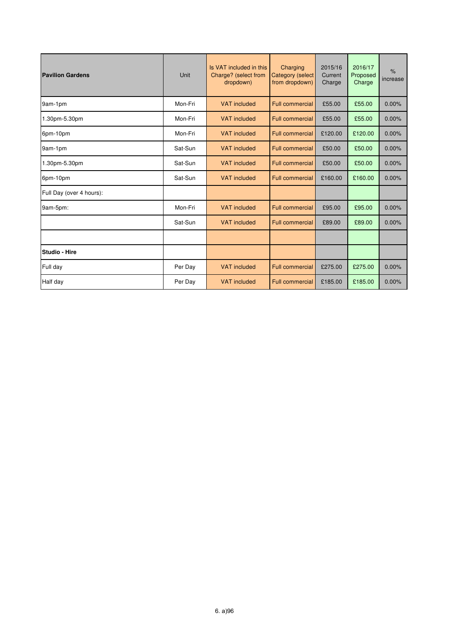| <b>Pavilion Gardens</b>  | Unit    | Is VAT included in this<br>Charge? (select from<br>dropdown) | Charging<br><b>Category (select</b><br>from dropdown) | 2015/16<br>Current<br>Charge | 2016/17<br>Proposed<br>Charge | $\frac{9}{6}$<br>increase |
|--------------------------|---------|--------------------------------------------------------------|-------------------------------------------------------|------------------------------|-------------------------------|---------------------------|
| 9am-1pm                  | Mon-Fri | <b>VAT</b> included                                          | <b>Full commercial</b>                                | £55.00                       | £55.00                        | 0.00%                     |
| 1.30pm-5.30pm            | Mon-Fri | <b>VAT</b> included                                          | <b>Full commercial</b>                                | £55.00                       | £55.00                        | 0.00%                     |
| 6pm-10pm                 | Mon-Fri | <b>VAT</b> included                                          | <b>Full commercial</b>                                | £120.00                      | £120.00                       | 0.00%                     |
| 9am-1pm                  | Sat-Sun | <b>VAT</b> included                                          | <b>Full commercial</b>                                | £50.00                       | £50.00                        | 0.00%                     |
| 1.30pm-5.30pm            | Sat-Sun | <b>VAT</b> included                                          | <b>Full commercial</b>                                | £50.00                       | £50.00                        | 0.00%                     |
| 6pm-10pm                 | Sat-Sun | <b>VAT</b> included                                          | <b>Full commercial</b>                                | £160.00                      | £160.00                       | 0.00%                     |
| Full Day (over 4 hours): |         |                                                              |                                                       |                              |                               |                           |
| 9am-5pm:                 | Mon-Fri | <b>VAT</b> included                                          | <b>Full commercial</b>                                | £95.00                       | £95.00                        | 0.00%                     |
|                          | Sat-Sun | <b>VAT</b> included                                          | <b>Full commercial</b>                                | £89.00                       | £89.00                        | 0.00%                     |
|                          |         |                                                              |                                                       |                              |                               |                           |
| Studio - Hire            |         |                                                              |                                                       |                              |                               |                           |
| Full day                 | Per Day | <b>VAT</b> included                                          | <b>Full commercial</b>                                | £275.00                      | £275.00                       | 0.00%                     |
| Half day                 | Per Day | <b>VAT</b> included                                          | <b>Full commercial</b>                                | £185.00                      | £185.00                       | 0.00%                     |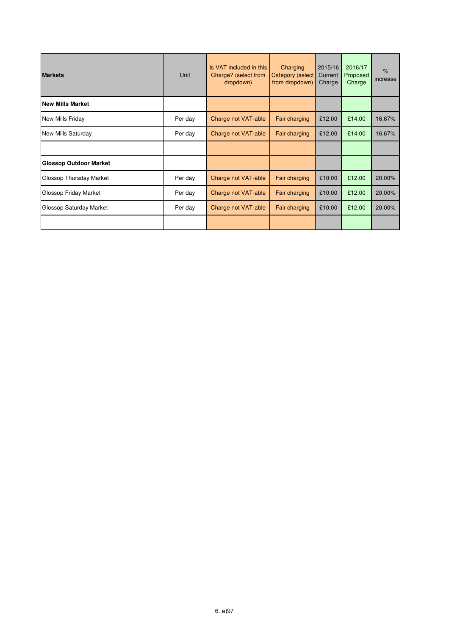| <b>Markets</b>                | Unit    | Is VAT included in this<br>Charge? (select from<br>dropdown) | Charging<br><b>Category (select</b><br>from dropdown) | 2015/16<br>Current<br>Charge | 2016/17<br>Proposed<br>Charge | $\frac{9}{6}$<br>increase |
|-------------------------------|---------|--------------------------------------------------------------|-------------------------------------------------------|------------------------------|-------------------------------|---------------------------|
| <b>New Mills Market</b>       |         |                                                              |                                                       |                              |                               |                           |
| New Mills Friday              | Per day | Charge not VAT-able                                          | Fair charging                                         | £12.00                       | £14.00                        | 16.67%                    |
| New Mills Saturday            | Per day | Charge not VAT-able                                          | Fair charging                                         | £12.00                       | £14.00                        | 16.67%                    |
|                               |         |                                                              |                                                       |                              |                               |                           |
| <b>Glossop Outdoor Market</b> |         |                                                              |                                                       |                              |                               |                           |
| Glossop Thursday Market       | Per day | Charge not VAT-able                                          | Fair charging                                         | £10.00                       | £12.00                        | 20.00%                    |
| Glossop Friday Market         | Per day | Charge not VAT-able                                          | Fair charging                                         | £10.00                       | £12.00                        | 20.00%                    |
| Glossop Saturday Market       | Per day | Charge not VAT-able                                          | Fair charging                                         | £10.00                       | £12.00                        | 20.00%                    |
|                               |         |                                                              |                                                       |                              |                               |                           |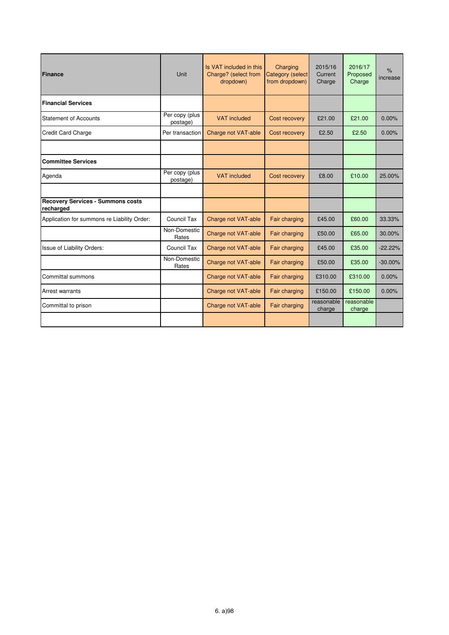| Finance                                               | Unit                       | Is VAT included in this<br>Charge? (select from<br>dropdown) | Charging<br>Category (select<br>from dropdown) | 2015/16<br>Current<br>Charge | 2016/17<br>Proposed<br>Charge | $\frac{9}{6}$<br>increase |
|-------------------------------------------------------|----------------------------|--------------------------------------------------------------|------------------------------------------------|------------------------------|-------------------------------|---------------------------|
| <b>Financial Services</b>                             |                            |                                                              |                                                |                              |                               |                           |
| <b>Statement of Accounts</b>                          | Per copy (plus<br>postage) | <b>VAT</b> included                                          | Cost recovery                                  | £21.00                       | £21.00                        | 0.00%                     |
| <b>Credit Card Charge</b>                             | Per transaction            | Charge not VAT-able                                          | Cost recovery                                  | £2.50                        | £2.50                         | 0.00%                     |
|                                                       |                            |                                                              |                                                |                              |                               |                           |
| <b>Committee Services</b>                             |                            |                                                              |                                                |                              |                               |                           |
| Agenda                                                | Per copy (plus<br>postage) | <b>VAT</b> included                                          | Cost recovery                                  | £8.00                        | £10.00                        | 25.00%                    |
|                                                       |                            |                                                              |                                                |                              |                               |                           |
| <b>Recovery Services - Summons costs</b><br>recharged |                            |                                                              |                                                |                              |                               |                           |
| Application for summons re Liability Order:           | Council Tax                | Charge not VAT-able                                          | Fair charging                                  | £45.00                       | £60.00                        | 33.33%                    |
|                                                       | Non-Domestic<br>Rates      | Charge not VAT-able                                          | Fair charging                                  | £50.00                       | £65.00                        | 30.00%                    |
| Issue of Liability Orders:                            | Council Tax                | Charge not VAT-able                                          | Fair charging                                  | £45.00                       | £35.00                        | $-22.22%$                 |
|                                                       | Non-Domestic<br>Rates      | Charge not VAT-able                                          | Fair charging                                  | £50.00                       | £35.00                        | $-30.00\%$                |
| Committal summons                                     |                            | Charge not VAT-able                                          | Fair charging                                  | £310.00                      | £310.00                       | 0.00%                     |
| Arrest warrants                                       |                            | Charge not VAT-able                                          | Fair charging                                  | £150.00                      | £150.00                       | 0.00%                     |
| Committal to prison                                   |                            | Charge not VAT-able                                          | Fair charging                                  | reasonable<br>charge         | reasonable<br>charge          |                           |
|                                                       |                            |                                                              |                                                |                              |                               |                           |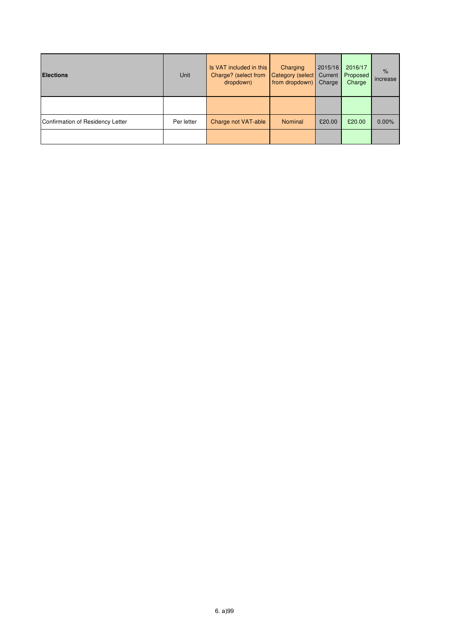| <b>Elections</b>                 | Unit       | Is VAT included in this<br>Charge? (select from<br>dropdown) | Charging<br>Category (select<br>from dropdown) | 2015/16<br>Current<br>Charge | 2016/17<br>Proposed<br>Charge | $\frac{9}{6}$<br>increase |
|----------------------------------|------------|--------------------------------------------------------------|------------------------------------------------|------------------------------|-------------------------------|---------------------------|
|                                  |            |                                                              |                                                |                              |                               |                           |
| Confirmation of Residency Letter | Per letter | Charge not VAT-able                                          | <b>Nominal</b>                                 | £20.00                       | £20.00                        | 0.00%                     |
|                                  |            |                                                              |                                                |                              |                               |                           |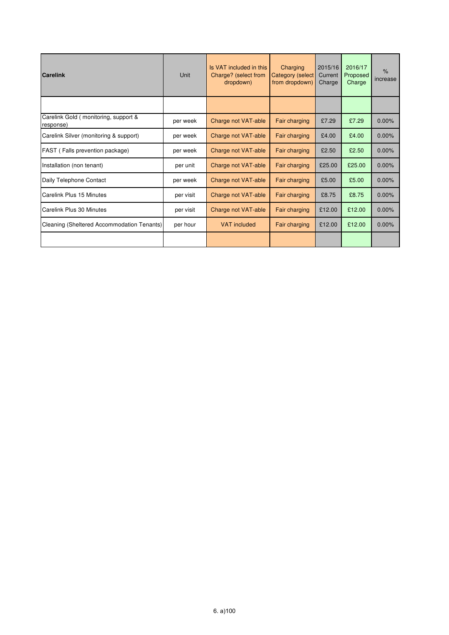| <b>Carelink</b>                                   | Unit      | Is VAT included in this<br>Charge? (select from<br>dropdown) | Charging<br><b>Category (select</b><br>from dropdown) | 2015/16<br>Current<br>Charge | 2016/17<br>Proposed<br>Charge | $\%$<br>increase |
|---------------------------------------------------|-----------|--------------------------------------------------------------|-------------------------------------------------------|------------------------------|-------------------------------|------------------|
|                                                   |           |                                                              |                                                       |                              |                               |                  |
| Carelink Gold (monitoring, support &<br>response) | per week  | Charge not VAT-able                                          | Fair charging                                         | £7.29                        | £7.29                         | 0.00%            |
| Carelink Silver (monitoring & support)            | per week  | Charge not VAT-able                                          | Fair charging                                         | £4.00                        | £4.00                         | 0.00%            |
| FAST (Falls prevention package)                   | per week  | Charge not VAT-able                                          | Fair charging                                         | £2.50                        | £2.50                         | 0.00%            |
| Installation (non tenant)                         | per unit  | Charge not VAT-able                                          | Fair charging                                         | £25.00                       | £25.00                        | 0.00%            |
| Daily Telephone Contact                           | per week  | Charge not VAT-able                                          | Fair charging                                         | £5.00                        | £5.00                         | 0.00%            |
| Carelink Plus 15 Minutes                          | per visit | Charge not VAT-able                                          | Fair charging                                         | £8.75                        | £8.75                         | 0.00%            |
| Carelink Plus 30 Minutes                          | per visit | Charge not VAT-able                                          | Fair charging                                         | £12.00                       | £12.00                        | 0.00%            |
| Cleaning (Sheltered Accommodation Tenants)        | per hour  | <b>VAT included</b>                                          | Fair charging                                         | £12.00                       | £12.00                        | 0.00%            |
|                                                   |           |                                                              |                                                       |                              |                               |                  |